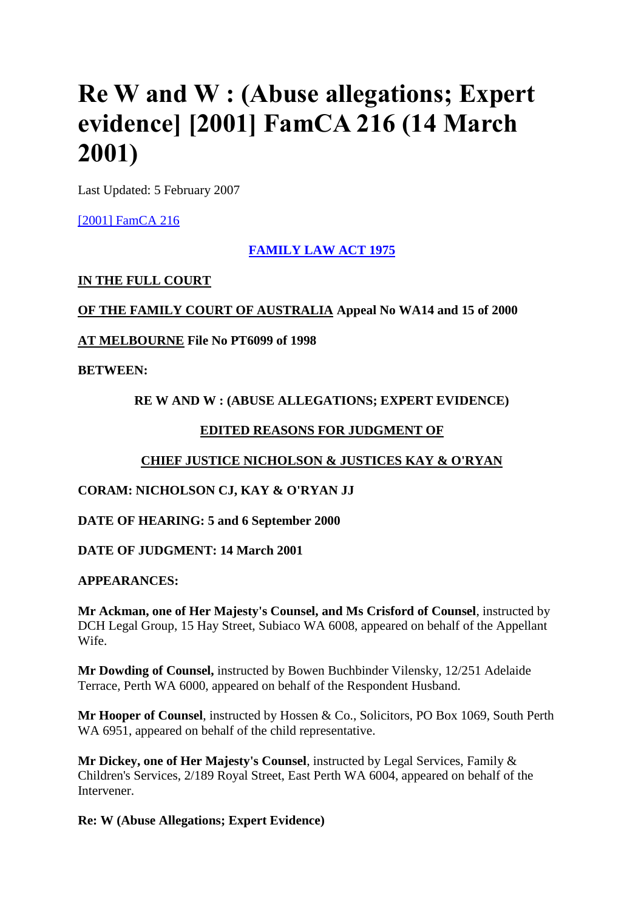# **Re W and W : (Abuse allegations; Expert evidence] [2001] FamCA 216 (14 March 2001)**

Last Updated: 5 February 2007

[\[2001\] FamCA 216](http://www6.austlii.edu.au/cgi-bin/viewdoc/au/cases/cth/FamCA/2001/216.html)

# **[FAMILY LAW ACT 1975](http://www6.austlii.edu.au/cgi-bin/viewdoc/au/legis/cth/consol_act/fla1975114/)**

# **IN THE FULL COURT**

**OF THE FAMILY COURT OF AUSTRALIA Appeal No WA14 and 15 of 2000**

**AT MELBOURNE File No PT6099 of 1998**

**BETWEEN:**

# **RE W AND W : (ABUSE ALLEGATIONS; EXPERT EVIDENCE)**

# **EDITED REASONS FOR JUDGMENT OF**

# **CHIEF JUSTICE NICHOLSON & JUSTICES KAY & O'RYAN**

# **CORAM: NICHOLSON CJ, KAY & O'RYAN JJ**

**DATE OF HEARING: 5 and 6 September 2000**

**DATE OF JUDGMENT: 14 March 2001**

# **APPEARANCES:**

**Mr Ackman, one of Her Majesty's Counsel, and Ms Crisford of Counsel**, instructed by DCH Legal Group, 15 Hay Street, Subiaco WA 6008, appeared on behalf of the Appellant Wife.

**Mr Dowding of Counsel,** instructed by Bowen Buchbinder Vilensky, 12/251 Adelaide Terrace, Perth WA 6000, appeared on behalf of the Respondent Husband.

**Mr Hooper of Counsel**, instructed by Hossen & Co., Solicitors, PO Box 1069, South Perth WA 6951, appeared on behalf of the child representative.

**Mr Dickey, one of Her Majesty's Counsel**, instructed by Legal Services, Family & Children's Services, 2/189 Royal Street, East Perth WA 6004, appeared on behalf of the Intervener.

**Re: W (Abuse Allegations; Expert Evidence)**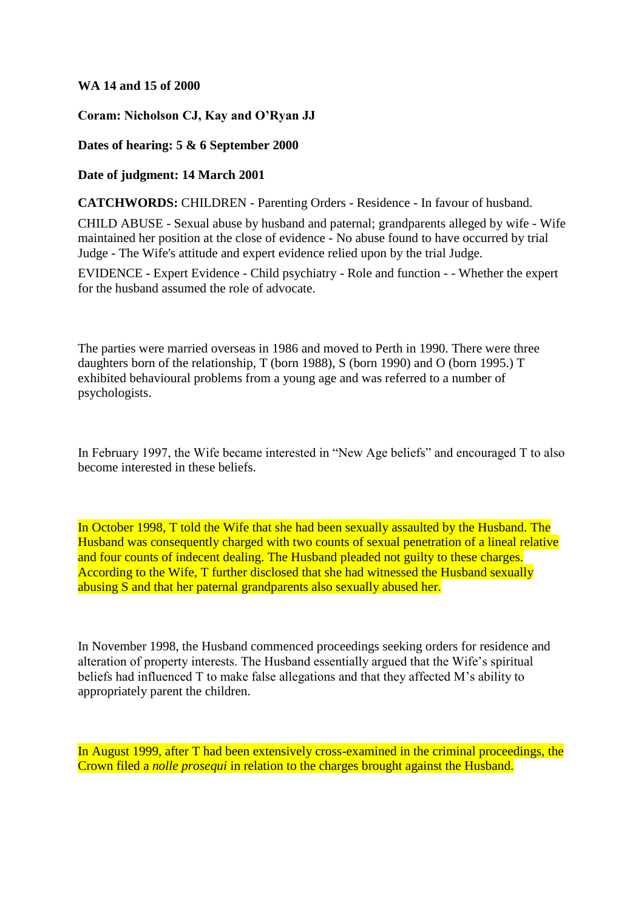#### **WA 14 and 15 of 2000**

**Coram: Nicholson CJ, Kay and O'Ryan JJ**

## **Dates of hearing: 5 & 6 September 2000**

**Date of judgment: 14 March 2001**

**CATCHWORDS:** CHILDREN - Parenting Orders - Residence - In favour of husband.

CHILD ABUSE - Sexual abuse by husband and paternal; grandparents alleged by wife - Wife maintained her position at the close of evidence - No abuse found to have occurred by trial Judge - The Wife's attitude and expert evidence relied upon by the trial Judge.

EVIDENCE - Expert Evidence - Child psychiatry - Role and function - - Whether the expert for the husband assumed the role of advocate.

The parties were married overseas in 1986 and moved to Perth in 1990. There were three daughters born of the relationship, T (born 1988), S (born 1990) and O (born 1995.) T exhibited behavioural problems from a young age and was referred to a number of psychologists.

In February 1997, the Wife became interested in "New Age beliefs" and encouraged T to also become interested in these beliefs.

In October 1998, T told the Wife that she had been sexually assaulted by the Husband. The Husband was consequently charged with two counts of sexual penetration of a lineal relative and four counts of indecent dealing. The Husband pleaded not guilty to these charges. According to the Wife, T further disclosed that she had witnessed the Husband sexually abusing S and that her paternal grandparents also sexually abused her.

In November 1998, the Husband commenced proceedings seeking orders for residence and alteration of property interests. The Husband essentially argued that the Wife's spiritual beliefs had influenced T to make false allegations and that they affected M's ability to appropriately parent the children.

In August 1999, after T had been extensively cross-examined in the criminal proceedings, the Crown filed a *nolle prosequi* in relation to the charges brought against the Husband.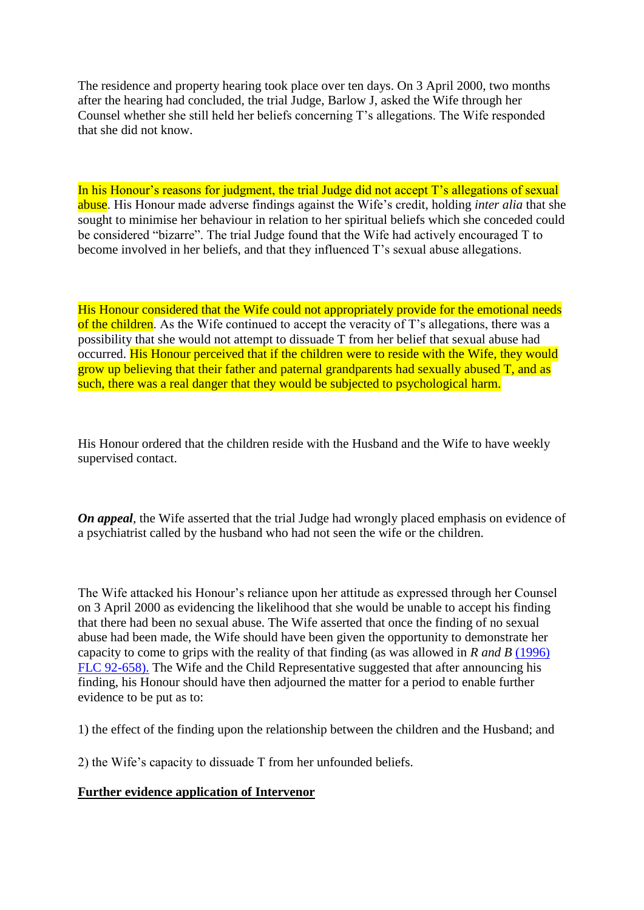The residence and property hearing took place over ten days. On 3 April 2000, two months after the hearing had concluded, the trial Judge, Barlow J, asked the Wife through her Counsel whether she still held her beliefs concerning T's allegations. The Wife responded that she did not know.

In his Honour's reasons for judgment, the trial Judge did not accept T's allegations of sexual abuse. His Honour made adverse findings against the Wife's credit, holding *inter alia* that she sought to minimise her behaviour in relation to her spiritual beliefs which she conceded could be considered "bizarre". The trial Judge found that the Wife had actively encouraged T to become involved in her beliefs, and that they influenced T's sexual abuse allegations.

His Honour considered that the Wife could not appropriately provide for the emotional needs of the children. As the Wife continued to accept the veracity of T's allegations, there was a possibility that she would not attempt to dissuade T from her belief that sexual abuse had occurred. His Honour perceived that if the children were to reside with the Wife, they would grow up believing that their father and paternal grandparents had sexually abused T, and as such, there was a real danger that they would be subjected to psychological harm.

His Honour ordered that the children reside with the Husband and the Wife to have weekly supervised contact.

*On appeal*, the Wife asserted that the trial Judge had wrongly placed emphasis on evidence of a psychiatrist called by the husband who had not seen the wife or the children.

The Wife attacked his Honour's reliance upon her attitude as expressed through her Counsel on 3 April 2000 as evidencing the likelihood that she would be unable to accept his finding that there had been no sexual abuse. The Wife asserted that once the finding of no sexual abuse had been made, the Wife should have been given the opportunity to demonstrate her capacity to come to grips with the reality of that finding (as was allowed in *R and B* [\(1996\)](http://www6.austlii.edu.au/cgi-bin/LawCite?cit=%281996%29%20FLC%2092%2d658)  [FLC 92-658\).](http://www6.austlii.edu.au/cgi-bin/LawCite?cit=%281996%29%20FLC%2092%2d658) The Wife and the Child Representative suggested that after announcing his finding, his Honour should have then adjourned the matter for a period to enable further evidence to be put as to:

1) the effect of the finding upon the relationship between the children and the Husband; and

2) the Wife's capacity to dissuade T from her unfounded beliefs.

# **Further evidence application of Intervenor**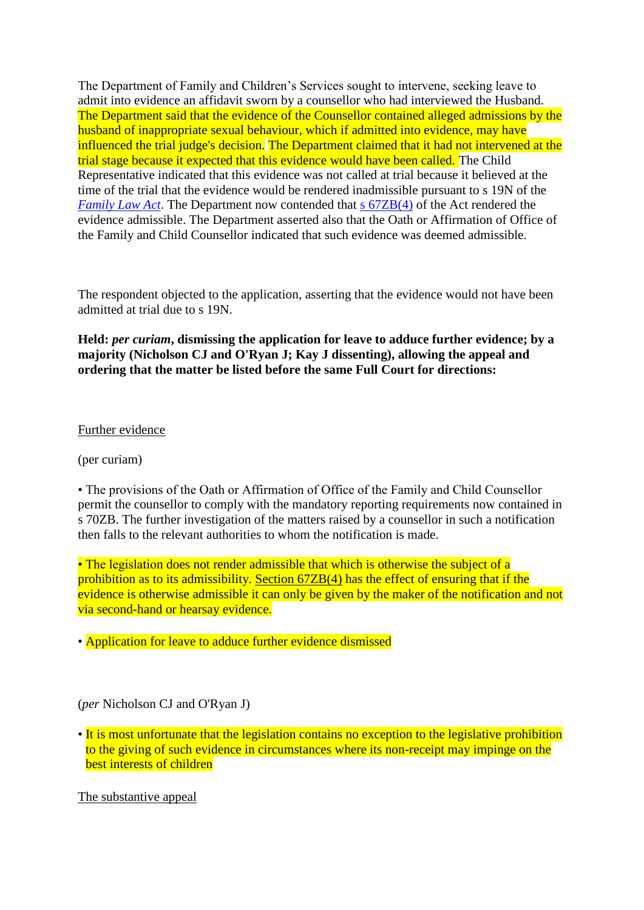The Department of Family and Children's Services sought to intervene, seeking leave to admit into evidence an affidavit sworn by a counsellor who had interviewed the Husband. The Department said that the evidence of the Counsellor contained alleged admissions by the husband of inappropriate sexual behaviour, which if admitted into evidence, may have influenced the trial judge's decision. The Department claimed that it had not intervened at the trial stage because it expected that this evidence would have been called. The Child Representative indicated that this evidence was not called at trial because it believed at the time of the trial that the evidence would be rendered inadmissible pursuant to s 19N of the *[Family Law Act](http://www6.austlii.edu.au/cgi-bin/viewdoc/au/legis/cth/consol_act/fla1975114/)*. The Department now contended that s  $67ZB(4)$  of the Act rendered the evidence admissible. The Department asserted also that the Oath or Affirmation of Office of the Family and Child Counsellor indicated that such evidence was deemed admissible.

The respondent objected to the application, asserting that the evidence would not have been admitted at trial due to s 19N.

**Held:** *per curiam***, dismissing the application for leave to adduce further evidence; by a majority (Nicholson CJ and O'Ryan J; Kay J dissenting), allowing the appeal and ordering that the matter be listed before the same Full Court for directions:**

Further evidence

(per curiam)

• The provisions of the Oath or Affirmation of Office of the Family and Child Counsellor permit the counsellor to comply with the mandatory reporting requirements now contained in s 70ZB. The further investigation of the matters raised by a counsellor in such a notification then falls to the relevant authorities to whom the notification is made.

• The legislation does not render admissible that which is otherwise the subject of a prohibition as to its admissibility. [Section 67ZB\(4\)](http://www6.austlii.edu.au/cgi-bin/viewdoc/au/legis/cth/consol_act/fla1975114/s67zb.html) has the effect of ensuring that if the evidence is otherwise admissible it can only be given by the maker of the notification and not via second-hand or hearsay evidence.

• Application for leave to adduce further evidence dismissed

(*per* Nicholson CJ and O'Ryan J)

• It is most unfortunate that the legislation contains no exception to the legislative prohibition to the giving of such evidence in circumstances where its non-receipt may impinge on the best interests of children

The substantive appeal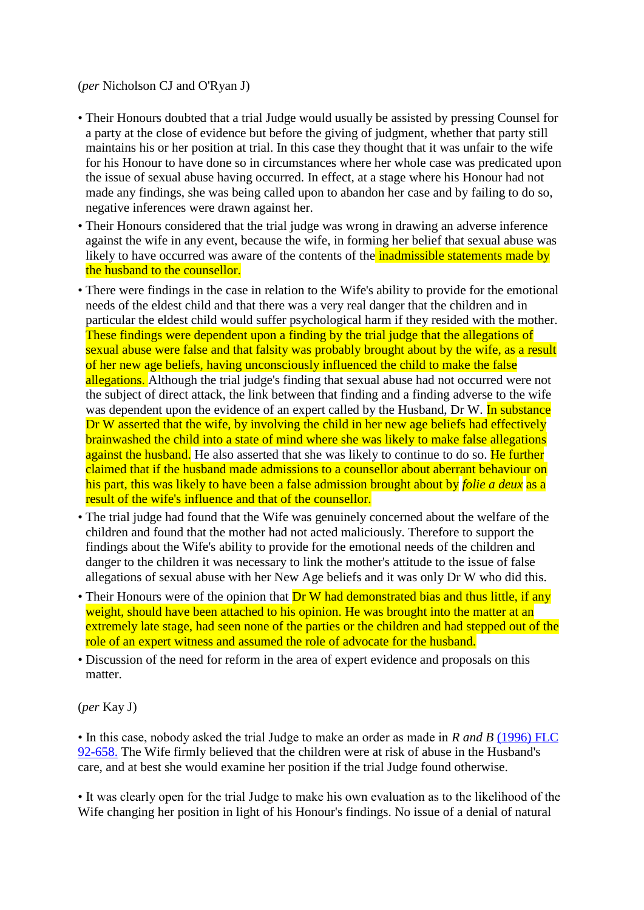## (*per* Nicholson CJ and O'Ryan J)

- Their Honours doubted that a trial Judge would usually be assisted by pressing Counsel for a party at the close of evidence but before the giving of judgment, whether that party still maintains his or her position at trial. In this case they thought that it was unfair to the wife for his Honour to have done so in circumstances where her whole case was predicated upon the issue of sexual abuse having occurred. In effect, at a stage where his Honour had not made any findings, she was being called upon to abandon her case and by failing to do so, negative inferences were drawn against her.
- Their Honours considered that the trial judge was wrong in drawing an adverse inference against the wife in any event, because the wife, in forming her belief that sexual abuse was likely to have occurred was aware of the contents of the **inadmissible statements made by** the husband to the counsellor.
- There were findings in the case in relation to the Wife's ability to provide for the emotional needs of the eldest child and that there was a very real danger that the children and in particular the eldest child would suffer psychological harm if they resided with the mother. These findings were dependent upon a finding by the trial judge that the allegations of sexual abuse were false and that falsity was probably brought about by the wife, as a result of her new age beliefs, having unconsciously influenced the child to make the false allegations. Although the trial judge's finding that sexual abuse had not occurred were not the subject of direct attack, the link between that finding and a finding adverse to the wife was dependent upon the evidence of an expert called by the Husband, Dr W. In substance Dr W asserted that the wife, by involving the child in her new age beliefs had effectively brainwashed the child into a state of mind where she was likely to make false allegations against the husband. He also asserted that she was likely to continue to do so. He further claimed that if the husband made admissions to a counsellor about aberrant behaviour on his part, this was likely to have been a false admission brought about by *folie a deux* as a result of the wife's influence and that of the counsellor.
- The trial judge had found that the Wife was genuinely concerned about the welfare of the children and found that the mother had not acted maliciously. Therefore to support the findings about the Wife's ability to provide for the emotional needs of the children and danger to the children it was necessary to link the mother's attitude to the issue of false allegations of sexual abuse with her New Age beliefs and it was only Dr W who did this.
- Their Honours were of the opinion that Dr W had demonstrated bias and thus little, if any weight, should have been attached to his opinion. He was brought into the matter at an extremely late stage, had seen none of the parties or the children and had stepped out of the role of an expert witness and assumed the role of advocate for the husband.
- Discussion of the need for reform in the area of expert evidence and proposals on this matter.

(*per* Kay J)

• In this case, nobody asked the trial Judge to make an order as made in *R and B* [\(1996\) FLC](http://www6.austlii.edu.au/cgi-bin/LawCite?cit=%281996%29%20FLC%2092%2d658)  [92-658.](http://www6.austlii.edu.au/cgi-bin/LawCite?cit=%281996%29%20FLC%2092%2d658) The Wife firmly believed that the children were at risk of abuse in the Husband's care, and at best she would examine her position if the trial Judge found otherwise.

• It was clearly open for the trial Judge to make his own evaluation as to the likelihood of the Wife changing her position in light of his Honour's findings. No issue of a denial of natural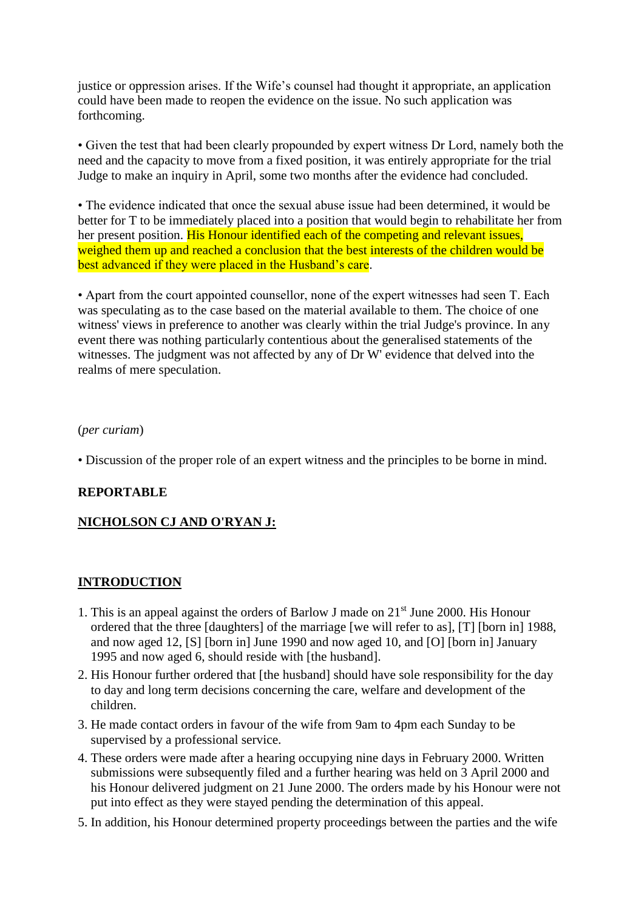justice or oppression arises. If the Wife's counsel had thought it appropriate, an application could have been made to reopen the evidence on the issue. No such application was forthcoming.

• Given the test that had been clearly propounded by expert witness Dr Lord, namely both the need and the capacity to move from a fixed position, it was entirely appropriate for the trial Judge to make an inquiry in April, some two months after the evidence had concluded.

• The evidence indicated that once the sexual abuse issue had been determined, it would be better for T to be immediately placed into a position that would begin to rehabilitate her from her present position. His Honour identified each of the competing and relevant issues, weighed them up and reached a conclusion that the best interests of the children would be best advanced if they were placed in the Husband's care.

• Apart from the court appointed counsellor, none of the expert witnesses had seen T. Each was speculating as to the case based on the material available to them. The choice of one witness' views in preference to another was clearly within the trial Judge's province. In any event there was nothing particularly contentious about the generalised statements of the witnesses. The judgment was not affected by any of Dr W' evidence that delved into the realms of mere speculation.

#### (*per curiam*)

• Discussion of the proper role of an expert witness and the principles to be borne in mind.

# **REPORTABLE**

# **NICHOLSON CJ AND O'RYAN J:**

#### **INTRODUCTION**

- 1. This is an appeal against the orders of Barlow J made on 21st June 2000. His Honour ordered that the three [daughters] of the marriage [we will refer to as], [T] [born in] 1988, and now aged 12, [S] [born in] June 1990 and now aged 10, and [O] [born in] January 1995 and now aged 6, should reside with [the husband].
- 2. His Honour further ordered that [the husband] should have sole responsibility for the day to day and long term decisions concerning the care, welfare and development of the children.
- 3. He made contact orders in favour of the wife from 9am to 4pm each Sunday to be supervised by a professional service.
- 4. These orders were made after a hearing occupying nine days in February 2000. Written submissions were subsequently filed and a further hearing was held on 3 April 2000 and his Honour delivered judgment on 21 June 2000. The orders made by his Honour were not put into effect as they were stayed pending the determination of this appeal.
- 5. In addition, his Honour determined property proceedings between the parties and the wife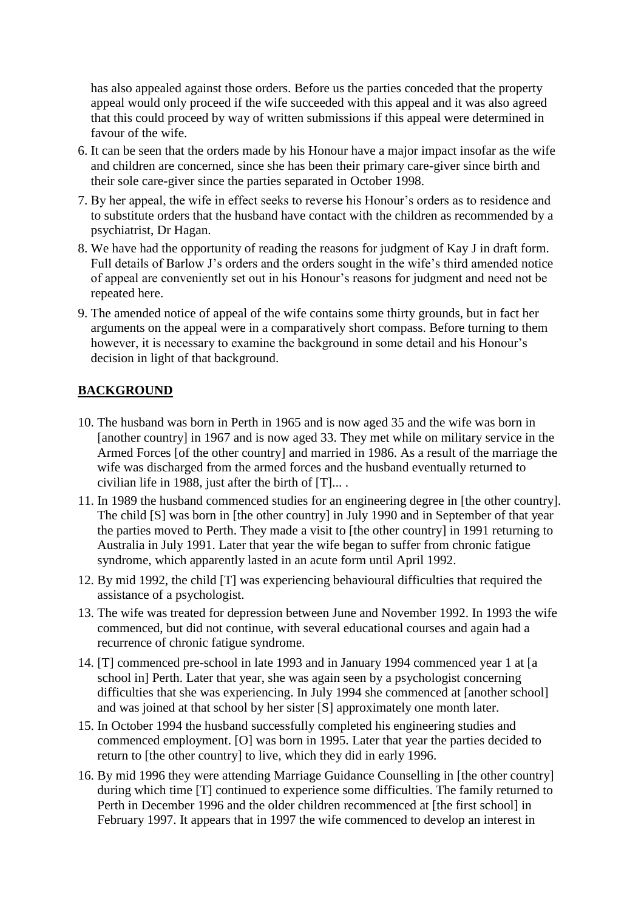has also appealed against those orders. Before us the parties conceded that the property appeal would only proceed if the wife succeeded with this appeal and it was also agreed that this could proceed by way of written submissions if this appeal were determined in favour of the wife.

- 6. It can be seen that the orders made by his Honour have a major impact insofar as the wife and children are concerned, since she has been their primary care-giver since birth and their sole care-giver since the parties separated in October 1998.
- 7. By her appeal, the wife in effect seeks to reverse his Honour's orders as to residence and to substitute orders that the husband have contact with the children as recommended by a psychiatrist, Dr Hagan.
- 8. We have had the opportunity of reading the reasons for judgment of Kay J in draft form. Full details of Barlow J's orders and the orders sought in the wife's third amended notice of appeal are conveniently set out in his Honour's reasons for judgment and need not be repeated here.
- 9. The amended notice of appeal of the wife contains some thirty grounds, but in fact her arguments on the appeal were in a comparatively short compass. Before turning to them however, it is necessary to examine the background in some detail and his Honour's decision in light of that background.

# **BACKGROUND**

- 10. The husband was born in Perth in 1965 and is now aged 35 and the wife was born in [another country] in 1967 and is now aged 33. They met while on military service in the Armed Forces [of the other country] and married in 1986. As a result of the marriage the wife was discharged from the armed forces and the husband eventually returned to civilian life in 1988, just after the birth of  $[T]...$ .
- 11. In 1989 the husband commenced studies for an engineering degree in [the other country]. The child [S] was born in [the other country] in July 1990 and in September of that year the parties moved to Perth. They made a visit to [the other country] in 1991 returning to Australia in July 1991. Later that year the wife began to suffer from chronic fatigue syndrome, which apparently lasted in an acute form until April 1992.
- 12. By mid 1992, the child [T] was experiencing behavioural difficulties that required the assistance of a psychologist.
- 13. The wife was treated for depression between June and November 1992. In 1993 the wife commenced, but did not continue, with several educational courses and again had a recurrence of chronic fatigue syndrome.
- 14. [T] commenced pre-school in late 1993 and in January 1994 commenced year 1 at [a school in] Perth. Later that year, she was again seen by a psychologist concerning difficulties that she was experiencing. In July 1994 she commenced at [another school] and was joined at that school by her sister [S] approximately one month later.
- 15. In October 1994 the husband successfully completed his engineering studies and commenced employment. [O] was born in 1995. Later that year the parties decided to return to [the other country] to live, which they did in early 1996.
- 16. By mid 1996 they were attending Marriage Guidance Counselling in [the other country] during which time [T] continued to experience some difficulties. The family returned to Perth in December 1996 and the older children recommenced at [the first school] in February 1997. It appears that in 1997 the wife commenced to develop an interest in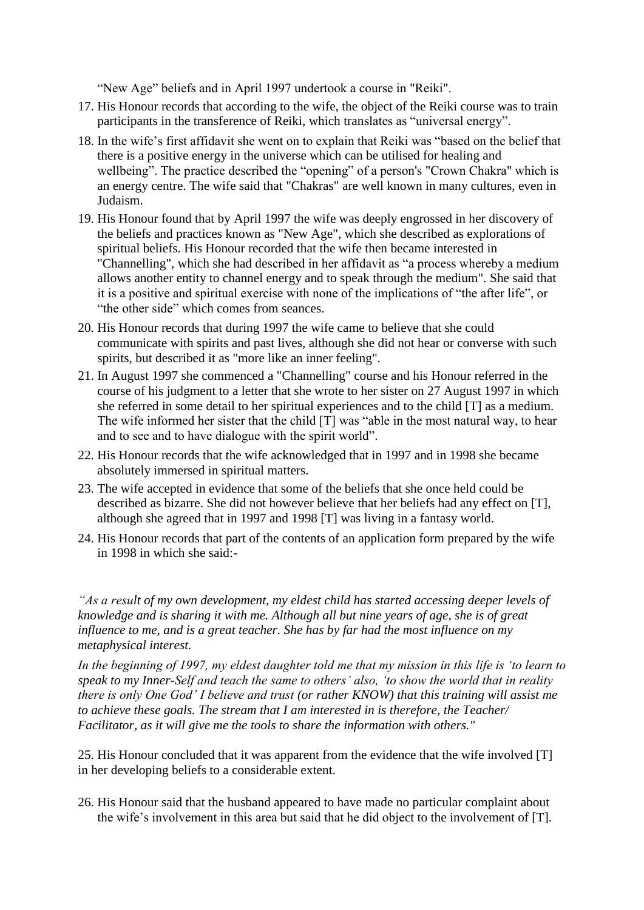"New Age" beliefs and in April 1997 undertook a course in "Reiki".

- 17. His Honour records that according to the wife, the object of the Reiki course was to train participants in the transference of Reiki, which translates as "universal energy".
- 18. In the wife's first affidavit she went on to explain that Reiki was "based on the belief that there is a positive energy in the universe which can be utilised for healing and wellbeing". The practice described the "opening" of a person's "Crown Chakra" which is an energy centre. The wife said that "Chakras" are well known in many cultures, even in Judaism.
- 19. His Honour found that by April 1997 the wife was deeply engrossed in her discovery of the beliefs and practices known as "New Age", which she described as explorations of spiritual beliefs. His Honour recorded that the wife then became interested in "Channelling", which she had described in her affidavit as "a process whereby a medium allows another entity to channel energy and to speak through the medium". She said that it is a positive and spiritual exercise with none of the implications of "the after life", or "the other side" which comes from seances.
- 20. His Honour records that during 1997 the wife came to believe that she could communicate with spirits and past lives, although she did not hear or converse with such spirits, but described it as "more like an inner feeling".
- 21. In August 1997 she commenced a "Channelling" course and his Honour referred in the course of his judgment to a letter that she wrote to her sister on 27 August 1997 in which she referred in some detail to her spiritual experiences and to the child [T] as a medium. The wife informed her sister that the child [T] was "able in the most natural way, to hear and to see and to have dialogue with the spirit world".
- 22. His Honour records that the wife acknowledged that in 1997 and in 1998 she became absolutely immersed in spiritual matters.
- 23. The wife accepted in evidence that some of the beliefs that she once held could be described as bizarre. She did not however believe that her beliefs had any effect on [T], although she agreed that in 1997 and 1998 [T] was living in a fantasy world.
- 24. His Honour records that part of the contents of an application form prepared by the wife in 1998 in which she said:-

*"As a result of my own development, my eldest child has started accessing deeper levels of knowledge and is sharing it with me. Although all but nine years of age, she is of great influence to me, and is a great teacher. She has by far had the most influence on my metaphysical interest.*

*In the beginning of 1997, my eldest daughter told me that my mission in this life is 'to learn to speak to my Inner-Self and teach the same to others' also, 'to show the world that in reality there is only One God' I believe and trust (or rather KNOW) that this training will assist me to achieve these goals. The stream that I am interested in is therefore, the Teacher/ Facilitator, as it will give me the tools to share the information with others."*

25. His Honour concluded that it was apparent from the evidence that the wife involved [T] in her developing beliefs to a considerable extent.

26. His Honour said that the husband appeared to have made no particular complaint about the wife's involvement in this area but said that he did object to the involvement of [T].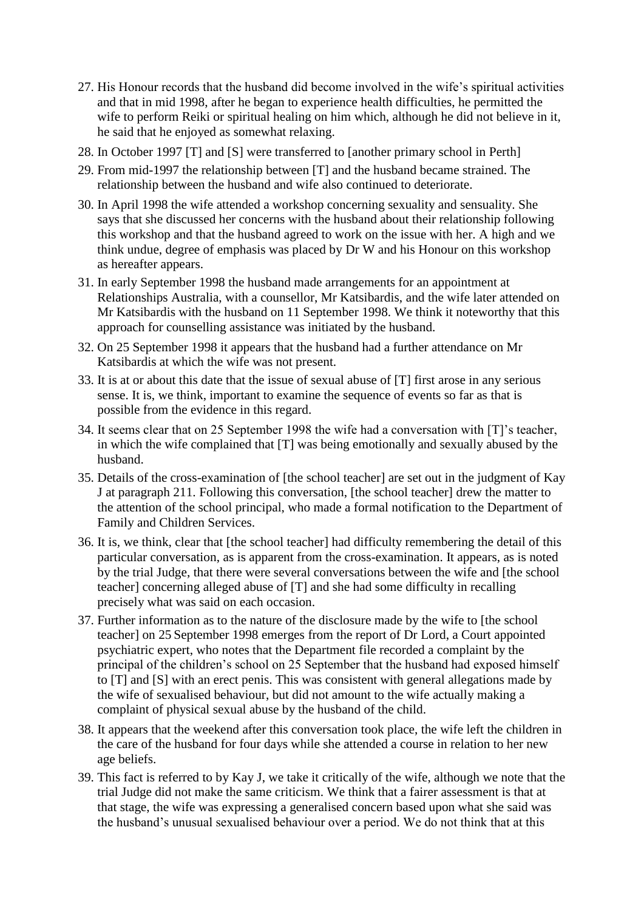- 27. His Honour records that the husband did become involved in the wife's spiritual activities and that in mid 1998, after he began to experience health difficulties, he permitted the wife to perform Reiki or spiritual healing on him which, although he did not believe in it, he said that he enjoyed as somewhat relaxing.
- 28. In October 1997 [T] and [S] were transferred to [another primary school in Perth]
- 29. From mid-1997 the relationship between [T] and the husband became strained. The relationship between the husband and wife also continued to deteriorate.
- 30. In April 1998 the wife attended a workshop concerning sexuality and sensuality. She says that she discussed her concerns with the husband about their relationship following this workshop and that the husband agreed to work on the issue with her. A high and we think undue, degree of emphasis was placed by Dr W and his Honour on this workshop as hereafter appears.
- 31. In early September 1998 the husband made arrangements for an appointment at Relationships Australia, with a counsellor, Mr Katsibardis, and the wife later attended on Mr Katsibardis with the husband on 11 September 1998. We think it noteworthy that this approach for counselling assistance was initiated by the husband.
- 32. On 25 September 1998 it appears that the husband had a further attendance on Mr Katsibardis at which the wife was not present.
- 33. It is at or about this date that the issue of sexual abuse of [T] first arose in any serious sense. It is, we think, important to examine the sequence of events so far as that is possible from the evidence in this regard.
- 34. It seems clear that on 25 September 1998 the wife had a conversation with [T]'s teacher, in which the wife complained that [T] was being emotionally and sexually abused by the husband.
- 35. Details of the cross-examination of [the school teacher] are set out in the judgment of Kay J at paragraph 211. Following this conversation, [the school teacher] drew the matter to the attention of the school principal, who made a formal notification to the Department of Family and Children Services.
- 36. It is, we think, clear that [the school teacher] had difficulty remembering the detail of this particular conversation, as is apparent from the cross-examination. It appears, as is noted by the trial Judge, that there were several conversations between the wife and [the school teacher] concerning alleged abuse of [T] and she had some difficulty in recalling precisely what was said on each occasion.
- 37. Further information as to the nature of the disclosure made by the wife to [the school teacher] on 25 September 1998 emerges from the report of Dr Lord, a Court appointed psychiatric expert, who notes that the Department file recorded a complaint by the principal of the children's school on 25 September that the husband had exposed himself to [T] and [S] with an erect penis. This was consistent with general allegations made by the wife of sexualised behaviour, but did not amount to the wife actually making a complaint of physical sexual abuse by the husband of the child.
- 38. It appears that the weekend after this conversation took place, the wife left the children in the care of the husband for four days while she attended a course in relation to her new age beliefs.
- 39. This fact is referred to by Kay J, we take it critically of the wife, although we note that the trial Judge did not make the same criticism. We think that a fairer assessment is that at that stage, the wife was expressing a generalised concern based upon what she said was the husband's unusual sexualised behaviour over a period. We do not think that at this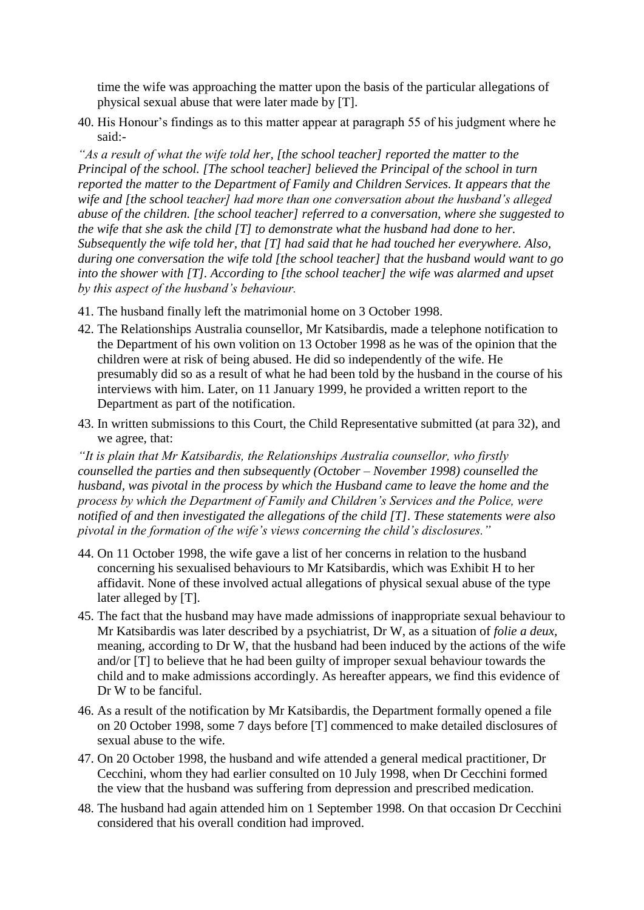time the wife was approaching the matter upon the basis of the particular allegations of physical sexual abuse that were later made by [T].

40. His Honour's findings as to this matter appear at paragraph 55 of his judgment where he said:-

*"As a result of what the wife told her, [the school teacher] reported the matter to the Principal of the school. [The school teacher] believed the Principal of the school in turn reported the matter to the Department of Family and Children Services. It appears that the wife and [the school teacher] had more than one conversation about the husband's alleged abuse of the children. [the school teacher] referred to a conversation, where she suggested to the wife that she ask the child [T] to demonstrate what the husband had done to her. Subsequently the wife told her, that [T] had said that he had touched her everywhere. Also, during one conversation the wife told [the school teacher] that the husband would want to go into the shower with [T]. According to [the school teacher] the wife was alarmed and upset by this aspect of the husband's behaviour.* 

- 41. The husband finally left the matrimonial home on 3 October 1998.
- 42. The Relationships Australia counsellor, Mr Katsibardis, made a telephone notification to the Department of his own volition on 13 October 1998 as he was of the opinion that the children were at risk of being abused. He did so independently of the wife. He presumably did so as a result of what he had been told by the husband in the course of his interviews with him. Later, on 11 January 1999, he provided a written report to the Department as part of the notification.
- 43. In written submissions to this Court, the Child Representative submitted (at para 32), and we agree, that:

*"It is plain that Mr Katsibardis, the Relationships Australia counsellor, who firstly counselled the parties and then subsequently (October – November 1998) counselled the husband, was pivotal in the process by which the Husband came to leave the home and the process by which the Department of Family and Children's Services and the Police, were notified of and then investigated the allegations of the child [T]. These statements were also pivotal in the formation of the wife's views concerning the child's disclosures."*

- 44. On 11 October 1998, the wife gave a list of her concerns in relation to the husband concerning his sexualised behaviours to Mr Katsibardis, which was Exhibit H to her affidavit. None of these involved actual allegations of physical sexual abuse of the type later alleged by [T].
- 45. The fact that the husband may have made admissions of inappropriate sexual behaviour to Mr Katsibardis was later described by a psychiatrist, Dr W, as a situation of *folie a deux,* meaning, according to Dr W, that the husband had been induced by the actions of the wife and/or [T] to believe that he had been guilty of improper sexual behaviour towards the child and to make admissions accordingly. As hereafter appears, we find this evidence of Dr W to be fanciful.
- 46. As a result of the notification by Mr Katsibardis, the Department formally opened a file on 20 October 1998, some 7 days before [T] commenced to make detailed disclosures of sexual abuse to the wife.
- 47. On 20 October 1998, the husband and wife attended a general medical practitioner, Dr Cecchini, whom they had earlier consulted on 10 July 1998, when Dr Cecchini formed the view that the husband was suffering from depression and prescribed medication.
- 48. The husband had again attended him on 1 September 1998. On that occasion Dr Cecchini considered that his overall condition had improved.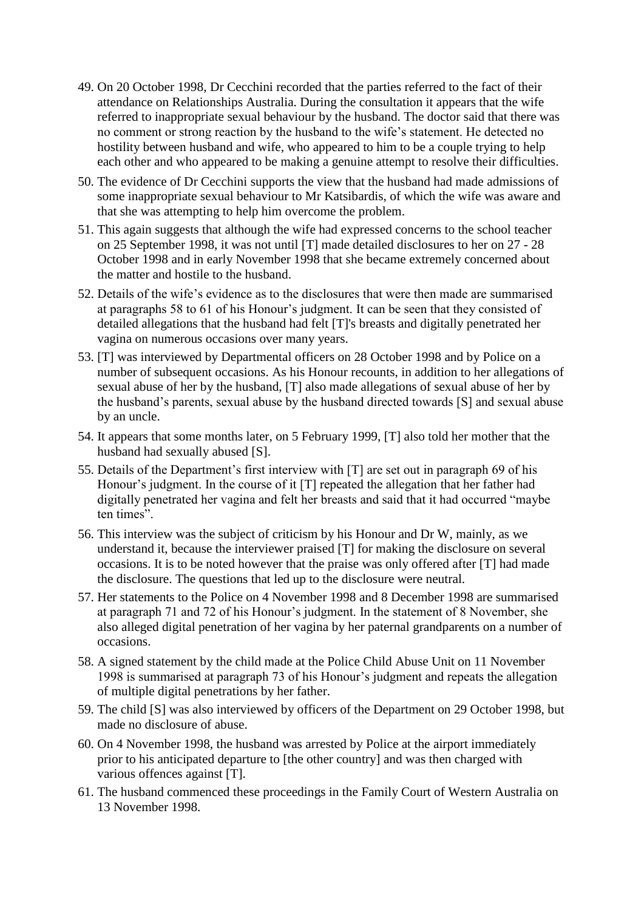- 49. On 20 October 1998, Dr Cecchini recorded that the parties referred to the fact of their attendance on Relationships Australia. During the consultation it appears that the wife referred to inappropriate sexual behaviour by the husband. The doctor said that there was no comment or strong reaction by the husband to the wife's statement. He detected no hostility between husband and wife, who appeared to him to be a couple trying to help each other and who appeared to be making a genuine attempt to resolve their difficulties.
- 50. The evidence of Dr Cecchini supports the view that the husband had made admissions of some inappropriate sexual behaviour to Mr Katsibardis, of which the wife was aware and that she was attempting to help him overcome the problem.
- 51. This again suggests that although the wife had expressed concerns to the school teacher on 25 September 1998, it was not until [T] made detailed disclosures to her on 27 - 28 October 1998 and in early November 1998 that she became extremely concerned about the matter and hostile to the husband.
- 52. Details of the wife's evidence as to the disclosures that were then made are summarised at paragraphs 58 to 61 of his Honour's judgment. It can be seen that they consisted of detailed allegations that the husband had felt [T]'s breasts and digitally penetrated her vagina on numerous occasions over many years.
- 53. [T] was interviewed by Departmental officers on 28 October 1998 and by Police on a number of subsequent occasions. As his Honour recounts, in addition to her allegations of sexual abuse of her by the husband, [T] also made allegations of sexual abuse of her by the husband's parents, sexual abuse by the husband directed towards [S] and sexual abuse by an uncle.
- 54. It appears that some months later, on 5 February 1999, [T] also told her mother that the husband had sexually abused [S].
- 55. Details of the Department's first interview with [T] are set out in paragraph 69 of his Honour's judgment. In the course of it [T] repeated the allegation that her father had digitally penetrated her vagina and felt her breasts and said that it had occurred "maybe ten times".
- 56. This interview was the subject of criticism by his Honour and Dr W, mainly, as we understand it, because the interviewer praised [T] for making the disclosure on several occasions. It is to be noted however that the praise was only offered after [T] had made the disclosure. The questions that led up to the disclosure were neutral.
- 57. Her statements to the Police on 4 November 1998 and 8 December 1998 are summarised at paragraph 71 and 72 of his Honour's judgment. In the statement of 8 November, she also alleged digital penetration of her vagina by her paternal grandparents on a number of occasions.
- 58. A signed statement by the child made at the Police Child Abuse Unit on 11 November 1998 is summarised at paragraph 73 of his Honour's judgment and repeats the allegation of multiple digital penetrations by her father.
- 59. The child [S] was also interviewed by officers of the Department on 29 October 1998, but made no disclosure of abuse.
- 60. On 4 November 1998, the husband was arrested by Police at the airport immediately prior to his anticipated departure to [the other country] and was then charged with various offences against [T].
- 61. The husband commenced these proceedings in the Family Court of Western Australia on 13 November 1998.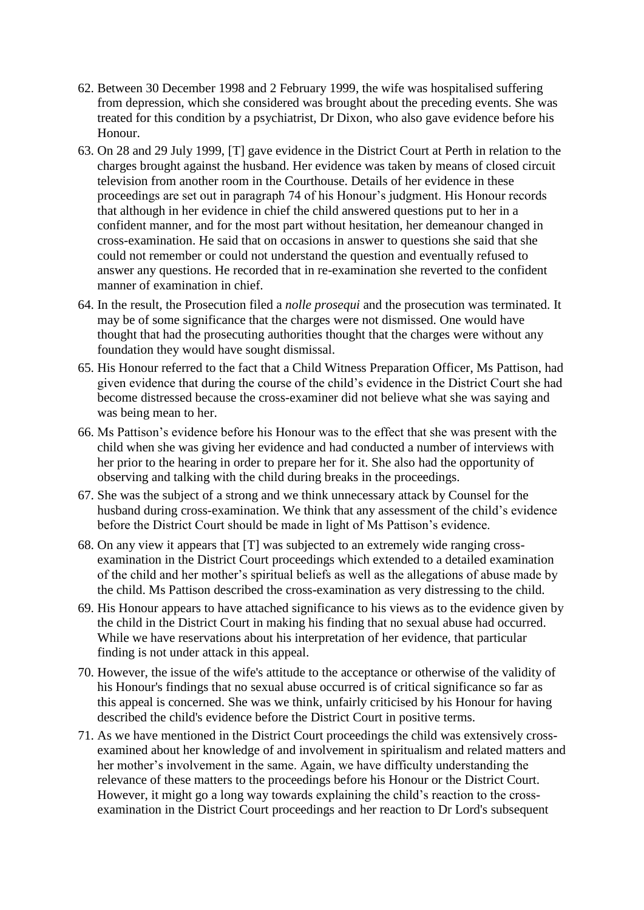- 62. Between 30 December 1998 and 2 February 1999, the wife was hospitalised suffering from depression, which she considered was brought about the preceding events. She was treated for this condition by a psychiatrist, Dr Dixon, who also gave evidence before his Honour.
- 63. On 28 and 29 July 1999, [T] gave evidence in the District Court at Perth in relation to the charges brought against the husband. Her evidence was taken by means of closed circuit television from another room in the Courthouse. Details of her evidence in these proceedings are set out in paragraph 74 of his Honour's judgment. His Honour records that although in her evidence in chief the child answered questions put to her in a confident manner, and for the most part without hesitation, her demeanour changed in cross-examination. He said that on occasions in answer to questions she said that she could not remember or could not understand the question and eventually refused to answer any questions. He recorded that in re-examination she reverted to the confident manner of examination in chief.
- 64. In the result, the Prosecution filed a *nolle prosequi* and the prosecution was terminated. It may be of some significance that the charges were not dismissed. One would have thought that had the prosecuting authorities thought that the charges were without any foundation they would have sought dismissal.
- 65. His Honour referred to the fact that a Child Witness Preparation Officer, Ms Pattison, had given evidence that during the course of the child's evidence in the District Court she had become distressed because the cross-examiner did not believe what she was saying and was being mean to her.
- 66. Ms Pattison's evidence before his Honour was to the effect that she was present with the child when she was giving her evidence and had conducted a number of interviews with her prior to the hearing in order to prepare her for it. She also had the opportunity of observing and talking with the child during breaks in the proceedings.
- 67. She was the subject of a strong and we think unnecessary attack by Counsel for the husband during cross-examination. We think that any assessment of the child's evidence before the District Court should be made in light of Ms Pattison's evidence.
- 68. On any view it appears that [T] was subjected to an extremely wide ranging crossexamination in the District Court proceedings which extended to a detailed examination of the child and her mother's spiritual beliefs as well as the allegations of abuse made by the child. Ms Pattison described the cross-examination as very distressing to the child.
- 69. His Honour appears to have attached significance to his views as to the evidence given by the child in the District Court in making his finding that no sexual abuse had occurred. While we have reservations about his interpretation of her evidence, that particular finding is not under attack in this appeal.
- 70. However, the issue of the wife's attitude to the acceptance or otherwise of the validity of his Honour's findings that no sexual abuse occurred is of critical significance so far as this appeal is concerned. She was we think, unfairly criticised by his Honour for having described the child's evidence before the District Court in positive terms.
- 71. As we have mentioned in the District Court proceedings the child was extensively crossexamined about her knowledge of and involvement in spiritualism and related matters and her mother's involvement in the same. Again, we have difficulty understanding the relevance of these matters to the proceedings before his Honour or the District Court. However, it might go a long way towards explaining the child's reaction to the crossexamination in the District Court proceedings and her reaction to Dr Lord's subsequent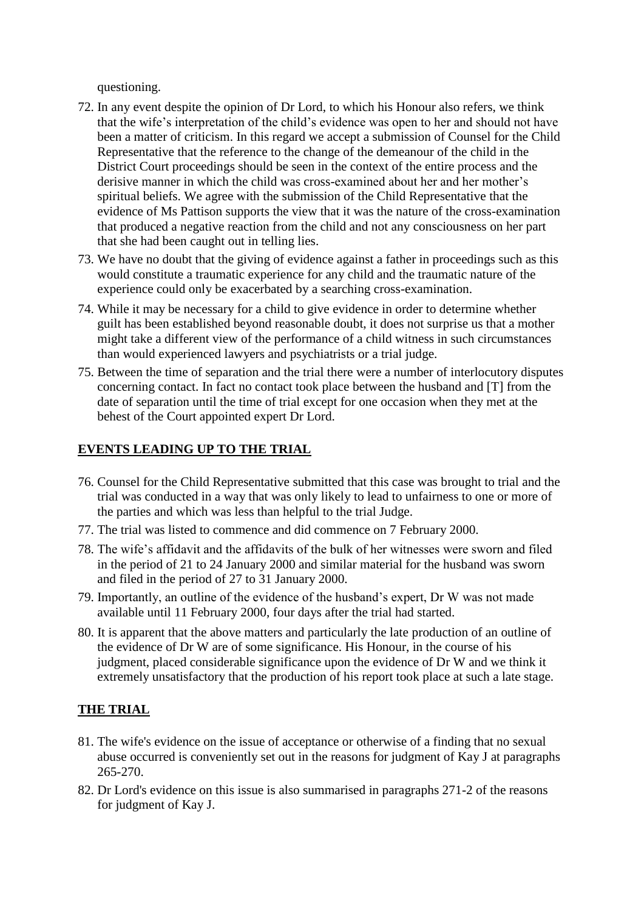questioning.

- 72. In any event despite the opinion of Dr Lord, to which his Honour also refers, we think that the wife's interpretation of the child's evidence was open to her and should not have been a matter of criticism. In this regard we accept a submission of Counsel for the Child Representative that the reference to the change of the demeanour of the child in the District Court proceedings should be seen in the context of the entire process and the derisive manner in which the child was cross-examined about her and her mother's spiritual beliefs. We agree with the submission of the Child Representative that the evidence of Ms Pattison supports the view that it was the nature of the cross-examination that produced a negative reaction from the child and not any consciousness on her part that she had been caught out in telling lies.
- 73. We have no doubt that the giving of evidence against a father in proceedings such as this would constitute a traumatic experience for any child and the traumatic nature of the experience could only be exacerbated by a searching cross-examination.
- 74. While it may be necessary for a child to give evidence in order to determine whether guilt has been established beyond reasonable doubt, it does not surprise us that a mother might take a different view of the performance of a child witness in such circumstances than would experienced lawyers and psychiatrists or a trial judge.
- 75. Between the time of separation and the trial there were a number of interlocutory disputes concerning contact. In fact no contact took place between the husband and [T] from the date of separation until the time of trial except for one occasion when they met at the behest of the Court appointed expert Dr Lord.

# **EVENTS LEADING UP TO THE TRIAL**

- 76. Counsel for the Child Representative submitted that this case was brought to trial and the trial was conducted in a way that was only likely to lead to unfairness to one or more of the parties and which was less than helpful to the trial Judge.
- 77. The trial was listed to commence and did commence on 7 February 2000.
- 78. The wife's affidavit and the affidavits of the bulk of her witnesses were sworn and filed in the period of 21 to 24 January 2000 and similar material for the husband was sworn and filed in the period of 27 to 31 January 2000.
- 79. Importantly, an outline of the evidence of the husband's expert, Dr W was not made available until 11 February 2000, four days after the trial had started.
- 80. It is apparent that the above matters and particularly the late production of an outline of the evidence of Dr W are of some significance. His Honour, in the course of his judgment, placed considerable significance upon the evidence of Dr W and we think it extremely unsatisfactory that the production of his report took place at such a late stage.

# **THE TRIAL**

- 81. The wife's evidence on the issue of acceptance or otherwise of a finding that no sexual abuse occurred is conveniently set out in the reasons for judgment of Kay J at paragraphs 265-270.
- 82. Dr Lord's evidence on this issue is also summarised in paragraphs 271-2 of the reasons for judgment of Kay J.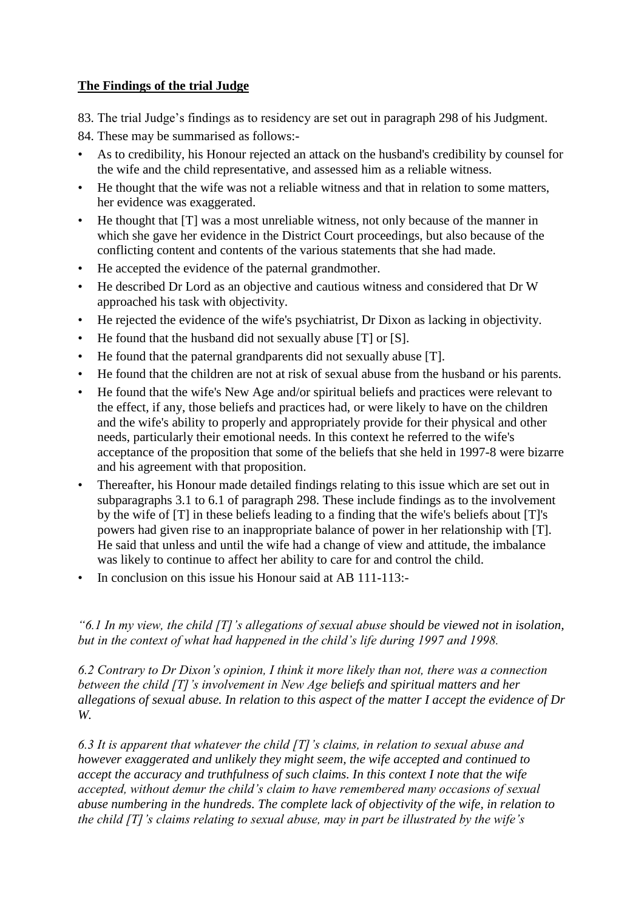# **The Findings of the trial Judge**

83. The trial Judge's findings as to residency are set out in paragraph 298 of his Judgment.

84. These may be summarised as follows:-

- As to credibility, his Honour rejected an attack on the husband's credibility by counsel for the wife and the child representative, and assessed him as a reliable witness.
- He thought that the wife was not a reliable witness and that in relation to some matters, her evidence was exaggerated.
- He thought that [T] was a most unreliable witness, not only because of the manner in which she gave her evidence in the District Court proceedings, but also because of the conflicting content and contents of the various statements that she had made.
- He accepted the evidence of the paternal grandmother.
- He described Dr Lord as an objective and cautious witness and considered that Dr W approached his task with objectivity.
- He rejected the evidence of the wife's psychiatrist, Dr Dixon as lacking in objectivity.
- He found that the husband did not sexually abuse [T] or [S].
- He found that the paternal grandparents did not sexually abuse [T].
- He found that the children are not at risk of sexual abuse from the husband or his parents.
- He found that the wife's New Age and/or spiritual beliefs and practices were relevant to the effect, if any, those beliefs and practices had, or were likely to have on the children and the wife's ability to properly and appropriately provide for their physical and other needs, particularly their emotional needs. In this context he referred to the wife's acceptance of the proposition that some of the beliefs that she held in 1997-8 were bizarre and his agreement with that proposition.
- Thereafter, his Honour made detailed findings relating to this issue which are set out in subparagraphs 3.1 to 6.1 of paragraph 298. These include findings as to the involvement by the wife of [T] in these beliefs leading to a finding that the wife's beliefs about [T]'s powers had given rise to an inappropriate balance of power in her relationship with [T]. He said that unless and until the wife had a change of view and attitude, the imbalance was likely to continue to affect her ability to care for and control the child.
- In conclusion on this issue his Honour said at AB 111-113:-

# *"6.1 In my view, the child [T]'s allegations of sexual abuse should be viewed not in isolation, but in the context of what had happened in the child's life during 1997 and 1998.*

*6.2 Contrary to Dr Dixon's opinion, I think it more likely than not, there was a connection between the child [T]'s involvement in New Age beliefs and spiritual matters and her allegations of sexual abuse. In relation to this aspect of the matter I accept the evidence of Dr W.*

*6.3 It is apparent that whatever the child [T]'s claims, in relation to sexual abuse and however exaggerated and unlikely they might seem, the wife accepted and continued to accept the accuracy and truthfulness of such claims. In this context I note that the wife accepted, without demur the child's claim to have remembered many occasions of sexual abuse numbering in the hundreds. The complete lack of objectivity of the wife, in relation to the child [T]'s claims relating to sexual abuse, may in part be illustrated by the wife's*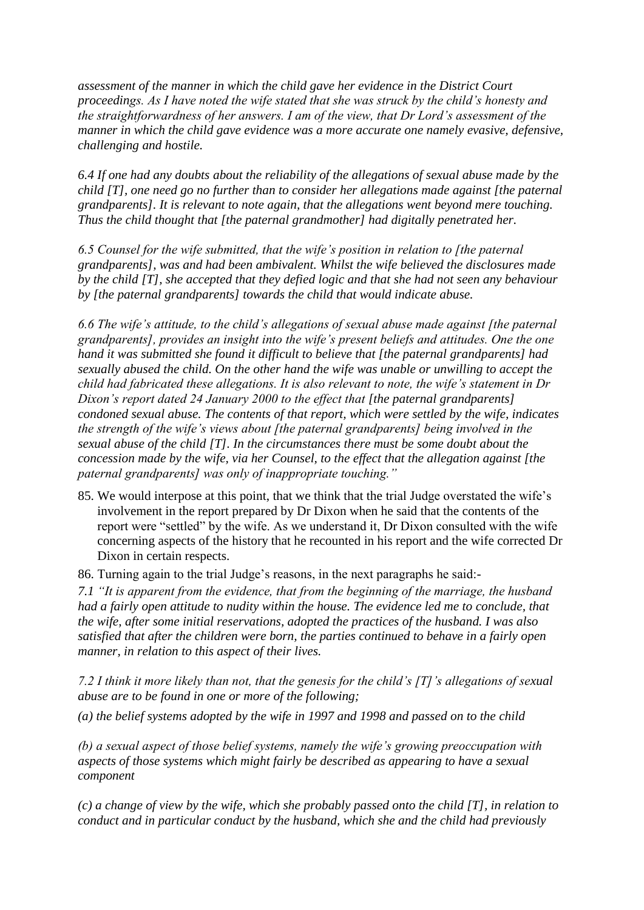*assessment of the manner in which the child gave her evidence in the District Court proceedings. As I have noted the wife stated that she was struck by the child's honesty and the straightforwardness of her answers. I am of the view, that Dr Lord's assessment of the manner in which the child gave evidence was a more accurate one namely evasive, defensive, challenging and hostile.*

*6.4 If one had any doubts about the reliability of the allegations of sexual abuse made by the child [T], one need go no further than to consider her allegations made against [the paternal grandparents]. It is relevant to note again, that the allegations went beyond mere touching. Thus the child thought that [the paternal grandmother] had digitally penetrated her.*

*6.5 Counsel for the wife submitted, that the wife's position in relation to [the paternal grandparents], was and had been ambivalent. Whilst the wife believed the disclosures made by the child [T], she accepted that they defied logic and that she had not seen any behaviour by [the paternal grandparents] towards the child that would indicate abuse.*

*6.6 The wife's attitude, to the child's allegations of sexual abuse made against [the paternal grandparents], provides an insight into the wife's present beliefs and attitudes. One the one hand it was submitted she found it difficult to believe that [the paternal grandparents] had sexually abused the child. On the other hand the wife was unable or unwilling to accept the child had fabricated these allegations. It is also relevant to note, the wife's statement in Dr Dixon's report dated 24 January 2000 to the effect that [the paternal grandparents] condoned sexual abuse. The contents of that report, which were settled by the wife, indicates the strength of the wife's views about [the paternal grandparents] being involved in the sexual abuse of the child [T]. In the circumstances there must be some doubt about the concession made by the wife, via her Counsel, to the effect that the allegation against [the paternal grandparents] was only of inappropriate touching."*

85. We would interpose at this point, that we think that the trial Judge overstated the wife's involvement in the report prepared by Dr Dixon when he said that the contents of the report were "settled" by the wife. As we understand it, Dr Dixon consulted with the wife concerning aspects of the history that he recounted in his report and the wife corrected Dr Dixon in certain respects.

86. Turning again to the trial Judge's reasons, in the next paragraphs he said:-

*7.1 "It is apparent from the evidence, that from the beginning of the marriage, the husband had a fairly open attitude to nudity within the house. The evidence led me to conclude, that the wife, after some initial reservations, adopted the practices of the husband. I was also satisfied that after the children were born, the parties continued to behave in a fairly open manner, in relation to this aspect of their lives.*

*7.2 I think it more likely than not, that the genesis for the child's [T]'s allegations of sexual abuse are to be found in one or more of the following;*

*(a) the belief systems adopted by the wife in 1997 and 1998 and passed on to the child*

*(b) a sexual aspect of those belief systems, namely the wife's growing preoccupation with aspects of those systems which might fairly be described as appearing to have a sexual component*

*(c) a change of view by the wife, which she probably passed onto the child [T], in relation to conduct and in particular conduct by the husband, which she and the child had previously*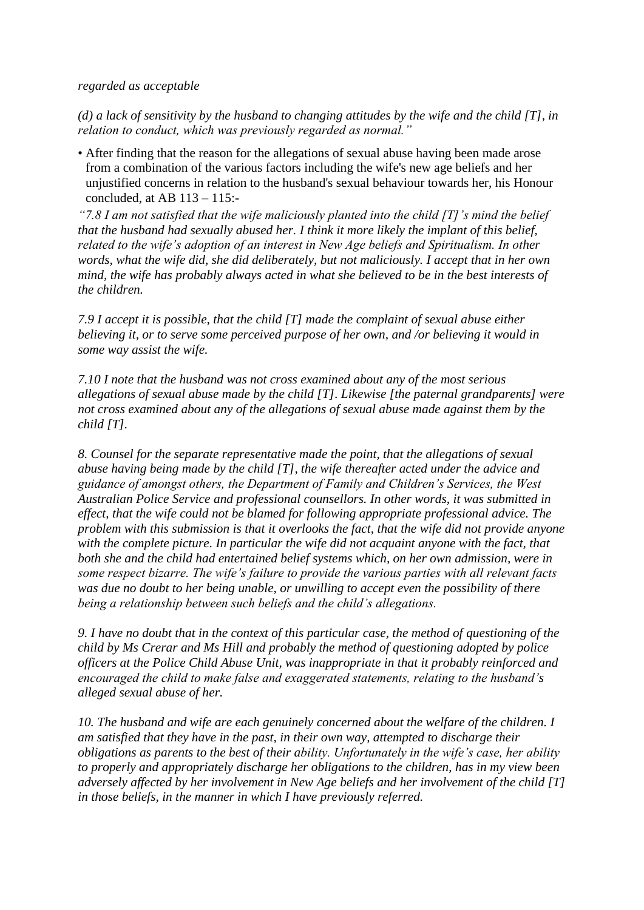#### *regarded as acceptable*

*(d) a lack of sensitivity by the husband to changing attitudes by the wife and the child [T], in relation to conduct, which was previously regarded as normal."*

• After finding that the reason for the allegations of sexual abuse having been made arose from a combination of the various factors including the wife's new age beliefs and her unjustified concerns in relation to the husband's sexual behaviour towards her, his Honour concluded, at AB  $113 - 115$ .

*"7.8 I am not satisfied that the wife maliciously planted into the child [T]'s mind the belief that the husband had sexually abused her. I think it more likely the implant of this belief, related to the wife's adoption of an interest in New Age beliefs and Spiritualism. In other words, what the wife did, she did deliberately, but not maliciously. I accept that in her own mind, the wife has probably always acted in what she believed to be in the best interests of the children.*

*7.9 I accept it is possible, that the child [T] made the complaint of sexual abuse either believing it, or to serve some perceived purpose of her own, and /or believing it would in some way assist the wife.*

*7.10 I note that the husband was not cross examined about any of the most serious allegations of sexual abuse made by the child [T]. Likewise [the paternal grandparents] were not cross examined about any of the allegations of sexual abuse made against them by the child [T].*

*8. Counsel for the separate representative made the point, that the allegations of sexual abuse having being made by the child [T], the wife thereafter acted under the advice and guidance of amongst others, the Department of Family and Children's Services, the West Australian Police Service and professional counsellors. In other words, it was submitted in effect, that the wife could not be blamed for following appropriate professional advice. The problem with this submission is that it overlooks the fact, that the wife did not provide anyone*  with the complete picture. In particular the wife did not acquaint anyone with the fact, that *both she and the child had entertained belief systems which, on her own admission, were in some respect bizarre. The wife's failure to provide the various parties with all relevant facts was due no doubt to her being unable, or unwilling to accept even the possibility of there being a relationship between such beliefs and the child's allegations.*

*9. I have no doubt that in the context of this particular case, the method of questioning of the child by Ms Crerar and Ms Hill and probably the method of questioning adopted by police officers at the Police Child Abuse Unit, was inappropriate in that it probably reinforced and encouraged the child to make false and exaggerated statements, relating to the husband's alleged sexual abuse of her.*

*10. The husband and wife are each genuinely concerned about the welfare of the children. I am satisfied that they have in the past, in their own way, attempted to discharge their obligations as parents to the best of their ability. Unfortunately in the wife's case, her ability to properly and appropriately discharge her obligations to the children, has in my view been adversely affected by her involvement in New Age beliefs and her involvement of the child [T] in those beliefs, in the manner in which I have previously referred.*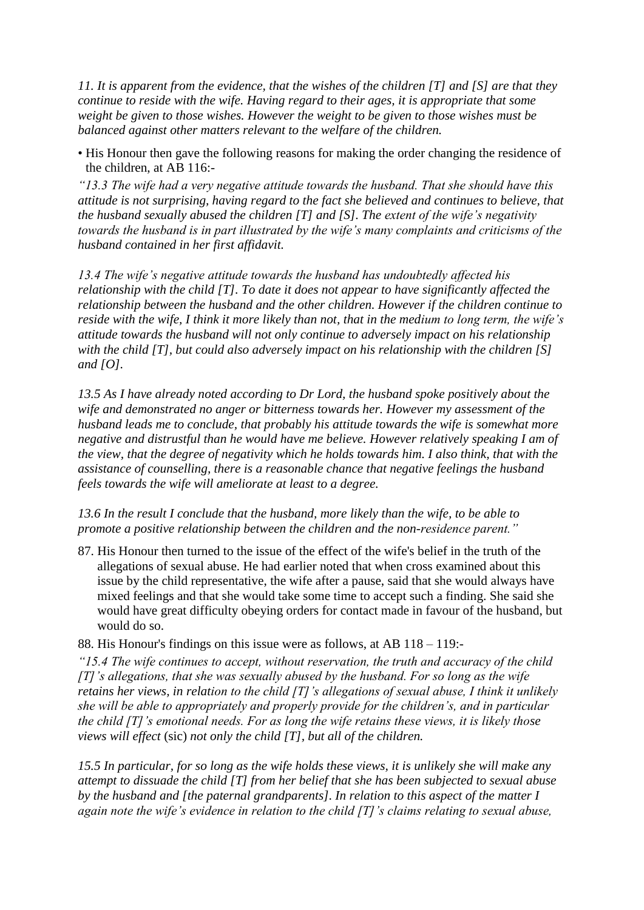*11. It is apparent from the evidence, that the wishes of the children [T] and [S] are that they continue to reside with the wife. Having regard to their ages, it is appropriate that some weight be given to those wishes. However the weight to be given to those wishes must be balanced against other matters relevant to the welfare of the children.*

• His Honour then gave the following reasons for making the order changing the residence of the children, at AB 116:-

*"13.3 The wife had a very negative attitude towards the husband. That she should have this attitude is not surprising, having regard to the fact she believed and continues to believe, that the husband sexually abused the children [T] and [S]. The extent of the wife's negativity towards the husband is in part illustrated by the wife's many complaints and criticisms of the husband contained in her first affidavit.*

*13.4 The wife's negative attitude towards the husband has undoubtedly affected his relationship with the child [T]. To date it does not appear to have significantly affected the relationship between the husband and the other children. However if the children continue to reside with the wife, I think it more likely than not, that in the medium to long term, the wife's attitude towards the husband will not only continue to adversely impact on his relationship with the child [T], but could also adversely impact on his relationship with the children [S] and [O].*

*13.5 As I have already noted according to Dr Lord, the husband spoke positively about the wife and demonstrated no anger or bitterness towards her. However my assessment of the husband leads me to conclude, that probably his attitude towards the wife is somewhat more negative and distrustful than he would have me believe. However relatively speaking I am of the view, that the degree of negativity which he holds towards him. I also think, that with the assistance of counselling, there is a reasonable chance that negative feelings the husband feels towards the wife will ameliorate at least to a degree.*

*13.6 In the result I conclude that the husband, more likely than the wife, to be able to promote a positive relationship between the children and the non-residence parent."*

87. His Honour then turned to the issue of the effect of the wife's belief in the truth of the allegations of sexual abuse. He had earlier noted that when cross examined about this issue by the child representative, the wife after a pause, said that she would always have mixed feelings and that she would take some time to accept such a finding. She said she would have great difficulty obeying orders for contact made in favour of the husband, but would do so.

88. His Honour's findings on this issue were as follows, at AB 118 – 119:-

*"15.4 The wife continues to accept, without reservation, the truth and accuracy of the child [T]'s allegations, that she was sexually abused by the husband. For so long as the wife retains her views, in relation to the child [T]'s allegations of sexual abuse, I think it unlikely she will be able to appropriately and properly provide for the children's, and in particular the child [T]'s emotional needs. For as long the wife retains these views, it is likely those views will effect* (sic) *not only the child [T], but all of the children.*

*15.5 In particular, for so long as the wife holds these views, it is unlikely she will make any attempt to dissuade the child [T] from her belief that she has been subjected to sexual abuse by the husband and [the paternal grandparents]. In relation to this aspect of the matter I again note the wife's evidence in relation to the child [T]'s claims relating to sexual abuse,*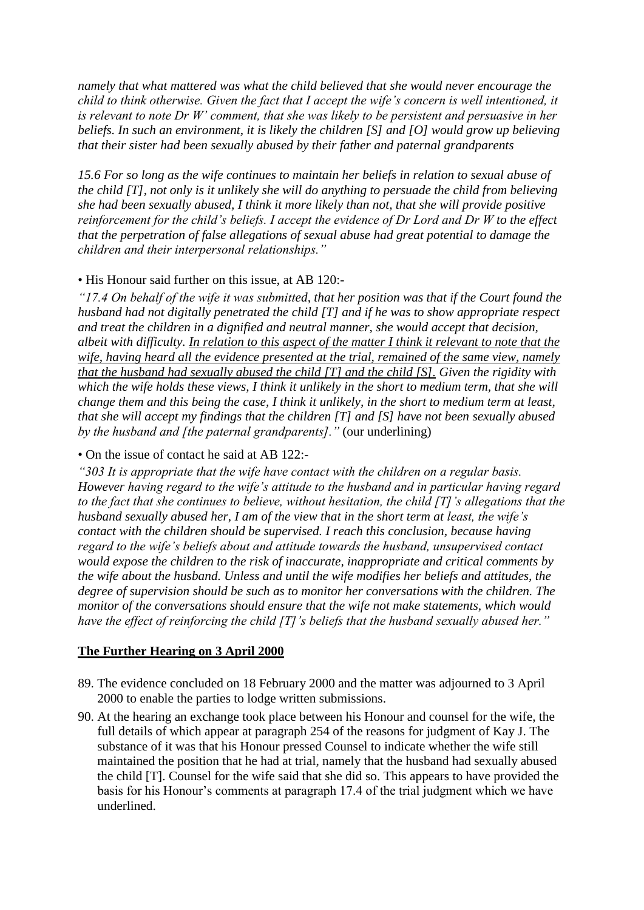*namely that what mattered was what the child believed that she would never encourage the child to think otherwise. Given the fact that I accept the wife's concern is well intentioned, it is relevant to note Dr W' comment, that she was likely to be persistent and persuasive in her beliefs. In such an environment, it is likely the children [S] and [O] would grow up believing that their sister had been sexually abused by their father and paternal grandparents*

*15.6 For so long as the wife continues to maintain her beliefs in relation to sexual abuse of the child [T], not only is it unlikely she will do anything to persuade the child from believing she had been sexually abused, I think it more likely than not, that she will provide positive reinforcement for the child's beliefs. I accept the evidence of Dr Lord and Dr W to the effect that the perpetration of false allegations of sexual abuse had great potential to damage the children and their interpersonal relationships."*

#### • His Honour said further on this issue, at AB 120:-

*"17.4 On behalf of the wife it was submitted, that her position was that if the Court found the husband had not digitally penetrated the child [T] and if he was to show appropriate respect and treat the children in a dignified and neutral manner, she would accept that decision, albeit with difficulty. In relation to this aspect of the matter I think it relevant to note that the wife, having heard all the evidence presented at the trial, remained of the same view, namely that the husband had sexually abused the child [T] and the child [S]. Given the rigidity with which the wife holds these views, I think it unlikely in the short to medium term, that she will change them and this being the case, I think it unlikely, in the short to medium term at least, that she will accept my findings that the children [T] and [S] have not been sexually abused by the husband and [the paternal grandparents]."* (our underlining)

#### • On the issue of contact he said at AB 122:-

*"303 It is appropriate that the wife have contact with the children on a regular basis. However having regard to the wife's attitude to the husband and in particular having regard to the fact that she continues to believe, without hesitation, the child [T]'s allegations that the husband sexually abused her, I am of the view that in the short term at least, the wife's contact with the children should be supervised. I reach this conclusion, because having regard to the wife's beliefs about and attitude towards the husband, unsupervised contact would expose the children to the risk of inaccurate, inappropriate and critical comments by the wife about the husband. Unless and until the wife modifies her beliefs and attitudes, the degree of supervision should be such as to monitor her conversations with the children. The monitor of the conversations should ensure that the wife not make statements, which would have the effect of reinforcing the child [T]'s beliefs that the husband sexually abused her."*

#### **The Further Hearing on 3 April 2000**

- 89. The evidence concluded on 18 February 2000 and the matter was adjourned to 3 April 2000 to enable the parties to lodge written submissions.
- 90. At the hearing an exchange took place between his Honour and counsel for the wife, the full details of which appear at paragraph 254 of the reasons for judgment of Kay J. The substance of it was that his Honour pressed Counsel to indicate whether the wife still maintained the position that he had at trial, namely that the husband had sexually abused the child [T]. Counsel for the wife said that she did so. This appears to have provided the basis for his Honour's comments at paragraph 17.4 of the trial judgment which we have underlined.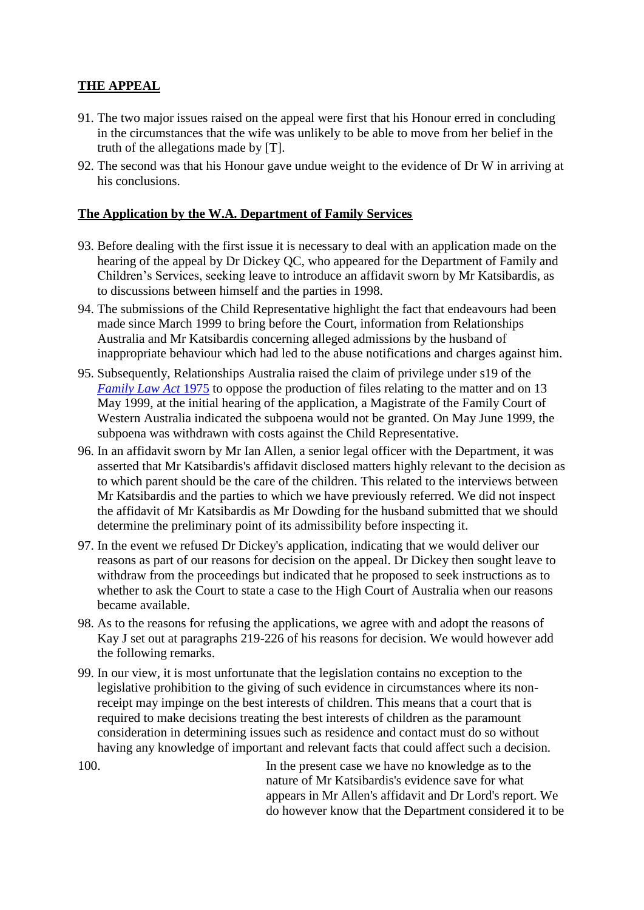# **THE APPEAL**

- 91. The two major issues raised on the appeal were first that his Honour erred in concluding in the circumstances that the wife was unlikely to be able to move from her belief in the truth of the allegations made by [T].
- 92. The second was that his Honour gave undue weight to the evidence of Dr W in arriving at his conclusions.

# **The Application by the W.A. Department of Family Services**

- 93. Before dealing with the first issue it is necessary to deal with an application made on the hearing of the appeal by Dr Dickey QC, who appeared for the Department of Family and Children's Services, seeking leave to introduce an affidavit sworn by Mr Katsibardis, as to discussions between himself and the parties in 1998.
- 94. The submissions of the Child Representative highlight the fact that endeavours had been made since March 1999 to bring before the Court, information from Relationships Australia and Mr Katsibardis concerning alleged admissions by the husband of inappropriate behaviour which had led to the abuse notifications and charges against him.
- 95. Subsequently, Relationships Australia raised the claim of privilege under s19 of the *[Family Law Act](http://www6.austlii.edu.au/cgi-bin/viewdoc/au/legis/cth/consol_act/fla1975114/)* [1975](http://www6.austlii.edu.au/cgi-bin/viewdoc/au/legis/cth/consol_act/fla1975114/) to oppose the production of files relating to the matter and on 13 May 1999, at the initial hearing of the application, a Magistrate of the Family Court of Western Australia indicated the subpoena would not be granted. On May June 1999, the subpoena was withdrawn with costs against the Child Representative.
- 96. In an affidavit sworn by Mr Ian Allen, a senior legal officer with the Department, it was asserted that Mr Katsibardis's affidavit disclosed matters highly relevant to the decision as to which parent should be the care of the children. This related to the interviews between Mr Katsibardis and the parties to which we have previously referred. We did not inspect the affidavit of Mr Katsibardis as Mr Dowding for the husband submitted that we should determine the preliminary point of its admissibility before inspecting it.
- 97. In the event we refused Dr Dickey's application, indicating that we would deliver our reasons as part of our reasons for decision on the appeal. Dr Dickey then sought leave to withdraw from the proceedings but indicated that he proposed to seek instructions as to whether to ask the Court to state a case to the High Court of Australia when our reasons became available.
- 98. As to the reasons for refusing the applications, we agree with and adopt the reasons of Kay J set out at paragraphs 219-226 of his reasons for decision. We would however add the following remarks.
- 99. In our view, it is most unfortunate that the legislation contains no exception to the legislative prohibition to the giving of such evidence in circumstances where its nonreceipt may impinge on the best interests of children. This means that a court that is required to make decisions treating the best interests of children as the paramount consideration in determining issues such as residence and contact must do so without having any knowledge of important and relevant facts that could affect such a decision.

100. In the present case we have no knowledge as to the nature of Mr Katsibardis's evidence save for what appears in Mr Allen's affidavit and Dr Lord's report. We do however know that the Department considered it to be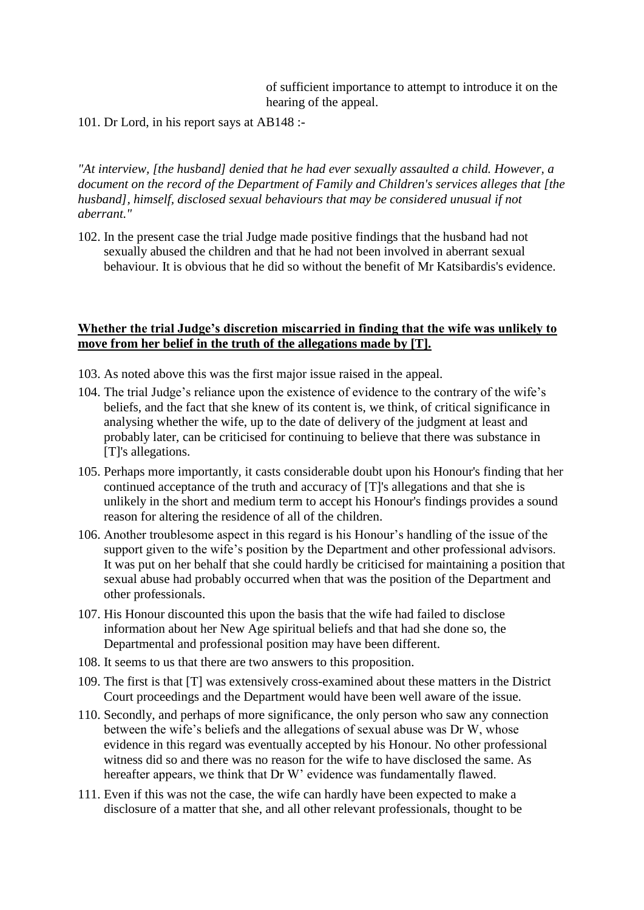of sufficient importance to attempt to introduce it on the hearing of the appeal.

101. Dr Lord, in his report says at AB148 :-

*"At interview, [the husband] denied that he had ever sexually assaulted a child. However, a document on the record of the Department of Family and Children's services alleges that [the husband], himself, disclosed sexual behaviours that may be considered unusual if not aberrant."*

102. In the present case the trial Judge made positive findings that the husband had not sexually abused the children and that he had not been involved in aberrant sexual behaviour. It is obvious that he did so without the benefit of Mr Katsibardis's evidence.

#### **Whether the trial Judge's discretion miscarried in finding that the wife was unlikely to move from her belief in the truth of the allegations made by [T].**

- 103. As noted above this was the first major issue raised in the appeal.
- 104. The trial Judge's reliance upon the existence of evidence to the contrary of the wife's beliefs, and the fact that she knew of its content is, we think, of critical significance in analysing whether the wife, up to the date of delivery of the judgment at least and probably later, can be criticised for continuing to believe that there was substance in [T]'s allegations.
- 105. Perhaps more importantly, it casts considerable doubt upon his Honour's finding that her continued acceptance of the truth and accuracy of [T]'s allegations and that she is unlikely in the short and medium term to accept his Honour's findings provides a sound reason for altering the residence of all of the children.
- 106. Another troublesome aspect in this regard is his Honour's handling of the issue of the support given to the wife's position by the Department and other professional advisors. It was put on her behalf that she could hardly be criticised for maintaining a position that sexual abuse had probably occurred when that was the position of the Department and other professionals.
- 107. His Honour discounted this upon the basis that the wife had failed to disclose information about her New Age spiritual beliefs and that had she done so, the Departmental and professional position may have been different.
- 108. It seems to us that there are two answers to this proposition.
- 109. The first is that [T] was extensively cross-examined about these matters in the District Court proceedings and the Department would have been well aware of the issue.
- 110. Secondly, and perhaps of more significance, the only person who saw any connection between the wife's beliefs and the allegations of sexual abuse was Dr W, whose evidence in this regard was eventually accepted by his Honour. No other professional witness did so and there was no reason for the wife to have disclosed the same. As hereafter appears, we think that Dr W' evidence was fundamentally flawed.
- 111. Even if this was not the case, the wife can hardly have been expected to make a disclosure of a matter that she, and all other relevant professionals, thought to be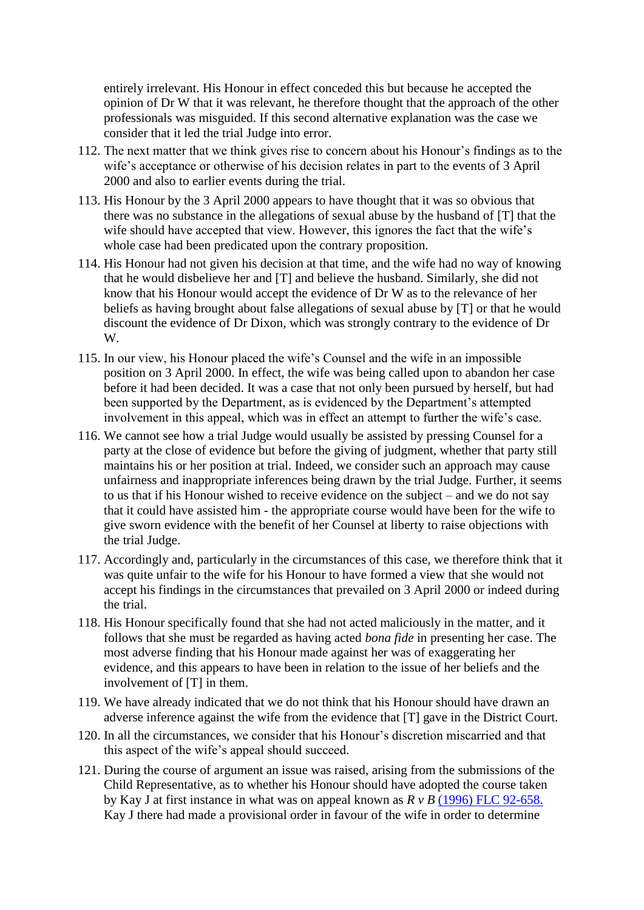entirely irrelevant. His Honour in effect conceded this but because he accepted the opinion of Dr W that it was relevant, he therefore thought that the approach of the other professionals was misguided. If this second alternative explanation was the case we consider that it led the trial Judge into error.

- 112. The next matter that we think gives rise to concern about his Honour's findings as to the wife's acceptance or otherwise of his decision relates in part to the events of 3 April 2000 and also to earlier events during the trial.
- 113. His Honour by the 3 April 2000 appears to have thought that it was so obvious that there was no substance in the allegations of sexual abuse by the husband of [T] that the wife should have accepted that view. However, this ignores the fact that the wife's whole case had been predicated upon the contrary proposition.
- 114. His Honour had not given his decision at that time, and the wife had no way of knowing that he would disbelieve her and [T] and believe the husband. Similarly, she did not know that his Honour would accept the evidence of Dr W as to the relevance of her beliefs as having brought about false allegations of sexual abuse by [T] or that he would discount the evidence of Dr Dixon, which was strongly contrary to the evidence of Dr W.
- 115. In our view, his Honour placed the wife's Counsel and the wife in an impossible position on 3 April 2000. In effect, the wife was being called upon to abandon her case before it had been decided. It was a case that not only been pursued by herself, but had been supported by the Department, as is evidenced by the Department's attempted involvement in this appeal, which was in effect an attempt to further the wife's case.
- 116. We cannot see how a trial Judge would usually be assisted by pressing Counsel for a party at the close of evidence but before the giving of judgment, whether that party still maintains his or her position at trial. Indeed, we consider such an approach may cause unfairness and inappropriate inferences being drawn by the trial Judge. Further, it seems to us that if his Honour wished to receive evidence on the subject – and we do not say that it could have assisted him - the appropriate course would have been for the wife to give sworn evidence with the benefit of her Counsel at liberty to raise objections with the trial Judge.
- 117. Accordingly and, particularly in the circumstances of this case, we therefore think that it was quite unfair to the wife for his Honour to have formed a view that she would not accept his findings in the circumstances that prevailed on 3 April 2000 or indeed during the trial.
- 118. His Honour specifically found that she had not acted maliciously in the matter, and it follows that she must be regarded as having acted *bona fide* in presenting her case. The most adverse finding that his Honour made against her was of exaggerating her evidence, and this appears to have been in relation to the issue of her beliefs and the involvement of [T] in them.
- 119. We have already indicated that we do not think that his Honour should have drawn an adverse inference against the wife from the evidence that [T] gave in the District Court.
- 120. In all the circumstances, we consider that his Honour's discretion miscarried and that this aspect of the wife's appeal should succeed.
- 121. During the course of argument an issue was raised, arising from the submissions of the Child Representative, as to whether his Honour should have adopted the course taken by Kay J at first instance in what was on appeal known as *R v B* [\(1996\) FLC 92-658.](http://www6.austlii.edu.au/cgi-bin/LawCite?cit=%281996%29%20FLC%2092%2d658) Kay J there had made a provisional order in favour of the wife in order to determine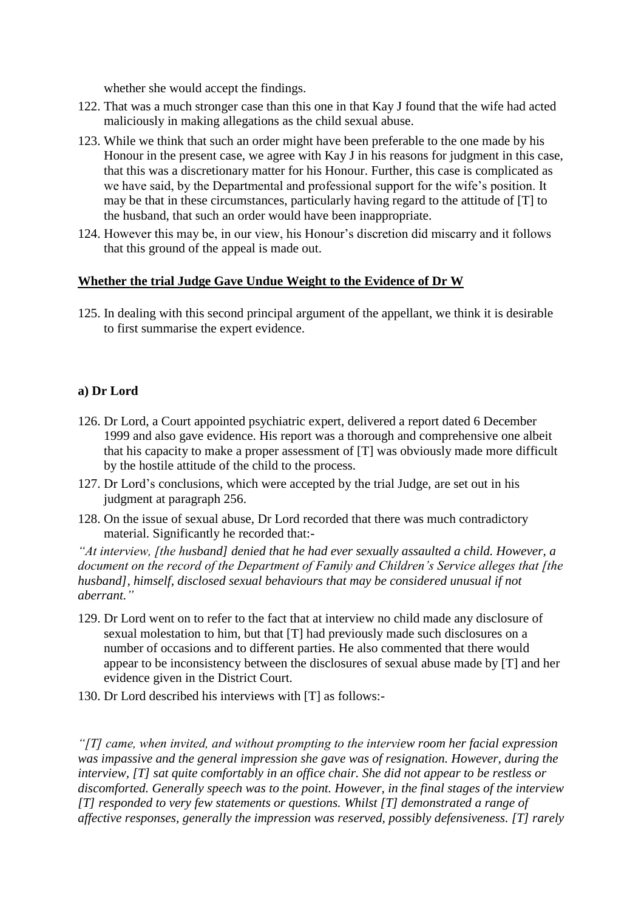whether she would accept the findings.

- 122. That was a much stronger case than this one in that Kay J found that the wife had acted maliciously in making allegations as the child sexual abuse.
- 123. While we think that such an order might have been preferable to the one made by his Honour in the present case, we agree with Kay J in his reasons for judgment in this case, that this was a discretionary matter for his Honour. Further, this case is complicated as we have said, by the Departmental and professional support for the wife's position. It may be that in these circumstances, particularly having regard to the attitude of [T] to the husband, that such an order would have been inappropriate.
- 124. However this may be, in our view, his Honour's discretion did miscarry and it follows that this ground of the appeal is made out.

# **Whether the trial Judge Gave Undue Weight to the Evidence of Dr W**

125. In dealing with this second principal argument of the appellant, we think it is desirable to first summarise the expert evidence.

# **a) Dr Lord**

- 126. Dr Lord, a Court appointed psychiatric expert, delivered a report dated 6 December 1999 and also gave evidence. His report was a thorough and comprehensive one albeit that his capacity to make a proper assessment of [T] was obviously made more difficult by the hostile attitude of the child to the process.
- 127. Dr Lord's conclusions, which were accepted by the trial Judge, are set out in his judgment at paragraph 256.
- 128. On the issue of sexual abuse, Dr Lord recorded that there was much contradictory material. Significantly he recorded that:-

*"At interview, [the husband] denied that he had ever sexually assaulted a child. However, a document on the record of the Department of Family and Children's Service alleges that [the husband], himself, disclosed sexual behaviours that may be considered unusual if not aberrant."* 

- 129. Dr Lord went on to refer to the fact that at interview no child made any disclosure of sexual molestation to him, but that [T] had previously made such disclosures on a number of occasions and to different parties. He also commented that there would appear to be inconsistency between the disclosures of sexual abuse made by [T] and her evidence given in the District Court.
- 130. Dr Lord described his interviews with [T] as follows:-

*"[T] came, when invited, and without prompting to the interview room her facial expression was impassive and the general impression she gave was of resignation. However, during the interview, [T] sat quite comfortably in an office chair. She did not appear to be restless or discomforted. Generally speech was to the point. However, in the final stages of the interview [T] responded to very few statements or questions. Whilst [T] demonstrated a range of affective responses, generally the impression was reserved, possibly defensiveness. [T] rarely*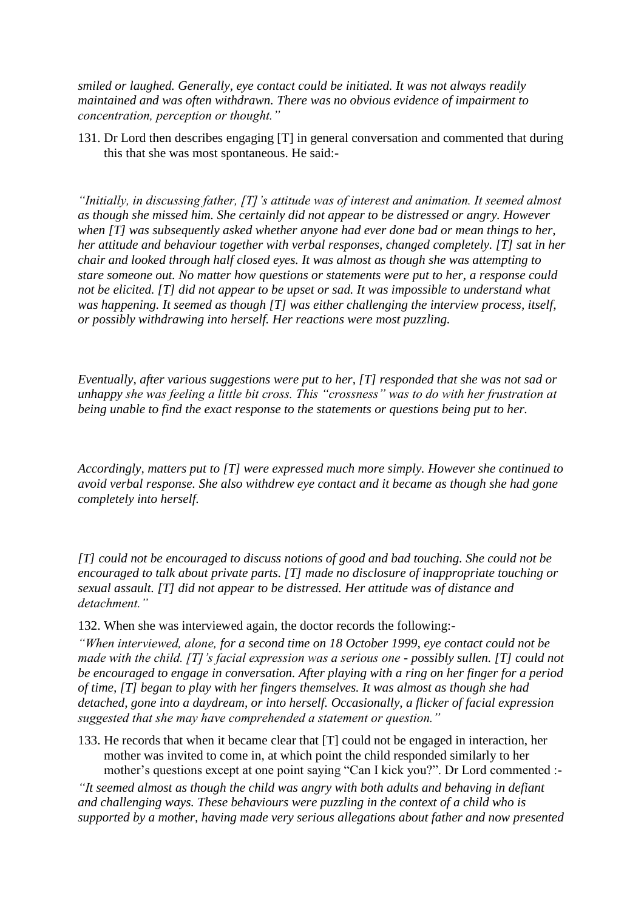*smiled or laughed. Generally, eye contact could be initiated. It was not always readily maintained and was often withdrawn. There was no obvious evidence of impairment to concentration, perception or thought."*

131. Dr Lord then describes engaging [T] in general conversation and commented that during this that she was most spontaneous. He said:-

*"Initially, in discussing father, [T]'s attitude was of interest and animation. It seemed almost as though she missed him. She certainly did not appear to be distressed or angry. However when [T] was subsequently asked whether anyone had ever done bad or mean things to her, her attitude and behaviour together with verbal responses, changed completely. [T] sat in her chair and looked through half closed eyes. It was almost as though she was attempting to stare someone out. No matter how questions or statements were put to her, a response could not be elicited. [T] did not appear to be upset or sad. It was impossible to understand what was happening. It seemed as though [T] was either challenging the interview process, itself, or possibly withdrawing into herself. Her reactions were most puzzling.* 

*Eventually, after various suggestions were put to her, [T] responded that she was not sad or unhappy she was feeling a little bit cross. This "crossness" was to do with her frustration at being unable to find the exact response to the statements or questions being put to her.*

*Accordingly, matters put to [T] were expressed much more simply. However she continued to avoid verbal response. She also withdrew eye contact and it became as though she had gone completely into herself.*

*[T] could not be encouraged to discuss notions of good and bad touching. She could not be encouraged to talk about private parts. [T] made no disclosure of inappropriate touching or sexual assault. [T] did not appear to be distressed. Her attitude was of distance and detachment."*

132. When she was interviewed again, the doctor records the following:-

*"When interviewed, alone, for a second time on 18 October 1999, eye contact could not be made with the child. [T]'s facial expression was a serious one - possibly sullen. [T] could not be encouraged to engage in conversation. After playing with a ring on her finger for a period of time, [T] began to play with her fingers themselves. It was almost as though she had detached, gone into a daydream, or into herself. Occasionally, a flicker of facial expression suggested that she may have comprehended a statement or question."*

133. He records that when it became clear that [T] could not be engaged in interaction, her mother was invited to come in, at which point the child responded similarly to her mother's questions except at one point saying "Can I kick you?". Dr Lord commented :-

*"It seemed almost as though the child was angry with both adults and behaving in defiant and challenging ways. These behaviours were puzzling in the context of a child who is supported by a mother, having made very serious allegations about father and now presented*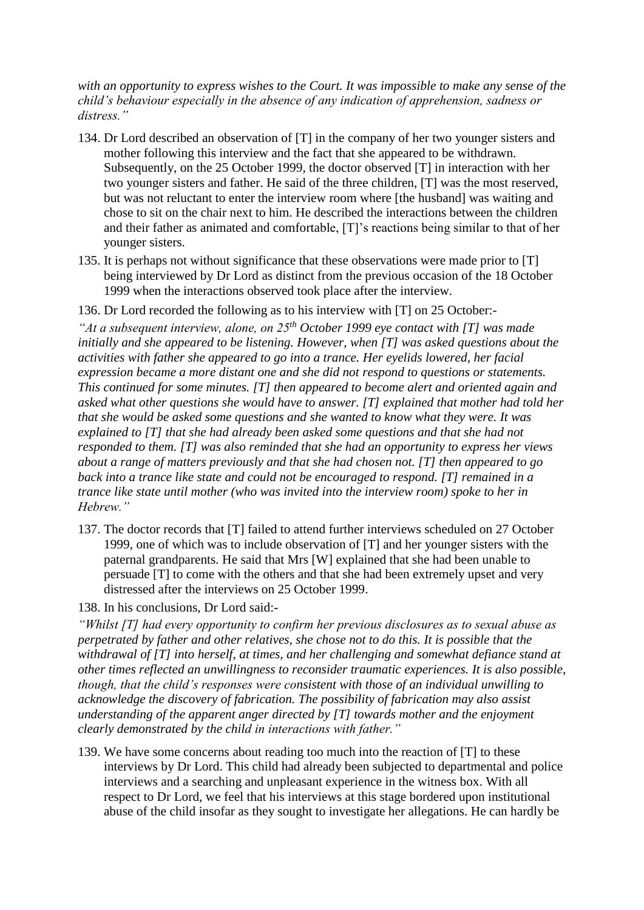*with an opportunity to express wishes to the Court. It was impossible to make any sense of the child's behaviour especially in the absence of any indication of apprehension, sadness or distress."*

- 134. Dr Lord described an observation of [T] in the company of her two younger sisters and mother following this interview and the fact that she appeared to be withdrawn. Subsequently, on the 25 October 1999, the doctor observed [T] in interaction with her two younger sisters and father. He said of the three children, [T] was the most reserved, but was not reluctant to enter the interview room where [the husband] was waiting and chose to sit on the chair next to him. He described the interactions between the children and their father as animated and comfortable, [T]'s reactions being similar to that of her younger sisters.
- 135. It is perhaps not without significance that these observations were made prior to [T] being interviewed by Dr Lord as distinct from the previous occasion of the 18 October 1999 when the interactions observed took place after the interview.
- 136. Dr Lord recorded the following as to his interview with [T] on 25 October:-

*"At a subsequent interview, alone, on 25th October 1999 eye contact with [T] was made initially and she appeared to be listening. However, when [T] was asked questions about the activities with father she appeared to go into a trance. Her eyelids lowered, her facial expression became a more distant one and she did not respond to questions or statements. This continued for some minutes. [T] then appeared to become alert and oriented again and asked what other questions she would have to answer. [T] explained that mother had told her that she would be asked some questions and she wanted to know what they were. It was explained to [T] that she had already been asked some questions and that she had not responded to them. [T] was also reminded that she had an opportunity to express her views about a range of matters previously and that she had chosen not. [T] then appeared to go back into a trance like state and could not be encouraged to respond. [T] remained in a trance like state until mother (who was invited into the interview room) spoke to her in Hebrew."*

- 137. The doctor records that [T] failed to attend further interviews scheduled on 27 October 1999, one of which was to include observation of [T] and her younger sisters with the paternal grandparents. He said that Mrs [W] explained that she had been unable to persuade [T] to come with the others and that she had been extremely upset and very distressed after the interviews on 25 October 1999.
- 138. In his conclusions, Dr Lord said:-

*"Whilst [T] had every opportunity to confirm her previous disclosures as to sexual abuse as perpetrated by father and other relatives, she chose not to do this. It is possible that the withdrawal of [T] into herself, at times, and her challenging and somewhat defiance stand at other times reflected an unwillingness to reconsider traumatic experiences. It is also possible, though, that the child's responses were consistent with those of an individual unwilling to acknowledge the discovery of fabrication. The possibility of fabrication may also assist understanding of the apparent anger directed by [T] towards mother and the enjoyment clearly demonstrated by the child in interactions with father."*

139. We have some concerns about reading too much into the reaction of [T] to these interviews by Dr Lord. This child had already been subjected to departmental and police interviews and a searching and unpleasant experience in the witness box. With all respect to Dr Lord, we feel that his interviews at this stage bordered upon institutional abuse of the child insofar as they sought to investigate her allegations. He can hardly be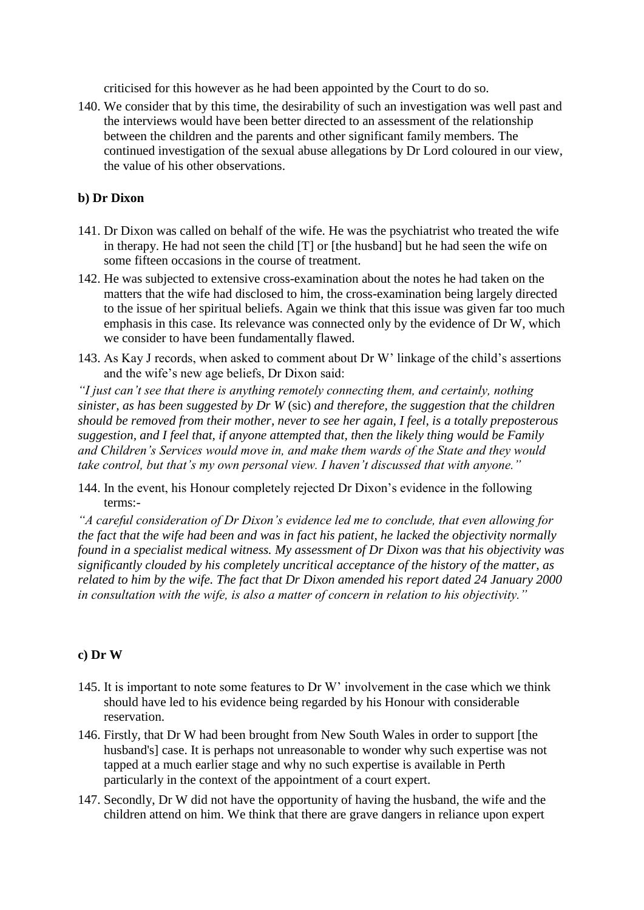criticised for this however as he had been appointed by the Court to do so.

140. We consider that by this time, the desirability of such an investigation was well past and the interviews would have been better directed to an assessment of the relationship between the children and the parents and other significant family members. The continued investigation of the sexual abuse allegations by Dr Lord coloured in our view, the value of his other observations.

## **b) Dr Dixon**

- 141. Dr Dixon was called on behalf of the wife. He was the psychiatrist who treated the wife in therapy. He had not seen the child [T] or [the husband] but he had seen the wife on some fifteen occasions in the course of treatment.
- 142. He was subjected to extensive cross-examination about the notes he had taken on the matters that the wife had disclosed to him, the cross-examination being largely directed to the issue of her spiritual beliefs. Again we think that this issue was given far too much emphasis in this case. Its relevance was connected only by the evidence of Dr W, which we consider to have been fundamentally flawed.
- 143. As Kay J records, when asked to comment about Dr W' linkage of the child's assertions and the wife's new age beliefs, Dr Dixon said:

*"I just can't see that there is anything remotely connecting them, and certainly, nothing sinister, as has been suggested by Dr W* (sic) *and therefore, the suggestion that the children should be removed from their mother, never to see her again, I feel, is a totally preposterous suggestion, and I feel that, if anyone attempted that, then the likely thing would be Family and Children's Services would move in, and make them wards of the State and they would take control, but that's my own personal view. I haven't discussed that with anyone."*

144. In the event, his Honour completely rejected Dr Dixon's evidence in the following terms:-

*"A careful consideration of Dr Dixon's evidence led me to conclude, that even allowing for the fact that the wife had been and was in fact his patient, he lacked the objectivity normally found in a specialist medical witness. My assessment of Dr Dixon was that his objectivity was significantly clouded by his completely uncritical acceptance of the history of the matter, as related to him by the wife. The fact that Dr Dixon amended his report dated 24 January 2000 in consultation with the wife, is also a matter of concern in relation to his objectivity."*

#### **c) Dr W**

- 145. It is important to note some features to Dr W' involvement in the case which we think should have led to his evidence being regarded by his Honour with considerable reservation.
- 146. Firstly, that Dr W had been brought from New South Wales in order to support [the husband's] case. It is perhaps not unreasonable to wonder why such expertise was not tapped at a much earlier stage and why no such expertise is available in Perth particularly in the context of the appointment of a court expert.
- 147. Secondly, Dr W did not have the opportunity of having the husband, the wife and the children attend on him. We think that there are grave dangers in reliance upon expert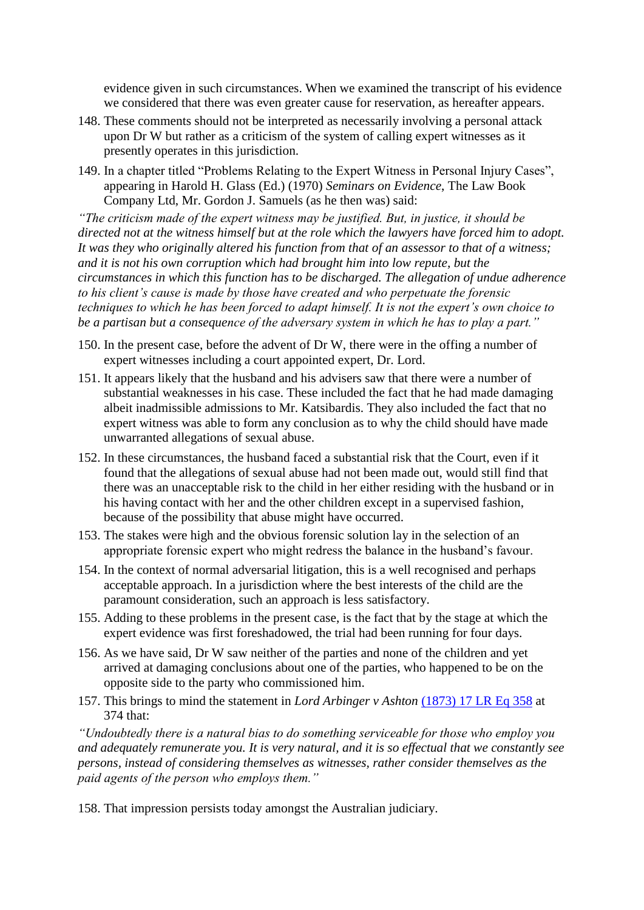evidence given in such circumstances. When we examined the transcript of his evidence we considered that there was even greater cause for reservation, as hereafter appears.

- 148. These comments should not be interpreted as necessarily involving a personal attack upon Dr W but rather as a criticism of the system of calling expert witnesses as it presently operates in this jurisdiction.
- 149. In a chapter titled "Problems Relating to the Expert Witness in Personal Injury Cases", appearing in Harold H. Glass (Ed.) (1970) *Seminars on Evidence*, The Law Book Company Ltd, Mr. Gordon J. Samuels (as he then was) said:

*"The criticism made of the expert witness may be justified. But, in justice, it should be directed not at the witness himself but at the role which the lawyers have forced him to adopt. It was they who originally altered his function from that of an assessor to that of a witness; and it is not his own corruption which had brought him into low repute, but the circumstances in which this function has to be discharged. The allegation of undue adherence to his client's cause is made by those have created and who perpetuate the forensic techniques to which he has been forced to adapt himself. It is not the expert's own choice to be a partisan but a consequence of the adversary system in which he has to play a part."*

- 150. In the present case, before the advent of Dr W, there were in the offing a number of expert witnesses including a court appointed expert, Dr. Lord.
- 151. It appears likely that the husband and his advisers saw that there were a number of substantial weaknesses in his case. These included the fact that he had made damaging albeit inadmissible admissions to Mr. Katsibardis. They also included the fact that no expert witness was able to form any conclusion as to why the child should have made unwarranted allegations of sexual abuse.
- 152. In these circumstances, the husband faced a substantial risk that the Court, even if it found that the allegations of sexual abuse had not been made out, would still find that there was an unacceptable risk to the child in her either residing with the husband or in his having contact with her and the other children except in a supervised fashion, because of the possibility that abuse might have occurred.
- 153. The stakes were high and the obvious forensic solution lay in the selection of an appropriate forensic expert who might redress the balance in the husband's favour.
- 154. In the context of normal adversarial litigation, this is a well recognised and perhaps acceptable approach. In a jurisdiction where the best interests of the child are the paramount consideration, such an approach is less satisfactory.
- 155. Adding to these problems in the present case, is the fact that by the stage at which the expert evidence was first foreshadowed, the trial had been running for four days.
- 156. As we have said, Dr W saw neither of the parties and none of the children and yet arrived at damaging conclusions about one of the parties, who happened to be on the opposite side to the party who commissioned him.
- 157. This brings to mind the statement in *Lord Arbinger v Ashton* [\(1873\) 17 LR Eq 358](http://www6.austlii.edu.au/cgi-bin/LawCite?cit=%281873%29%2017%20LREQ%20358) at 374 that:

*"Undoubtedly there is a natural bias to do something serviceable for those who employ you and adequately remunerate you. It is very natural, and it is so effectual that we constantly see persons, instead of considering themselves as witnesses, rather consider themselves as the paid agents of the person who employs them."*

158. That impression persists today amongst the Australian judiciary.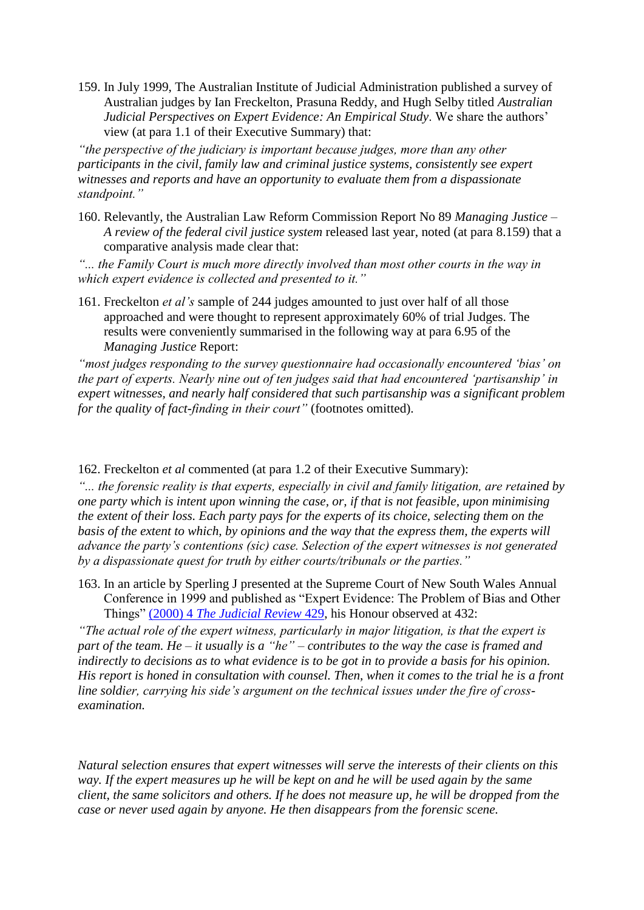159. In July 1999, The Australian Institute of Judicial Administration published a survey of Australian judges by Ian Freckelton, Prasuna Reddy, and Hugh Selby titled *Australian Judicial Perspectives on Expert Evidence: An Empirical Study*. We share the authors' view (at para 1.1 of their Executive Summary) that:

*"the perspective of the judiciary is important because judges, more than any other participants in the civil, family law and criminal justice systems, consistently see expert witnesses and reports and have an opportunity to evaluate them from a dispassionate standpoint."*

160. Relevantly, the Australian Law Reform Commission Report No 89 *Managing Justice – A review of the federal civil justice system* released last year, noted (at para 8.159) that a comparative analysis made clear that:

*"... the Family Court is much more directly involved than most other courts in the way in which expert evidence is collected and presented to it."*

161. Freckelton *et al's* sample of 244 judges amounted to just over half of all those approached and were thought to represent approximately 60% of trial Judges. The results were conveniently summarised in the following way at para 6.95 of the *Managing Justice* Report:

*"most judges responding to the survey questionnaire had occasionally encountered 'bias' on the part of experts. Nearly nine out of ten judges said that had encountered 'partisanship' in expert witnesses, and nearly half considered that such partisanship was a significant problem for the quality of fact-finding in their court"* (footnotes omitted).

162. Freckelton *et al* commented (at para 1.2 of their Executive Summary):

*"... the forensic reality is that experts, especially in civil and family litigation, are retained by one party which is intent upon winning the case, or, if that is not feasible, upon minimising the extent of their loss. Each party pays for the experts of its choice, selecting them on the basis of the extent to which, by opinions and the way that the express them, the experts will advance the party's contentions (sic) case. Selection of the expert witnesses is not generated by a dispassionate quest for truth by either courts/tribunals or the parties."*

163. In an article by Sperling J presented at the Supreme Court of New South Wales Annual Conference in 1999 and published as "Expert Evidence: The Problem of Bias and Other Things" (2000) 4 *[The Judicial Review](http://www6.austlii.edu.au/cgi-bin/LawCite?cit=%282000%29%204%20Judicial%20Review%20429)* 429, his Honour observed at 432:

*"The actual role of the expert witness, particularly in major litigation, is that the expert is part of the team. He – it usually is a "he" – contributes to the way the case is framed and indirectly to decisions as to what evidence is to be got in to provide a basis for his opinion. His report is honed in consultation with counsel. Then, when it comes to the trial he is a front line soldier, carrying his side's argument on the technical issues under the fire of crossexamination.*

*Natural selection ensures that expert witnesses will serve the interests of their clients on this way. If the expert measures up he will be kept on and he will be used again by the same client, the same solicitors and others. If he does not measure up, he will be dropped from the case or never used again by anyone. He then disappears from the forensic scene.*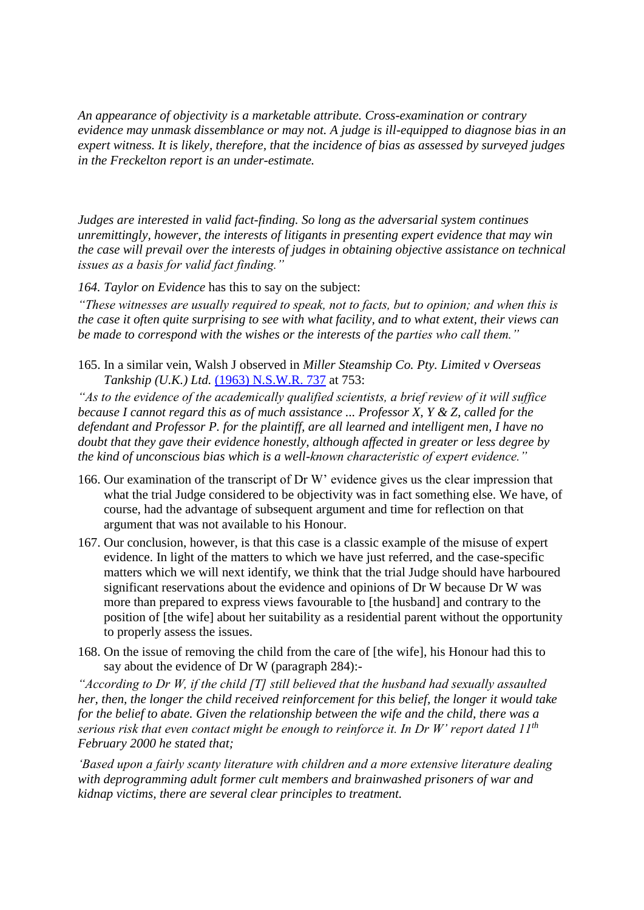*An appearance of objectivity is a marketable attribute. Cross-examination or contrary evidence may unmask dissemblance or may not. A judge is ill-equipped to diagnose bias in an expert witness. It is likely, therefore, that the incidence of bias as assessed by surveyed judges in the Freckelton report is an under-estimate.*

*Judges are interested in valid fact-finding. So long as the adversarial system continues unremittingly, however, the interests of litigants in presenting expert evidence that may win the case will prevail over the interests of judges in obtaining objective assistance on technical issues as a basis for valid fact finding."*

*164. Taylor on Evidence* has this to say on the subject:

*"These witnesses are usually required to speak, not to facts, but to opinion; and when this is the case it often quite surprising to see with what facility, and to what extent, their views can be made to correspond with the wishes or the interests of the parties who call them."*

165. In a similar vein, Walsh J observed in *Miller Steamship Co. Pty. Limited v Overseas Tankship (U.K.) Ltd.* [\(1963\) N.S.W.R. 737](http://www6.austlii.edu.au/cgi-bin/LawCite?cit=%281963%29%20NSWR%20737) at 753:

*"As to the evidence of the academically qualified scientists, a brief review of it will suffice because I cannot regard this as of much assistance ... Professor X, Y & Z, called for the defendant and Professor P. for the plaintiff, are all learned and intelligent men, I have no doubt that they gave their evidence honestly, although affected in greater or less degree by the kind of unconscious bias which is a well-known characteristic of expert evidence."*

- 166. Our examination of the transcript of Dr W' evidence gives us the clear impression that what the trial Judge considered to be objectivity was in fact something else. We have, of course, had the advantage of subsequent argument and time for reflection on that argument that was not available to his Honour.
- 167. Our conclusion, however, is that this case is a classic example of the misuse of expert evidence. In light of the matters to which we have just referred, and the case-specific matters which we will next identify, we think that the trial Judge should have harboured significant reservations about the evidence and opinions of Dr W because Dr W was more than prepared to express views favourable to [the husband] and contrary to the position of [the wife] about her suitability as a residential parent without the opportunity to properly assess the issues.
- 168. On the issue of removing the child from the care of [the wife], his Honour had this to say about the evidence of Dr W (paragraph 284):-

*"According to Dr W, if the child [T] still believed that the husband had sexually assaulted her, then, the longer the child received reinforcement for this belief, the longer it would take for the belief to abate. Given the relationship between the wife and the child, there was a serious risk that even contact might be enough to reinforce it. In Dr W' report dated 11th February 2000 he stated that;*

*'Based upon a fairly scanty literature with children and a more extensive literature dealing with deprogramming adult former cult members and brainwashed prisoners of war and kidnap victims, there are several clear principles to treatment.*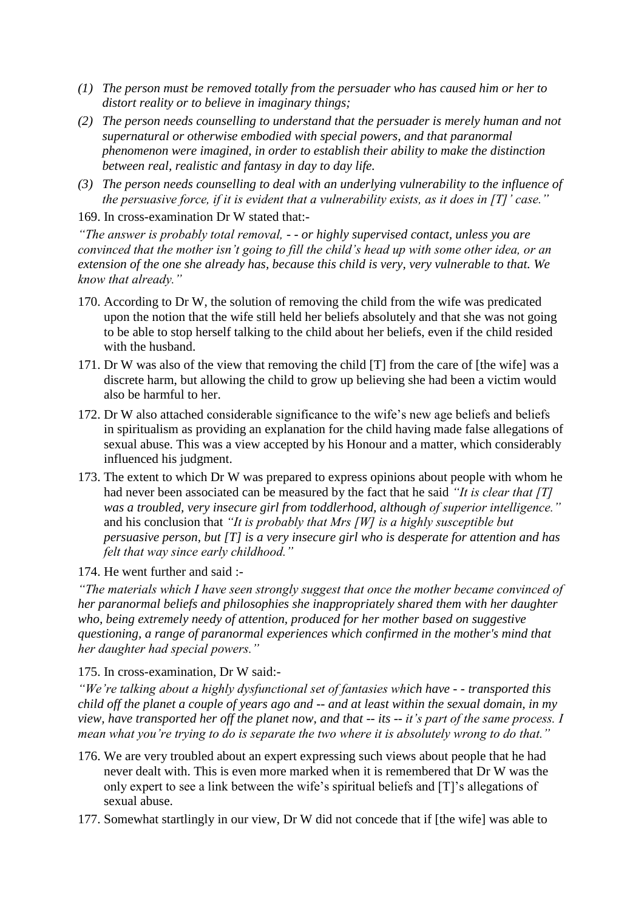- *(1) The person must be removed totally from the persuader who has caused him or her to distort reality or to believe in imaginary things;*
- *(2) The person needs counselling to understand that the persuader is merely human and not supernatural or otherwise embodied with special powers, and that paranormal phenomenon were imagined, in order to establish their ability to make the distinction between real, realistic and fantasy in day to day life.*
- *(3) The person needs counselling to deal with an underlying vulnerability to the influence of the persuasive force, if it is evident that a vulnerability exists, as it does in [T]' case."*

169. In cross-examination Dr W stated that:-

*"The answer is probably total removal, - - or highly supervised contact, unless you are convinced that the mother isn't going to fill the child's head up with some other idea, or an extension of the one she already has, because this child is very, very vulnerable to that. We know that already."*

- 170. According to Dr W, the solution of removing the child from the wife was predicated upon the notion that the wife still held her beliefs absolutely and that she was not going to be able to stop herself talking to the child about her beliefs, even if the child resided with the husband.
- 171. Dr W was also of the view that removing the child [T] from the care of [the wife] was a discrete harm, but allowing the child to grow up believing she had been a victim would also be harmful to her.
- 172. Dr W also attached considerable significance to the wife's new age beliefs and beliefs in spiritualism as providing an explanation for the child having made false allegations of sexual abuse. This was a view accepted by his Honour and a matter, which considerably influenced his judgment.
- 173. The extent to which Dr W was prepared to express opinions about people with whom he had never been associated can be measured by the fact that he said *"It is clear that [T] was a troubled, very insecure girl from toddlerhood, although of superior intelligence."* and his conclusion that *"It is probably that Mrs [W] is a highly susceptible but persuasive person, but [T] is a very insecure girl who is desperate for attention and has felt that way since early childhood."*

174. He went further and said :-

*"The materials which I have seen strongly suggest that once the mother became convinced of her paranormal beliefs and philosophies she inappropriately shared them with her daughter who, being extremely needy of attention, produced for her mother based on suggestive questioning, a range of paranormal experiences which confirmed in the mother's mind that her daughter had special powers."*

175. In cross-examination, Dr W said:-

*"We're talking about a highly dysfunctional set of fantasies which have - - transported this child off the planet a couple of years ago and -- and at least within the sexual domain, in my view, have transported her off the planet now, and that -- its -- it's part of the same process. I mean what you're trying to do is separate the two where it is absolutely wrong to do that."*

- 176. We are very troubled about an expert expressing such views about people that he had never dealt with. This is even more marked when it is remembered that Dr W was the only expert to see a link between the wife's spiritual beliefs and [T]'s allegations of sexual abuse.
- 177. Somewhat startlingly in our view, Dr W did not concede that if [the wife] was able to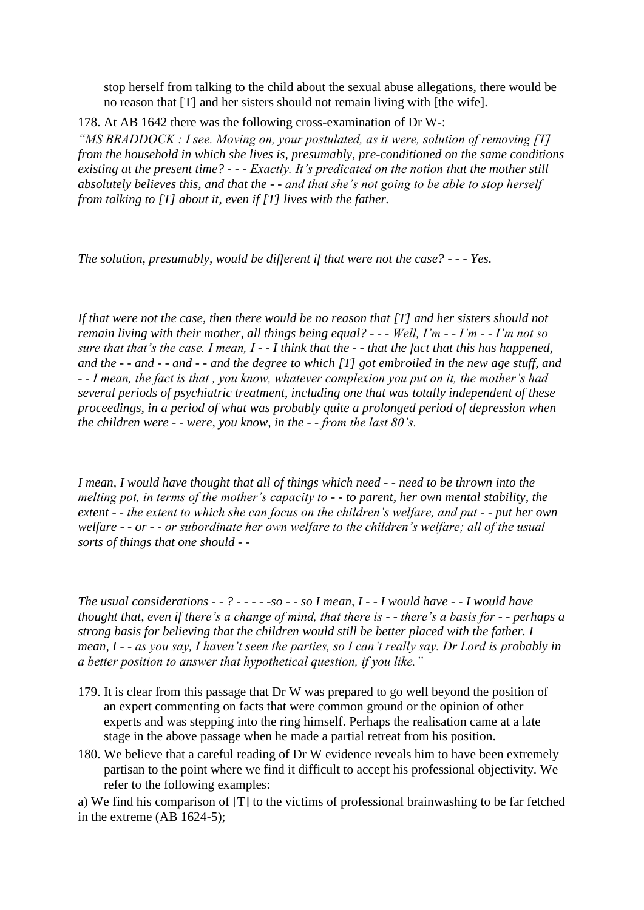stop herself from talking to the child about the sexual abuse allegations, there would be no reason that [T] and her sisters should not remain living with [the wife].

178. At AB 1642 there was the following cross-examination of Dr W-:

*"MS BRADDOCK : I see. Moving on, your postulated, as it were, solution of removing [T] from the household in which she lives is, presumably, pre-conditioned on the same conditions existing at the present time? - - - Exactly. It's predicated on the notion that the mother still absolutely believes this, and that the - - and that she's not going to be able to stop herself from talking to [T] about it, even if [T] lives with the father.*

*The solution, presumably, would be different if that were not the case? - - - Yes.*

*If that were not the case, then there would be no reason that [T] and her sisters should not remain living with their mother, all things being equal? - - - Well, I'm - - I'm - - I'm not so sure that that's the case. I mean, I - - I think that the - - that the fact that this has happened, and the - - and - - and - - and the degree to which [T] got embroiled in the new age stuff, and - - I mean, the fact is that , you know, whatever complexion you put on it, the mother's had several periods of psychiatric treatment, including one that was totally independent of these proceedings, in a period of what was probably quite a prolonged period of depression when the children were - - were, you know, in the - - from the last 80's.*

*I mean, I would have thought that all of things which need - - need to be thrown into the melting pot, in terms of the mother's capacity to - - to parent, her own mental stability, the extent - - the extent to which she can focus on the children's welfare, and put - - put her own welfare - - or - - or subordinate her own welfare to the children's welfare; all of the usual sorts of things that one should - -*

*The usual considerations - - ? - - - - -so - - so I mean, I - - I would have - - I would have thought that, even if there's a change of mind, that there is - - there's a basis for - - perhaps a strong basis for believing that the children would still be better placed with the father. I mean, I - - as you say, I haven't seen the parties, so I can't really say. Dr Lord is probably in a better position to answer that hypothetical question, if you like."*

- 179. It is clear from this passage that Dr W was prepared to go well beyond the position of an expert commenting on facts that were common ground or the opinion of other experts and was stepping into the ring himself. Perhaps the realisation came at a late stage in the above passage when he made a partial retreat from his position.
- 180. We believe that a careful reading of Dr W evidence reveals him to have been extremely partisan to the point where we find it difficult to accept his professional objectivity. We refer to the following examples:

a) We find his comparison of [T] to the victims of professional brainwashing to be far fetched in the extreme (AB 1624-5);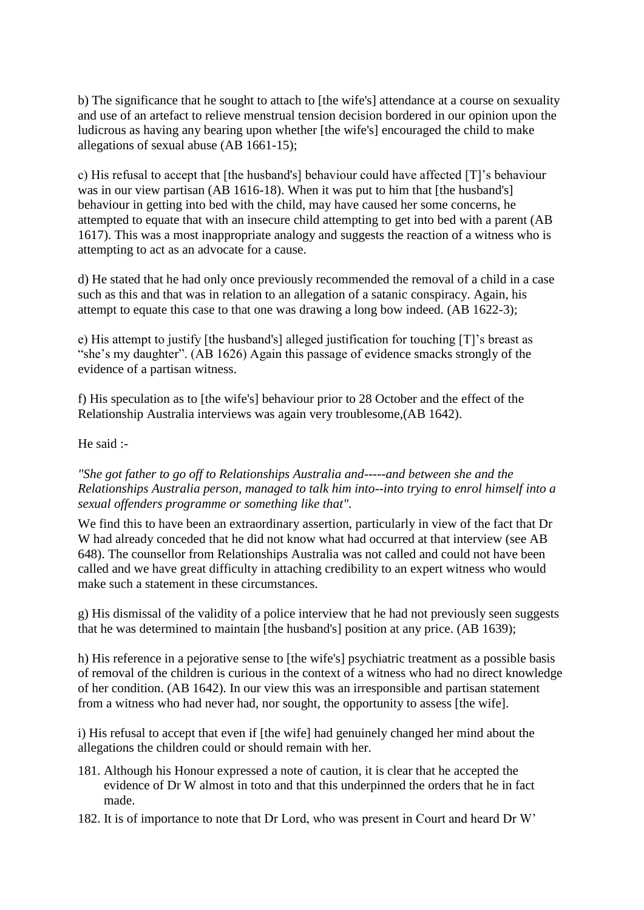b) The significance that he sought to attach to [the wife's] attendance at a course on sexuality and use of an artefact to relieve menstrual tension decision bordered in our opinion upon the ludicrous as having any bearing upon whether [the wife's] encouraged the child to make allegations of sexual abuse (AB 1661-15);

c) His refusal to accept that [the husband's] behaviour could have affected [T]'s behaviour was in our view partisan (AB 1616-18). When it was put to him that [the husband's] behaviour in getting into bed with the child, may have caused her some concerns, he attempted to equate that with an insecure child attempting to get into bed with a parent (AB 1617). This was a most inappropriate analogy and suggests the reaction of a witness who is attempting to act as an advocate for a cause.

d) He stated that he had only once previously recommended the removal of a child in a case such as this and that was in relation to an allegation of a satanic conspiracy. Again, his attempt to equate this case to that one was drawing a long bow indeed. (AB 1622-3);

e) His attempt to justify [the husband's] alleged justification for touching [T]'s breast as "she's my daughter". (AB 1626) Again this passage of evidence smacks strongly of the evidence of a partisan witness.

f) His speculation as to [the wife's] behaviour prior to 28 October and the effect of the Relationship Australia interviews was again very troublesome,(AB 1642).

He said :-

*"She got father to go off to Relationships Australia and-----and between she and the Relationships Australia person, managed to talk him into--into trying to enrol himself into a sexual offenders programme or something like that".* 

We find this to have been an extraordinary assertion, particularly in view of the fact that Dr W had already conceded that he did not know what had occurred at that interview (see AB 648). The counsellor from Relationships Australia was not called and could not have been called and we have great difficulty in attaching credibility to an expert witness who would make such a statement in these circumstances.

g) His dismissal of the validity of a police interview that he had not previously seen suggests that he was determined to maintain [the husband's] position at any price. (AB 1639);

h) His reference in a pejorative sense to [the wife's] psychiatric treatment as a possible basis of removal of the children is curious in the context of a witness who had no direct knowledge of her condition. (AB 1642). In our view this was an irresponsible and partisan statement from a witness who had never had, nor sought, the opportunity to assess [the wife].

i) His refusal to accept that even if [the wife] had genuinely changed her mind about the allegations the children could or should remain with her.

- 181. Although his Honour expressed a note of caution, it is clear that he accepted the evidence of Dr W almost in toto and that this underpinned the orders that he in fact made.
- 182. It is of importance to note that Dr Lord, who was present in Court and heard Dr W'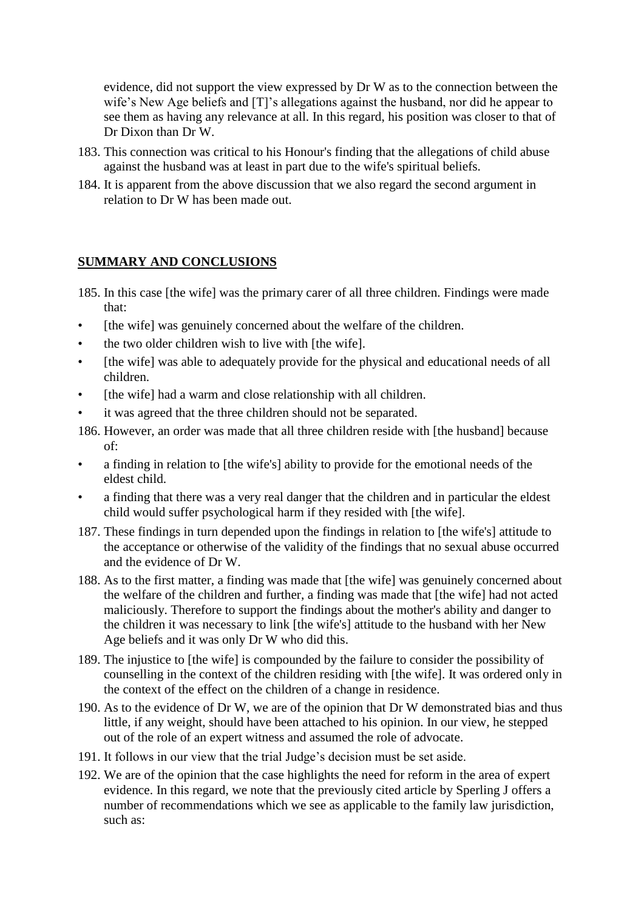evidence, did not support the view expressed by Dr W as to the connection between the wife's New Age beliefs and [T]'s allegations against the husband, nor did he appear to see them as having any relevance at all. In this regard, his position was closer to that of Dr Dixon than Dr W.

- 183. This connection was critical to his Honour's finding that the allegations of child abuse against the husband was at least in part due to the wife's spiritual beliefs.
- 184. It is apparent from the above discussion that we also regard the second argument in relation to Dr W has been made out.

#### **SUMMARY AND CONCLUSIONS**

- 185. In this case [the wife] was the primary carer of all three children. Findings were made that:
- [the wife] was genuinely concerned about the welfare of the children.
- the two older children wish to live with [the wife].
- [the wife] was able to adequately provide for the physical and educational needs of all children.
- [the wife] had a warm and close relationship with all children.
- it was agreed that the three children should not be separated.
- 186. However, an order was made that all three children reside with [the husband] because of:
- a finding in relation to [the wife's] ability to provide for the emotional needs of the eldest child.
- a finding that there was a very real danger that the children and in particular the eldest child would suffer psychological harm if they resided with [the wife].
- 187. These findings in turn depended upon the findings in relation to [the wife's] attitude to the acceptance or otherwise of the validity of the findings that no sexual abuse occurred and the evidence of Dr W.
- 188. As to the first matter, a finding was made that [the wife] was genuinely concerned about the welfare of the children and further, a finding was made that [the wife] had not acted maliciously. Therefore to support the findings about the mother's ability and danger to the children it was necessary to link [the wife's] attitude to the husband with her New Age beliefs and it was only Dr W who did this.
- 189. The injustice to [the wife] is compounded by the failure to consider the possibility of counselling in the context of the children residing with [the wife]. It was ordered only in the context of the effect on the children of a change in residence.
- 190. As to the evidence of Dr W, we are of the opinion that Dr W demonstrated bias and thus little, if any weight, should have been attached to his opinion. In our view, he stepped out of the role of an expert witness and assumed the role of advocate.
- 191. It follows in our view that the trial Judge's decision must be set aside.
- 192. We are of the opinion that the case highlights the need for reform in the area of expert evidence. In this regard, we note that the previously cited article by Sperling J offers a number of recommendations which we see as applicable to the family law jurisdiction, such as: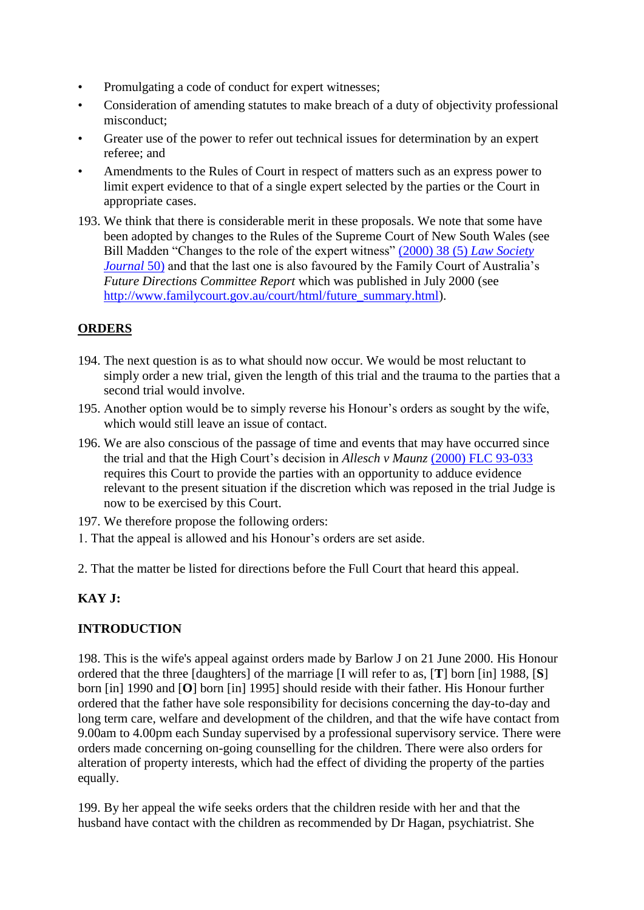- Promulgating a code of conduct for expert witnesses;
- Consideration of amending statutes to make breach of a duty of objectivity professional misconduct;
- Greater use of the power to refer out technical issues for determination by an expert referee; and
- Amendments to the Rules of Court in respect of matters such as an express power to limit expert evidence to that of a single expert selected by the parties or the Court in appropriate cases.
- 193. We think that there is considerable merit in these proposals. We note that some have been adopted by changes to the Rules of the Supreme Court of New South Wales (see Bill Madden "Changes to the role of the expert witness" [\(2000\) 38 \(5\)](http://www6.austlii.edu.au/cgi-bin/LawCite?cit=%282000%29%2038%20%285%29%20Law%20Society%20Journal%2050) *Law Society [Journal](http://www6.austlii.edu.au/cgi-bin/LawCite?cit=%282000%29%2038%20%285%29%20Law%20Society%20Journal%2050)* 50) and that the last one is also favoured by the Family Court of Australia's *Future Directions Committee Report* which was published in July 2000 (see [http://www.familycourt.gov.au/court/html/future\\_summary.html\)](http://www.familycourt.gov.au/court/html/future_summary.html).

# **ORDERS**

- 194. The next question is as to what should now occur. We would be most reluctant to simply order a new trial, given the length of this trial and the trauma to the parties that a second trial would involve.
- 195. Another option would be to simply reverse his Honour's orders as sought by the wife, which would still leave an issue of contact.
- 196. We are also conscious of the passage of time and events that may have occurred since the trial and that the High Court's decision in *Allesch v Maunz* [\(2000\) FLC 93-033](http://www6.austlii.edu.au/cgi-bin/LawCite?cit=%282000%29%20FLC%2093%2d033) requires this Court to provide the parties with an opportunity to adduce evidence relevant to the present situation if the discretion which was reposed in the trial Judge is now to be exercised by this Court.
- 197. We therefore propose the following orders:
- 1. That the appeal is allowed and his Honour's orders are set aside.
- 2. That the matter be listed for directions before the Full Court that heard this appeal.

# **KAY J:**

# **INTRODUCTION**

198. This is the wife's appeal against orders made by Barlow J on 21 June 2000. His Honour ordered that the three [daughters] of the marriage [I will refer to as, [**T**] born [in] 1988, [**S**] born [in] 1990 and [**O**] born [in] 1995] should reside with their father. His Honour further ordered that the father have sole responsibility for decisions concerning the day-to-day and long term care, welfare and development of the children, and that the wife have contact from 9.00am to 4.00pm each Sunday supervised by a professional supervisory service. There were orders made concerning on-going counselling for the children. There were also orders for alteration of property interests, which had the effect of dividing the property of the parties equally.

199. By her appeal the wife seeks orders that the children reside with her and that the husband have contact with the children as recommended by Dr Hagan, psychiatrist. She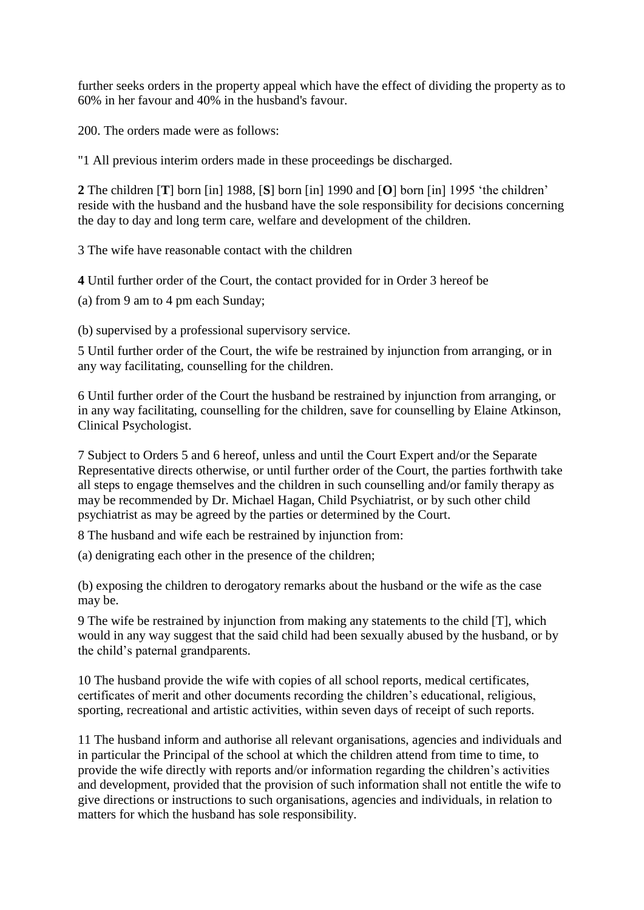further seeks orders in the property appeal which have the effect of dividing the property as to 60% in her favour and 40% in the husband's favour.

200. The orders made were as follows:

"1 All previous interim orders made in these proceedings be discharged.

**2** The children [**T**] born [in] 1988, [**S**] born [in] 1990 and [**O**] born [in] 1995 'the children' reside with the husband and the husband have the sole responsibility for decisions concerning the day to day and long term care, welfare and development of the children.

3 The wife have reasonable contact with the children

**4** Until further order of the Court, the contact provided for in Order 3 hereof be

(a) from 9 am to 4 pm each Sunday;

(b) supervised by a professional supervisory service.

5 Until further order of the Court, the wife be restrained by injunction from arranging, or in any way facilitating, counselling for the children.

6 Until further order of the Court the husband be restrained by injunction from arranging, or in any way facilitating, counselling for the children, save for counselling by Elaine Atkinson, Clinical Psychologist.

7 Subject to Orders 5 and 6 hereof, unless and until the Court Expert and/or the Separate Representative directs otherwise, or until further order of the Court, the parties forthwith take all steps to engage themselves and the children in such counselling and/or family therapy as may be recommended by Dr. Michael Hagan, Child Psychiatrist, or by such other child psychiatrist as may be agreed by the parties or determined by the Court.

8 The husband and wife each be restrained by injunction from:

(a) denigrating each other in the presence of the children;

(b) exposing the children to derogatory remarks about the husband or the wife as the case may be.

9 The wife be restrained by injunction from making any statements to the child [T], which would in any way suggest that the said child had been sexually abused by the husband, or by the child's paternal grandparents.

10 The husband provide the wife with copies of all school reports, medical certificates, certificates of merit and other documents recording the children's educational, religious, sporting, recreational and artistic activities, within seven days of receipt of such reports.

11 The husband inform and authorise all relevant organisations, agencies and individuals and in particular the Principal of the school at which the children attend from time to time, to provide the wife directly with reports and/or information regarding the children's activities and development, provided that the provision of such information shall not entitle the wife to give directions or instructions to such organisations, agencies and individuals, in relation to matters for which the husband has sole responsibility.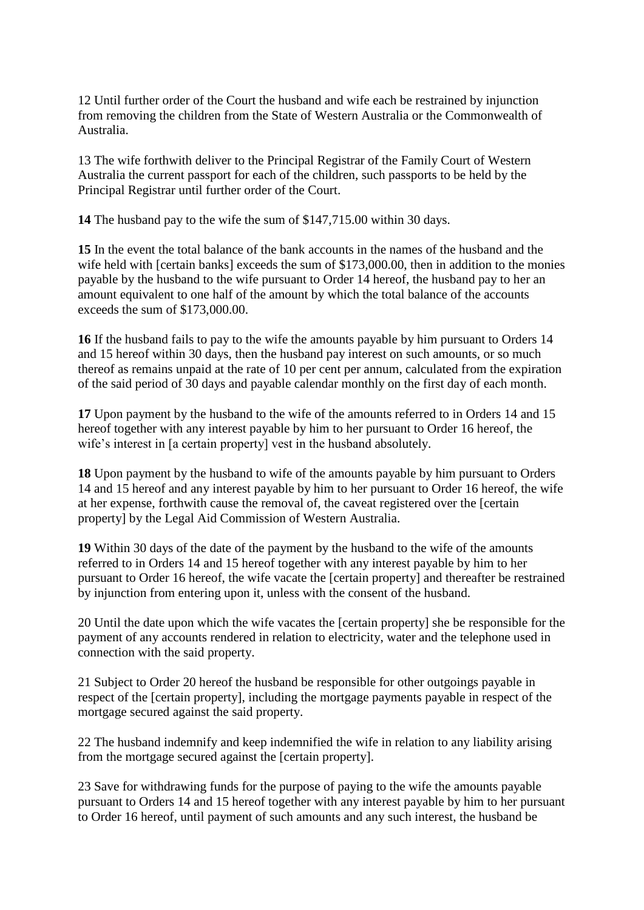12 Until further order of the Court the husband and wife each be restrained by injunction from removing the children from the State of Western Australia or the Commonwealth of Australia.

13 The wife forthwith deliver to the Principal Registrar of the Family Court of Western Australia the current passport for each of the children, such passports to be held by the Principal Registrar until further order of the Court.

**14** The husband pay to the wife the sum of \$147,715.00 within 30 days.

**15** In the event the total balance of the bank accounts in the names of the husband and the wife held with [certain banks] exceeds the sum of \$173,000.00, then in addition to the monies payable by the husband to the wife pursuant to Order 14 hereof, the husband pay to her an amount equivalent to one half of the amount by which the total balance of the accounts exceeds the sum of \$173,000.00.

**16** If the husband fails to pay to the wife the amounts payable by him pursuant to Orders 14 and 15 hereof within 30 days, then the husband pay interest on such amounts, or so much thereof as remains unpaid at the rate of 10 per cent per annum, calculated from the expiration of the said period of 30 days and payable calendar monthly on the first day of each month.

**17** Upon payment by the husband to the wife of the amounts referred to in Orders 14 and 15 hereof together with any interest payable by him to her pursuant to Order 16 hereof, the wife's interest in [a certain property] vest in the husband absolutely.

**18** Upon payment by the husband to wife of the amounts payable by him pursuant to Orders 14 and 15 hereof and any interest payable by him to her pursuant to Order 16 hereof, the wife at her expense, forthwith cause the removal of, the caveat registered over the [certain property] by the Legal Aid Commission of Western Australia.

**19** Within 30 days of the date of the payment by the husband to the wife of the amounts referred to in Orders 14 and 15 hereof together with any interest payable by him to her pursuant to Order 16 hereof, the wife vacate the [certain property] and thereafter be restrained by injunction from entering upon it, unless with the consent of the husband.

20 Until the date upon which the wife vacates the [certain property] she be responsible for the payment of any accounts rendered in relation to electricity, water and the telephone used in connection with the said property.

21 Subject to Order 20 hereof the husband be responsible for other outgoings payable in respect of the [certain property], including the mortgage payments payable in respect of the mortgage secured against the said property.

22 The husband indemnify and keep indemnified the wife in relation to any liability arising from the mortgage secured against the [certain property].

23 Save for withdrawing funds for the purpose of paying to the wife the amounts payable pursuant to Orders 14 and 15 hereof together with any interest payable by him to her pursuant to Order 16 hereof, until payment of such amounts and any such interest, the husband be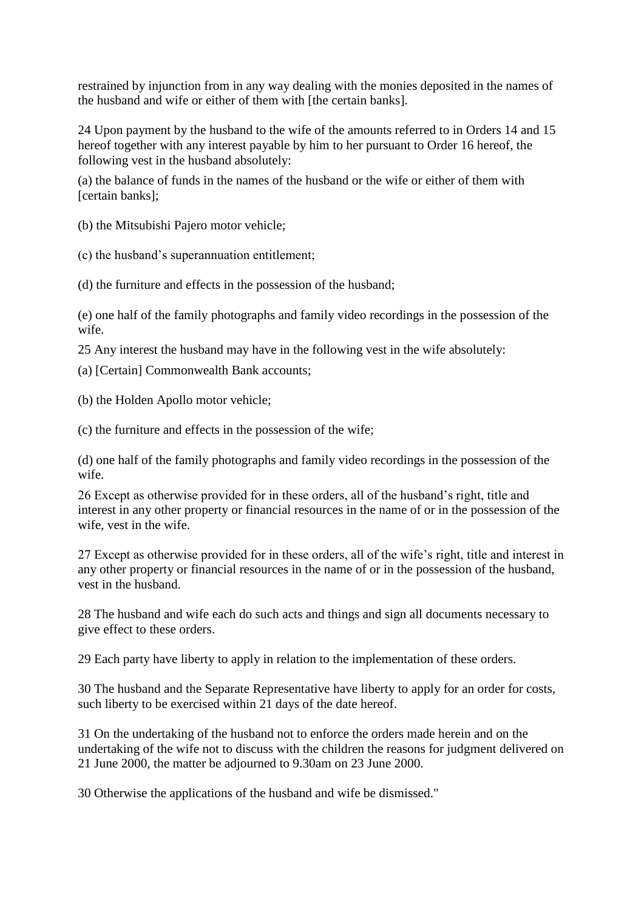restrained by injunction from in any way dealing with the monies deposited in the names of the husband and wife or either of them with [the certain banks].

24 Upon payment by the husband to the wife of the amounts referred to in Orders 14 and 15 hereof together with any interest payable by him to her pursuant to Order 16 hereof, the following vest in the husband absolutely:

(a) the balance of funds in the names of the husband or the wife or either of them with [certain banks];

(b) the Mitsubishi Pajero motor vehicle;

(c) the husband's superannuation entitlement;

(d) the furniture and effects in the possession of the husband;

(e) one half of the family photographs and family video recordings in the possession of the wife.

25 Any interest the husband may have in the following vest in the wife absolutely:

(a) [Certain] Commonwealth Bank accounts;

(b) the Holden Apollo motor vehicle;

(c) the furniture and effects in the possession of the wife;

(d) one half of the family photographs and family video recordings in the possession of the wife.

26 Except as otherwise provided for in these orders, all of the husband's right, title and interest in any other property or financial resources in the name of or in the possession of the wife, vest in the wife.

27 Except as otherwise provided for in these orders, all of the wife's right, title and interest in any other property or financial resources in the name of or in the possession of the husband, vest in the husband.

28 The husband and wife each do such acts and things and sign all documents necessary to give effect to these orders.

29 Each party have liberty to apply in relation to the implementation of these orders.

30 The husband and the Separate Representative have liberty to apply for an order for costs, such liberty to be exercised within 21 days of the date hereof.

31 On the undertaking of the husband not to enforce the orders made herein and on the undertaking of the wife not to discuss with the children the reasons for judgment delivered on 21 June 2000, the matter be adjourned to 9.30am on 23 June 2000.

30 Otherwise the applications of the husband and wife be dismissed."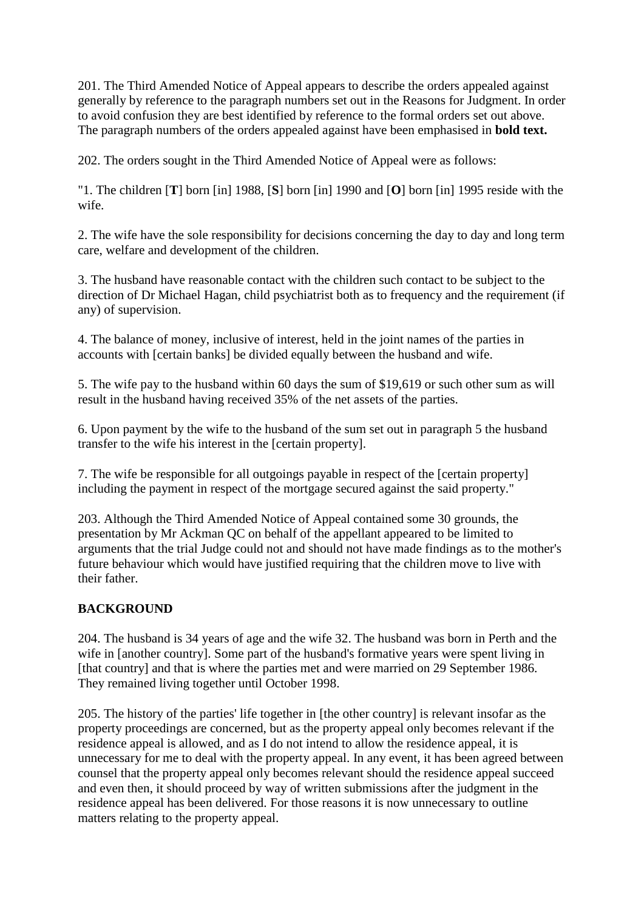201. The Third Amended Notice of Appeal appears to describe the orders appealed against generally by reference to the paragraph numbers set out in the Reasons for Judgment. In order to avoid confusion they are best identified by reference to the formal orders set out above. The paragraph numbers of the orders appealed against have been emphasised in **bold text.**

202. The orders sought in the Third Amended Notice of Appeal were as follows:

"1. The children [**T**] born [in] 1988, [**S**] born [in] 1990 and [**O**] born [in] 1995 reside with the wife.

2. The wife have the sole responsibility for decisions concerning the day to day and long term care, welfare and development of the children.

3. The husband have reasonable contact with the children such contact to be subject to the direction of Dr Michael Hagan, child psychiatrist both as to frequency and the requirement (if any) of supervision.

4. The balance of money, inclusive of interest, held in the joint names of the parties in accounts with [certain banks] be divided equally between the husband and wife.

5. The wife pay to the husband within 60 days the sum of \$19,619 or such other sum as will result in the husband having received 35% of the net assets of the parties.

6. Upon payment by the wife to the husband of the sum set out in paragraph 5 the husband transfer to the wife his interest in the [certain property].

7. The wife be responsible for all outgoings payable in respect of the [certain property] including the payment in respect of the mortgage secured against the said property."

203. Although the Third Amended Notice of Appeal contained some 30 grounds, the presentation by Mr Ackman QC on behalf of the appellant appeared to be limited to arguments that the trial Judge could not and should not have made findings as to the mother's future behaviour which would have justified requiring that the children move to live with their father.

# **BACKGROUND**

204. The husband is 34 years of age and the wife 32. The husband was born in Perth and the wife in [another country]. Some part of the husband's formative years were spent living in [that country] and that is where the parties met and were married on 29 September 1986. They remained living together until October 1998.

205. The history of the parties' life together in [the other country] is relevant insofar as the property proceedings are concerned, but as the property appeal only becomes relevant if the residence appeal is allowed, and as I do not intend to allow the residence appeal, it is unnecessary for me to deal with the property appeal. In any event, it has been agreed between counsel that the property appeal only becomes relevant should the residence appeal succeed and even then, it should proceed by way of written submissions after the judgment in the residence appeal has been delivered. For those reasons it is now unnecessary to outline matters relating to the property appeal.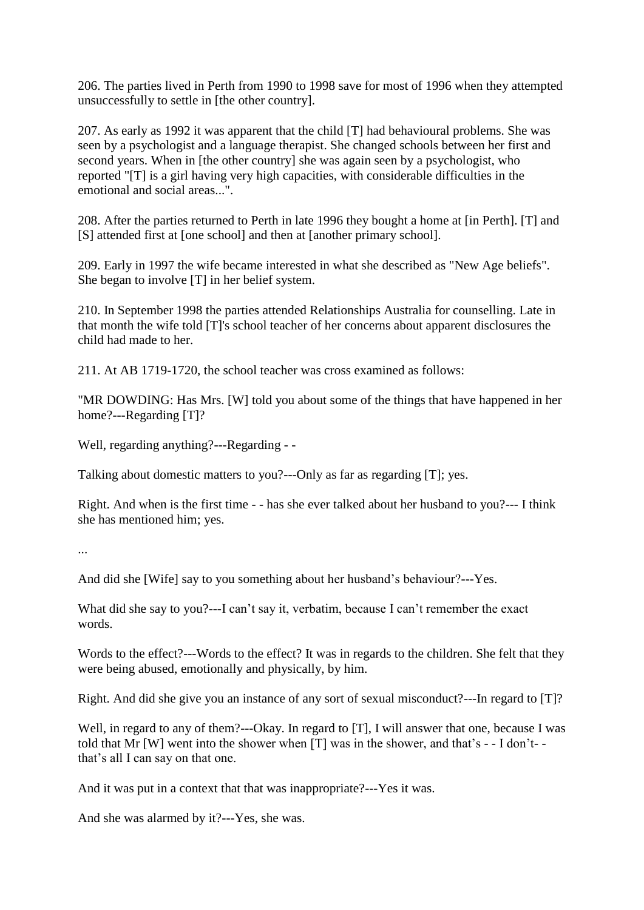206. The parties lived in Perth from 1990 to 1998 save for most of 1996 when they attempted unsuccessfully to settle in [the other country].

207. As early as 1992 it was apparent that the child [T] had behavioural problems. She was seen by a psychologist and a language therapist. She changed schools between her first and second years. When in [the other country] she was again seen by a psychologist, who reported "[T] is a girl having very high capacities, with considerable difficulties in the emotional and social areas...".

208. After the parties returned to Perth in late 1996 they bought a home at [in Perth]. [T] and [S] attended first at [one school] and then at [another primary school].

209. Early in 1997 the wife became interested in what she described as "New Age beliefs". She began to involve [T] in her belief system.

210. In September 1998 the parties attended Relationships Australia for counselling. Late in that month the wife told [T]'s school teacher of her concerns about apparent disclosures the child had made to her.

211. At AB 1719-1720, the school teacher was cross examined as follows:

"MR DOWDING: Has Mrs. [W] told you about some of the things that have happened in her home?---Regarding [T]?

Well, regarding anything?---Regarding - -

Talking about domestic matters to you?---Only as far as regarding [T]; yes.

Right. And when is the first time - - has she ever talked about her husband to you?--- I think she has mentioned him; yes.

...

And did she [Wife] say to you something about her husband's behaviour?---Yes.

What did she say to you?---I can't say it, verbatim, because I can't remember the exact words.

Words to the effect?---Words to the effect? It was in regards to the children. She felt that they were being abused, emotionally and physically, by him.

Right. And did she give you an instance of any sort of sexual misconduct?---In regard to [T]?

Well, in regard to any of them?---Okay. In regard to [T], I will answer that one, because I was told that Mr [W] went into the shower when [T] was in the shower, and that's - - I don't- that's all I can say on that one.

And it was put in a context that that was inappropriate?---Yes it was.

And she was alarmed by it?---Yes, she was.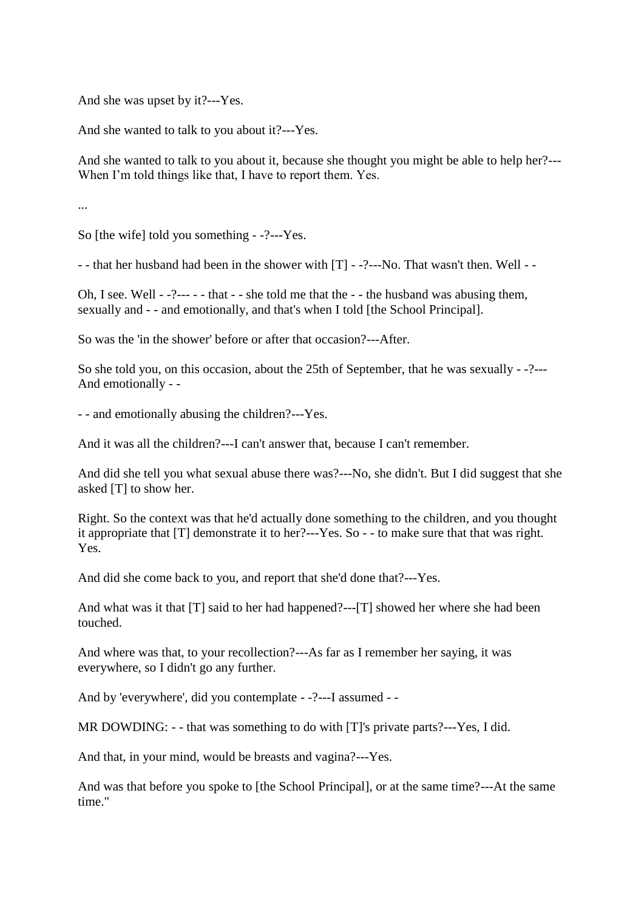And she was upset by it?---Yes.

And she wanted to talk to you about it?---Yes.

And she wanted to talk to you about it, because she thought you might be able to help her?--- When I'm told things like that, I have to report them. Yes.

...

So [the wife] told you something - -?---Yes.

- - that her husband had been in the shower with [T] - -?---No. That wasn't then. Well - -

Oh, I see. Well - -?--- - - that - - she told me that the - - the husband was abusing them, sexually and - - and emotionally, and that's when I told [the School Principal].

So was the 'in the shower' before or after that occasion?---After.

So she told you, on this occasion, about the 25th of September, that he was sexually - -?--- And emotionally - -

- - and emotionally abusing the children?---Yes.

And it was all the children?---I can't answer that, because I can't remember.

And did she tell you what sexual abuse there was?---No, she didn't. But I did suggest that she asked [T] to show her.

Right. So the context was that he'd actually done something to the children, and you thought it appropriate that [T] demonstrate it to her?---Yes. So - - to make sure that that was right. Yes.

And did she come back to you, and report that she'd done that?---Yes.

And what was it that [T] said to her had happened?---[T] showed her where she had been touched.

And where was that, to your recollection?---As far as I remember her saying, it was everywhere, so I didn't go any further.

And by 'everywhere', did you contemplate - -?---I assumed - -

MR DOWDING: - - that was something to do with [T]'s private parts?---Yes, I did.

And that, in your mind, would be breasts and vagina?---Yes.

And was that before you spoke to [the School Principal], or at the same time?---At the same time."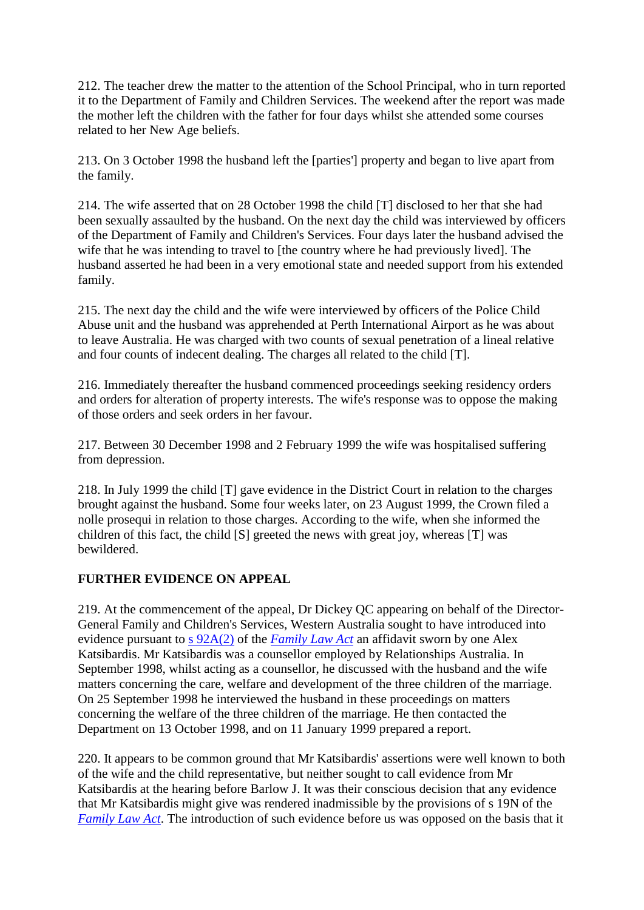212. The teacher drew the matter to the attention of the School Principal, who in turn reported it to the Department of Family and Children Services. The weekend after the report was made the mother left the children with the father for four days whilst she attended some courses related to her New Age beliefs.

213. On 3 October 1998 the husband left the [parties'] property and began to live apart from the family.

214. The wife asserted that on 28 October 1998 the child [T] disclosed to her that she had been sexually assaulted by the husband. On the next day the child was interviewed by officers of the Department of Family and Children's Services. Four days later the husband advised the wife that he was intending to travel to [the country where he had previously lived]. The husband asserted he had been in a very emotional state and needed support from his extended family.

215. The next day the child and the wife were interviewed by officers of the Police Child Abuse unit and the husband was apprehended at Perth International Airport as he was about to leave Australia. He was charged with two counts of sexual penetration of a lineal relative and four counts of indecent dealing. The charges all related to the child [T].

216. Immediately thereafter the husband commenced proceedings seeking residency orders and orders for alteration of property interests. The wife's response was to oppose the making of those orders and seek orders in her favour.

217. Between 30 December 1998 and 2 February 1999 the wife was hospitalised suffering from depression.

218. In July 1999 the child [T] gave evidence in the District Court in relation to the charges brought against the husband. Some four weeks later, on 23 August 1999, the Crown filed a nolle prosequi in relation to those charges. According to the wife, when she informed the children of this fact, the child [S] greeted the news with great joy, whereas [T] was bewildered.

# **FURTHER EVIDENCE ON APPEAL**

219. At the commencement of the appeal, Dr Dickey QC appearing on behalf of the Director-General Family and Children's Services, Western Australia sought to have introduced into evidence pursuant to [s 92A\(2\)](http://www6.austlii.edu.au/cgi-bin/viewdoc/au/legis/cth/consol_act/fla1975114/s92a.html) of the *[Family Law Act](http://www6.austlii.edu.au/cgi-bin/viewdoc/au/legis/cth/consol_act/fla1975114/)* an affidavit sworn by one Alex Katsibardis. Mr Katsibardis was a counsellor employed by Relationships Australia. In September 1998, whilst acting as a counsellor, he discussed with the husband and the wife matters concerning the care, welfare and development of the three children of the marriage. On 25 September 1998 he interviewed the husband in these proceedings on matters concerning the welfare of the three children of the marriage. He then contacted the Department on 13 October 1998, and on 11 January 1999 prepared a report.

220. It appears to be common ground that Mr Katsibardis' assertions were well known to both of the wife and the child representative, but neither sought to call evidence from Mr Katsibardis at the hearing before Barlow J. It was their conscious decision that any evidence that Mr Katsibardis might give was rendered inadmissible by the provisions of s 19N of the *[Family Law Act](http://www6.austlii.edu.au/cgi-bin/viewdoc/au/legis/cth/consol_act/fla1975114/)*. The introduction of such evidence before us was opposed on the basis that it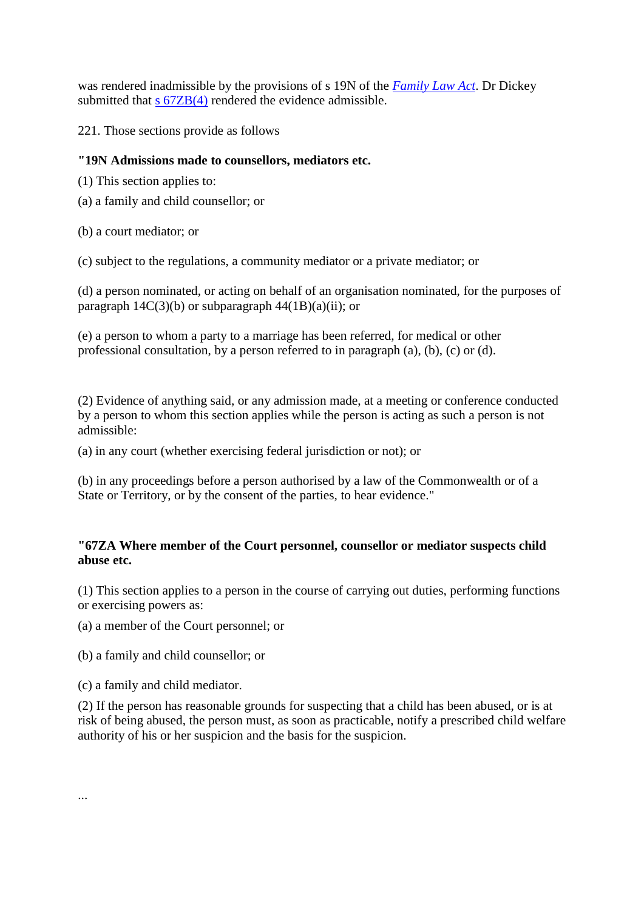was rendered inadmissible by the provisions of s 19N of the *[Family Law Act](http://www6.austlii.edu.au/cgi-bin/viewdoc/au/legis/cth/consol_act/fla1975114/)*. Dr Dickey submitted that s  $67ZB(4)$  rendered the evidence admissible.

221. Those sections provide as follows

# **"19N Admissions made to counsellors, mediators etc.**

- (1) This section applies to:
- (a) a family and child counsellor; or
- (b) a court mediator; or

(c) subject to the regulations, a community mediator or a private mediator; or

(d) a person nominated, or acting on behalf of an organisation nominated, for the purposes of paragraph  $14C(3)(b)$  or subparagraph  $44(1B)(a)(ii)$ ; or

(e) a person to whom a party to a marriage has been referred, for medical or other professional consultation, by a person referred to in paragraph (a), (b), (c) or (d).

(2) Evidence of anything said, or any admission made, at a meeting or conference conducted by a person to whom this section applies while the person is acting as such a person is not admissible:

(a) in any court (whether exercising federal jurisdiction or not); or

(b) in any proceedings before a person authorised by a law of the Commonwealth or of a State or Territory, or by the consent of the parties, to hear evidence."

# **"67ZA Where member of the Court personnel, counsellor or mediator suspects child abuse etc.**

(1) This section applies to a person in the course of carrying out duties, performing functions or exercising powers as:

(a) a member of the Court personnel; or

(b) a family and child counsellor; or

(c) a family and child mediator.

(2) If the person has reasonable grounds for suspecting that a child has been abused, or is at risk of being abused, the person must, as soon as practicable, notify a prescribed child welfare authority of his or her suspicion and the basis for the suspicion.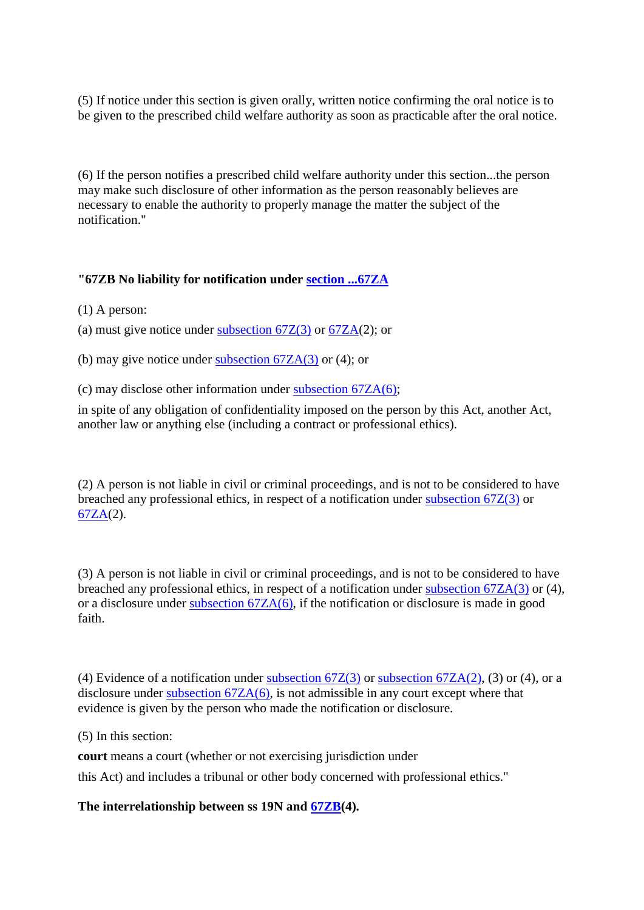(5) If notice under this section is given orally, written notice confirming the oral notice is to be given to the prescribed child welfare authority as soon as practicable after the oral notice.

(6) If the person notifies a prescribed child welfare authority under this section...the person may make such disclosure of other information as the person reasonably believes are necessary to enable the authority to properly manage the matter the subject of the notification."

# **"67ZB No liability for notification under [section ...67ZA](http://www6.austlii.edu.au/cgi-bin/viewdoc/au/legis/cth/consol_act/fla1975114/s67za.html)**

(1) A person:

(a) must give notice under subsection  $67Z(3)$  or  $67ZA(2)$ ; or

(b) may give notice under subsection  $67ZA(3)$  or (4); or

(c) may disclose other information under subsection  $67ZA(6)$ ;

in spite of any obligation of confidentiality imposed on the person by this Act, another Act, another law or anything else (including a contract or professional ethics).

(2) A person is not liable in civil or criminal proceedings, and is not to be considered to have breached any professional ethics, in respect of a notification under [subsection 67Z\(3\)](http://www6.austlii.edu.au/cgi-bin/viewdoc/au/legis/cth/consol_act/fla1975114/s67z.html) or [67ZA\(](http://www6.austlii.edu.au/cgi-bin/viewdoc/au/legis/cth/consol_act/fla1975114/s67za.html)2).

(3) A person is not liable in civil or criminal proceedings, and is not to be considered to have breached any professional ethics, in respect of a notification under [subsection 67ZA\(3\)](http://www6.austlii.edu.au/cgi-bin/viewdoc/au/legis/cth/consol_act/fla1975114/s67za.html) or (4), or a disclosure under [subsection 67ZA\(6\),](http://www6.austlii.edu.au/cgi-bin/viewdoc/au/legis/cth/consol_act/fla1975114/s67za.html) if the notification or disclosure is made in good faith.

(4) Evidence of a notification under subsection  $67Z(3)$  or subsection  $67ZA(2)$ , (3) or (4), or a disclosure under [subsection 67ZA\(6\),](http://www6.austlii.edu.au/cgi-bin/viewdoc/au/legis/cth/consol_act/fla1975114/s67za.html) is not admissible in any court except where that evidence is given by the person who made the notification or disclosure.

(5) In this section:

**court** means a court (whether or not exercising jurisdiction under

this Act) and includes a tribunal or other body concerned with professional ethics."

**The interrelationship between ss 19N and [67ZB\(](http://www6.austlii.edu.au/cgi-bin/viewdoc/au/legis/cth/consol_act/fla1975114/s67zb.html)4).**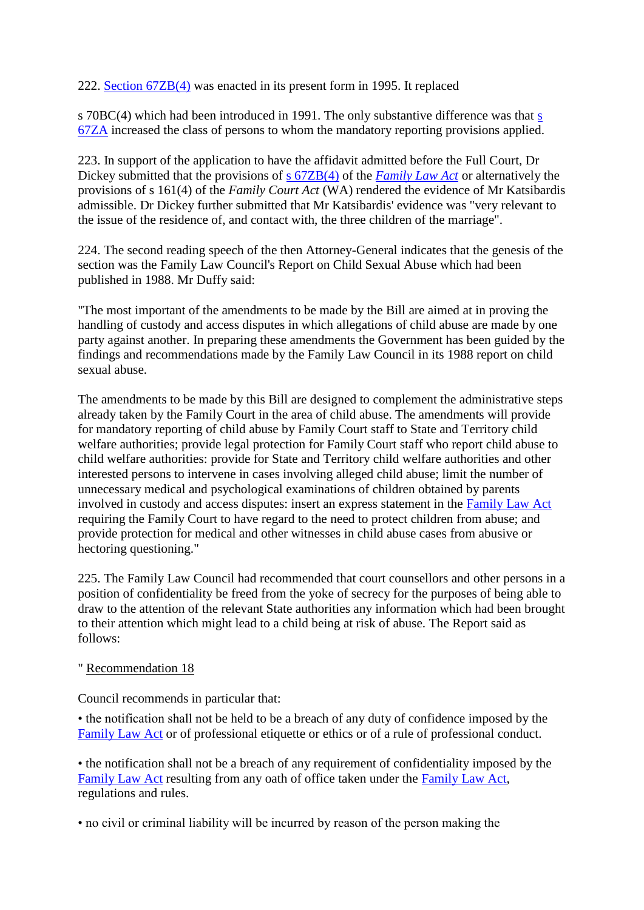222. [Section 67ZB\(4\)](http://www6.austlii.edu.au/cgi-bin/viewdoc/au/legis/cth/consol_act/fla1975114/s67zb.html) was enacted in its present form in 1995. It replaced

s 70BC(4) which had been introduced in 1991. The only substantive difference was that [s](http://www6.austlii.edu.au/cgi-bin/viewdoc/au/legis/cth/consol_act/fla1975114/s67za.html)  [67ZA](http://www6.austlii.edu.au/cgi-bin/viewdoc/au/legis/cth/consol_act/fla1975114/s67za.html) increased the class of persons to whom the mandatory reporting provisions applied.

223. In support of the application to have the affidavit admitted before the Full Court, Dr Dickey submitted that the provisions of [s 67ZB\(4\)](http://www6.austlii.edu.au/cgi-bin/viewdoc/au/legis/cth/consol_act/fla1975114/s67zb.html) of the *[Family Law Act](http://www6.austlii.edu.au/cgi-bin/viewdoc/au/legis/cth/consol_act/fla1975114/)* or alternatively the provisions of s 161(4) of the *Family Court Act* (WA) rendered the evidence of Mr Katsibardis admissible. Dr Dickey further submitted that Mr Katsibardis' evidence was "very relevant to the issue of the residence of, and contact with, the three children of the marriage".

224. The second reading speech of the then Attorney-General indicates that the genesis of the section was the Family Law Council's Report on Child Sexual Abuse which had been published in 1988. Mr Duffy said:

"The most important of the amendments to be made by the Bill are aimed at in proving the handling of custody and access disputes in which allegations of child abuse are made by one party against another. In preparing these amendments the Government has been guided by the findings and recommendations made by the Family Law Council in its 1988 report on child sexual abuse.

The amendments to be made by this Bill are designed to complement the administrative steps already taken by the Family Court in the area of child abuse. The amendments will provide for mandatory reporting of child abuse by Family Court staff to State and Territory child welfare authorities; provide legal protection for Family Court staff who report child abuse to child welfare authorities: provide for State and Territory child welfare authorities and other interested persons to intervene in cases involving alleged child abuse; limit the number of unnecessary medical and psychological examinations of children obtained by parents involved in custody and access disputes: insert an express statement in the [Family Law Act](http://www6.austlii.edu.au/cgi-bin/viewdoc/au/legis/cth/consol_act/fla1975114/) requiring the Family Court to have regard to the need to protect children from abuse; and provide protection for medical and other witnesses in child abuse cases from abusive or hectoring questioning."

225. The Family Law Council had recommended that court counsellors and other persons in a position of confidentiality be freed from the yoke of secrecy for the purposes of being able to draw to the attention of the relevant State authorities any information which had been brought to their attention which might lead to a child being at risk of abuse. The Report said as follows:

# " Recommendation 18

Council recommends in particular that:

• the notification shall not be held to be a breach of any duty of confidence imposed by the [Family Law Act](http://www6.austlii.edu.au/cgi-bin/viewdoc/au/legis/cth/consol_act/fla1975114/) or of professional etiquette or ethics or of a rule of professional conduct.

• the notification shall not be a breach of any requirement of confidentiality imposed by the [Family Law Act](http://www6.austlii.edu.au/cgi-bin/viewdoc/au/legis/cth/consol_act/fla1975114/) resulting from any oath of office taken under the [Family Law Act,](http://www6.austlii.edu.au/cgi-bin/viewdoc/au/legis/cth/consol_act/fla1975114/) regulations and rules.

• no civil or criminal liability will be incurred by reason of the person making the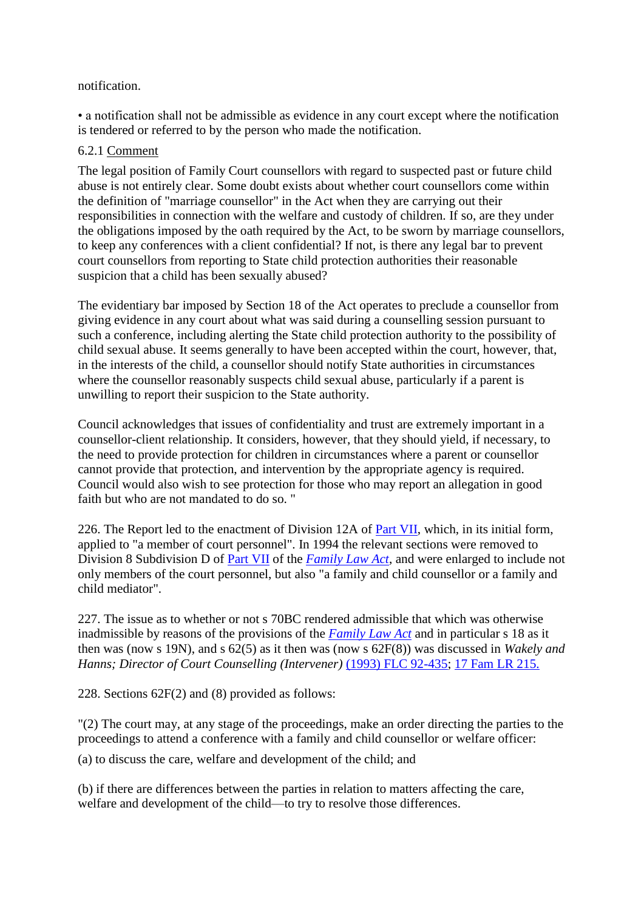### notification.

• a notification shall not be admissible as evidence in any court except where the notification is tendered or referred to by the person who made the notification.

# 6.2.1 Comment

The legal position of Family Court counsellors with regard to suspected past or future child abuse is not entirely clear. Some doubt exists about whether court counsellors come within the definition of "marriage counsellor" in the Act when they are carrying out their responsibilities in connection with the welfare and custody of children. If so, are they under the obligations imposed by the oath required by the Act, to be sworn by marriage counsellors, to keep any conferences with a client confidential? If not, is there any legal bar to prevent court counsellors from reporting to State child protection authorities their reasonable suspicion that a child has been sexually abused?

The evidentiary bar imposed by Section 18 of the Act operates to preclude a counsellor from giving evidence in any court about what was said during a counselling session pursuant to such a conference, including alerting the State child protection authority to the possibility of child sexual abuse. It seems generally to have been accepted within the court, however, that, in the interests of the child, a counsellor should notify State authorities in circumstances where the counsellor reasonably suspects child sexual abuse, particularly if a parent is unwilling to report their suspicion to the State authority.

Council acknowledges that issues of confidentiality and trust are extremely important in a counsellor-client relationship. It considers, however, that they should yield, if necessary, to the need to provide protection for children in circumstances where a parent or counsellor cannot provide that protection, and intervention by the appropriate agency is required. Council would also wish to see protection for those who may report an allegation in good faith but who are not mandated to do so. "

226. The Report led to the enactment of Division 12A of [Part VII,](http://www6.austlii.edu.au/cgi-bin/viewdoc/au/legis/cth/consol_act/fla1975114/index.html#p7) which, in its initial form, applied to "a member of court personnel". In 1994 the relevant sections were removed to Division 8 Subdivision D of [Part VII](http://www6.austlii.edu.au/cgi-bin/viewdoc/au/legis/cth/consol_act/fla1975114/index.html#p7) of the *[Family Law Act](http://www6.austlii.edu.au/cgi-bin/viewdoc/au/legis/cth/consol_act/fla1975114/)*, and were enlarged to include not only members of the court personnel, but also "a family and child counsellor or a family and child mediator".

227. The issue as to whether or not s 70BC rendered admissible that which was otherwise inadmissible by reasons of the provisions of the *[Family Law Act](http://www6.austlii.edu.au/cgi-bin/viewdoc/au/legis/cth/consol_act/fla1975114/)* and in particular s 18 as it then was (now s 19N), and s 62(5) as it then was (now s 62F(8)) was discussed in *Wakely and Hanns; Director of Court Counselling (Intervener)* [\(1993\) FLC 92-435;](http://www6.austlii.edu.au/cgi-bin/LawCite?cit=%281993%29%20FLC%2092%2d435) [17 Fam LR 215.](http://www6.austlii.edu.au/cgi-bin/LawCite?cit=17%20Fam%20LR%20215)

228. Sections 62F(2) and (8) provided as follows:

"(2) The court may, at any stage of the proceedings, make an order directing the parties to the proceedings to attend a conference with a family and child counsellor or welfare officer:

(a) to discuss the care, welfare and development of the child; and

(b) if there are differences between the parties in relation to matters affecting the care, welfare and development of the child—to try to resolve those differences.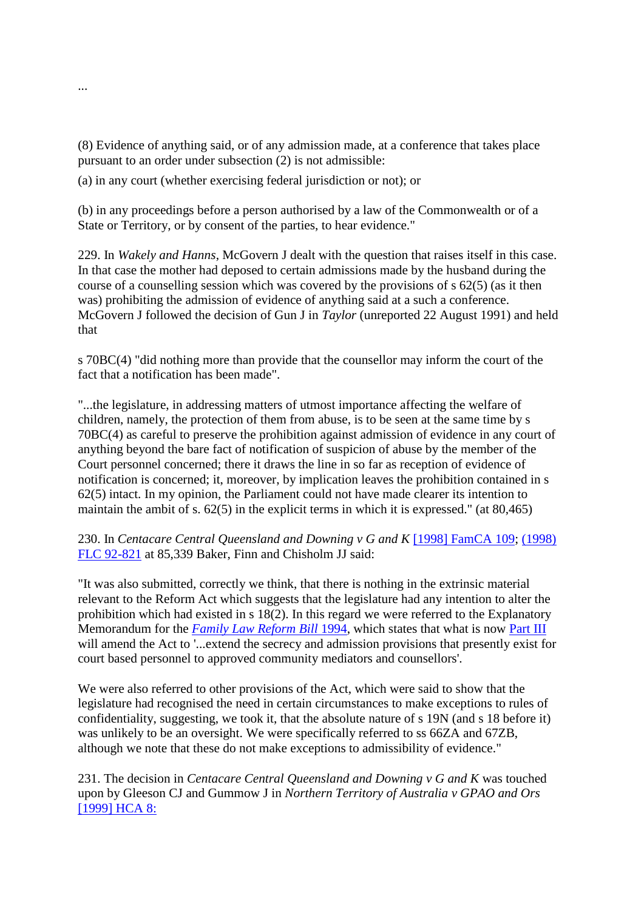(8) Evidence of anything said, or of any admission made, at a conference that takes place pursuant to an order under subsection (2) is not admissible:

(a) in any court (whether exercising federal jurisdiction or not); or

(b) in any proceedings before a person authorised by a law of the Commonwealth or of a State or Territory, or by consent of the parties, to hear evidence."

229. In *Wakely and Hanns*, McGovern J dealt with the question that raises itself in this case. In that case the mother had deposed to certain admissions made by the husband during the course of a counselling session which was covered by the provisions of s 62(5) (as it then was) prohibiting the admission of evidence of anything said at a such a conference. McGovern J followed the decision of Gun J in *Taylor* (unreported 22 August 1991) and held that

s 70BC(4) "did nothing more than provide that the counsellor may inform the court of the fact that a notification has been made".

"...the legislature, in addressing matters of utmost importance affecting the welfare of children, namely, the protection of them from abuse, is to be seen at the same time by s 70BC(4) as careful to preserve the prohibition against admission of evidence in any court of anything beyond the bare fact of notification of suspicion of abuse by the member of the Court personnel concerned; there it draws the line in so far as reception of evidence of notification is concerned; it, moreover, by implication leaves the prohibition contained in s 62(5) intact. In my opinion, the Parliament could not have made clearer its intention to maintain the ambit of s. 62(5) in the explicit terms in which it is expressed." (at 80,465)

230. In *Centacare Central Queensland and Downing v G and K* [\[1998\] FamCA 109;](http://www6.austlii.edu.au/cgi-bin/viewdoc/au/cases/cth/FamCA/1998/109.html) [\(1998\)](http://www6.austlii.edu.au/cgi-bin/LawCite?cit=%281998%29%20FLC%2092%2d821)  [FLC 92-821](http://www6.austlii.edu.au/cgi-bin/LawCite?cit=%281998%29%20FLC%2092%2d821) at 85,339 Baker, Finn and Chisholm JJ said:

"It was also submitted, correctly we think, that there is nothing in the extrinsic material relevant to the Reform Act which suggests that the legislature had any intention to alter the prohibition which had existed in s 18(2). In this regard we were referred to the Explanatory Memorandum for the *[Family Law Reform Bill](http://www6.austlii.edu.au/cgi-bin/viewdoc/au/legis/cth/bill/flrb1994193/)* [1994,](http://www6.austlii.edu.au/cgi-bin/viewdoc/au/legis/cth/bill/flrb1994193/) which states that what is now [Part III](http://www6.austlii.edu.au/cgi-bin/viewdoc/au/legis/cth/bill/flrb1994193/index.html#p3) will amend the Act to '...extend the secrecy and admission provisions that presently exist for court based personnel to approved community mediators and counsellors'.

We were also referred to other provisions of the Act, which were said to show that the legislature had recognised the need in certain circumstances to make exceptions to rules of confidentiality, suggesting, we took it, that the absolute nature of s 19N (and s 18 before it) was unlikely to be an oversight. We were specifically referred to ss 66ZA and 67ZB, although we note that these do not make exceptions to admissibility of evidence."

231. The decision in *Centacare Central Queensland and Downing v G and K* was touched upon by Gleeson CJ and Gummow J in *Northern Territory of Australia v GPAO and Ors* [\[1999\] HCA 8:](http://www6.austlii.edu.au/cgi-bin/viewdoc/au/cases/cth/HCA/1999/8.html)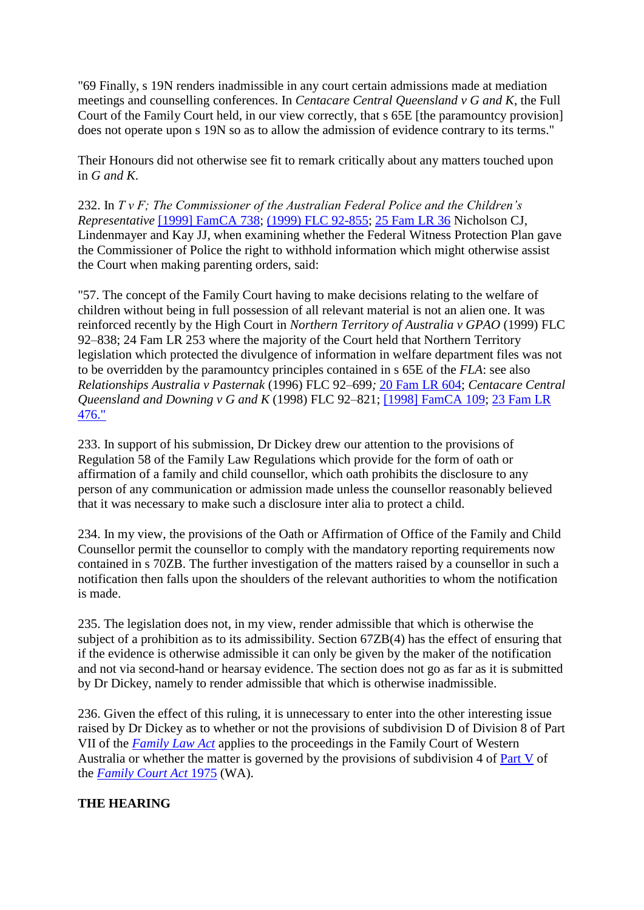"69 Finally, s 19N renders inadmissible in any court certain admissions made at mediation meetings and counselling conferences. In *Centacare Central Queensland v G and K*, the Full Court of the Family Court held, in our view correctly, that s 65E [the paramountcy provision] does not operate upon s 19N so as to allow the admission of evidence contrary to its terms."

Their Honours did not otherwise see fit to remark critically about any matters touched upon in *G and K*.

232. In *T v F; The Commissioner of the Australian Federal Police and the Children's Representative* [\[1999\] FamCA 738;](http://www6.austlii.edu.au/cgi-bin/viewdoc/au/cases/cth/FamCA/1999/738.html) [\(1999\) FLC 92-855;](http://www6.austlii.edu.au/cgi-bin/LawCite?cit=%281999%29%20FLC%2092%2d855) [25 Fam LR 36](http://www6.austlii.edu.au/cgi-bin/LawCite?cit=25%20Fam%20LR%2036) Nicholson CJ, Lindenmayer and Kay JJ, when examining whether the Federal Witness Protection Plan gave the Commissioner of Police the right to withhold information which might otherwise assist the Court when making parenting orders, said:

"57. The concept of the Family Court having to make decisions relating to the welfare of children without being in full possession of all relevant material is not an alien one. It was reinforced recently by the High Court in *Northern Territory of Australia v GPAO* (1999) FLC 92–838; 24 Fam LR 253 where the majority of the Court held that Northern Territory legislation which protected the divulgence of information in welfare department files was not to be overridden by the paramountcy principles contained in s 65E of the *FLA*: see also *Relationships Australia v Pasternak* (1996) FLC 92–699*;* [20 Fam LR 604;](http://www6.austlii.edu.au/cgi-bin/LawCite?cit=20%20Fam%20LR%20604) *Centacare Central Queensland and Downing v G and K* (1998) FLC 92–821; [\[1998\] FamCA 109;](http://www6.austlii.edu.au/cgi-bin/viewdoc/au/cases/cth/FamCA/1998/109.html) [23 Fam LR](http://www6.austlii.edu.au/cgi-bin/LawCite?cit=23%20Fam%20LR%20476)  [476."](http://www6.austlii.edu.au/cgi-bin/LawCite?cit=23%20Fam%20LR%20476)

233. In support of his submission, Dr Dickey drew our attention to the provisions of Regulation 58 of the Family Law Regulations which provide for the form of oath or affirmation of a family and child counsellor, which oath prohibits the disclosure to any person of any communication or admission made unless the counsellor reasonably believed that it was necessary to make such a disclosure inter alia to protect a child.

234. In my view, the provisions of the Oath or Affirmation of Office of the Family and Child Counsellor permit the counsellor to comply with the mandatory reporting requirements now contained in s 70ZB. The further investigation of the matters raised by a counsellor in such a notification then falls upon the shoulders of the relevant authorities to whom the notification is made.

235. The legislation does not, in my view, render admissible that which is otherwise the subject of a prohibition as to its admissibility. Section 67ZB(4) has the effect of ensuring that if the evidence is otherwise admissible it can only be given by the maker of the notification and not via second-hand or hearsay evidence. The section does not go as far as it is submitted by Dr Dickey, namely to render admissible that which is otherwise inadmissible.

236. Given the effect of this ruling, it is unnecessary to enter into the other interesting issue raised by Dr Dickey as to whether or not the provisions of subdivision D of Division 8 of Part VII of the *[Family Law Act](http://www6.austlii.edu.au/cgi-bin/viewdoc/au/legis/cth/consol_act/fla1975114/)* applies to the proceedings in the Family Court of Western Australia or whether the matter is governed by the provisions of subdivision 4 of [Part V](http://www6.austlii.edu.au/cgi-bin/viewdoc/au/legis/cth/consol_act/fla1975114/index.html#p5) of the *[Family Court Act](http://www6.austlii.edu.au/cgi-bin/viewdoc/au/legis/wa/repealed_act/fca1975153/)* [1975](http://www6.austlii.edu.au/cgi-bin/viewdoc/au/legis/wa/repealed_act/fca1975153/) (WA).

# **THE HEARING**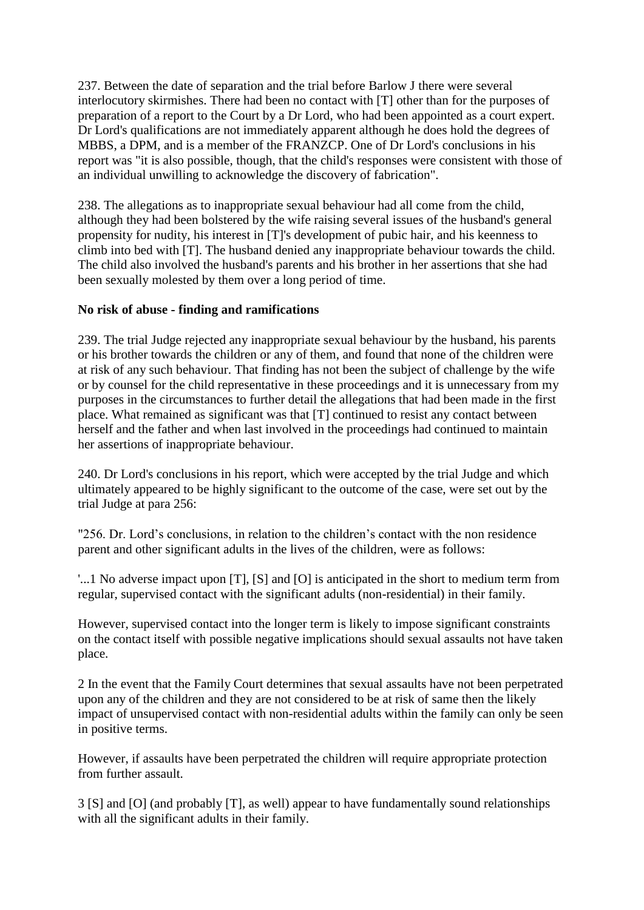237. Between the date of separation and the trial before Barlow J there were several interlocutory skirmishes. There had been no contact with [T] other than for the purposes of preparation of a report to the Court by a Dr Lord, who had been appointed as a court expert. Dr Lord's qualifications are not immediately apparent although he does hold the degrees of MBBS, a DPM, and is a member of the FRANZCP. One of Dr Lord's conclusions in his report was "it is also possible, though, that the child's responses were consistent with those of an individual unwilling to acknowledge the discovery of fabrication".

238. The allegations as to inappropriate sexual behaviour had all come from the child, although they had been bolstered by the wife raising several issues of the husband's general propensity for nudity, his interest in [T]'s development of pubic hair, and his keenness to climb into bed with [T]. The husband denied any inappropriate behaviour towards the child. The child also involved the husband's parents and his brother in her assertions that she had been sexually molested by them over a long period of time.

### **No risk of abuse - finding and ramifications**

239. The trial Judge rejected any inappropriate sexual behaviour by the husband, his parents or his brother towards the children or any of them, and found that none of the children were at risk of any such behaviour. That finding has not been the subject of challenge by the wife or by counsel for the child representative in these proceedings and it is unnecessary from my purposes in the circumstances to further detail the allegations that had been made in the first place. What remained as significant was that [T] continued to resist any contact between herself and the father and when last involved in the proceedings had continued to maintain her assertions of inappropriate behaviour.

240. Dr Lord's conclusions in his report, which were accepted by the trial Judge and which ultimately appeared to be highly significant to the outcome of the case, were set out by the trial Judge at para 256:

"256. Dr. Lord's conclusions, in relation to the children's contact with the non residence parent and other significant adults in the lives of the children, were as follows:

'...1 No adverse impact upon [T], [S] and [O] is anticipated in the short to medium term from regular, supervised contact with the significant adults (non-residential) in their family.

However, supervised contact into the longer term is likely to impose significant constraints on the contact itself with possible negative implications should sexual assaults not have taken place.

2 In the event that the Family Court determines that sexual assaults have not been perpetrated upon any of the children and they are not considered to be at risk of same then the likely impact of unsupervised contact with non-residential adults within the family can only be seen in positive terms.

However, if assaults have been perpetrated the children will require appropriate protection from further assault.

3 [S] and [O] (and probably [T], as well) appear to have fundamentally sound relationships with all the significant adults in their family.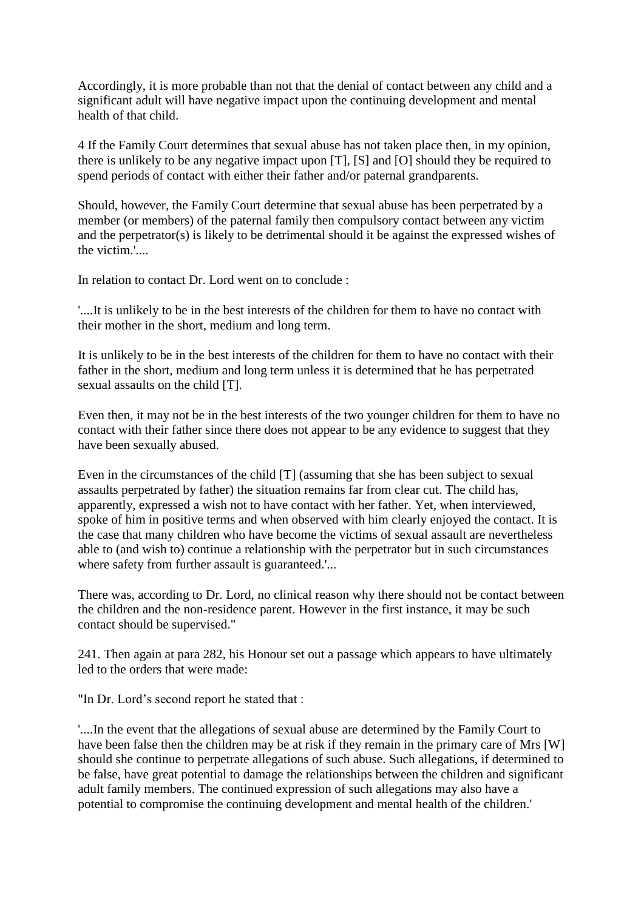Accordingly, it is more probable than not that the denial of contact between any child and a significant adult will have negative impact upon the continuing development and mental health of that child.

4 If the Family Court determines that sexual abuse has not taken place then, in my opinion, there is unlikely to be any negative impact upon [T], [S] and [O] should they be required to spend periods of contact with either their father and/or paternal grandparents.

Should, however, the Family Court determine that sexual abuse has been perpetrated by a member (or members) of the paternal family then compulsory contact between any victim and the perpetrator(s) is likely to be detrimental should it be against the expressed wishes of the victim.'....

In relation to contact Dr. Lord went on to conclude :

'....It is unlikely to be in the best interests of the children for them to have no contact with their mother in the short, medium and long term.

It is unlikely to be in the best interests of the children for them to have no contact with their father in the short, medium and long term unless it is determined that he has perpetrated sexual assaults on the child [T].

Even then, it may not be in the best interests of the two younger children for them to have no contact with their father since there does not appear to be any evidence to suggest that they have been sexually abused.

Even in the circumstances of the child [T] (assuming that she has been subject to sexual assaults perpetrated by father) the situation remains far from clear cut. The child has, apparently, expressed a wish not to have contact with her father. Yet, when interviewed, spoke of him in positive terms and when observed with him clearly enjoyed the contact. It is the case that many children who have become the victims of sexual assault are nevertheless able to (and wish to) continue a relationship with the perpetrator but in such circumstances where safety from further assault is guaranteed.'...

There was, according to Dr. Lord, no clinical reason why there should not be contact between the children and the non-residence parent. However in the first instance, it may be such contact should be supervised."

241. Then again at para 282, his Honour set out a passage which appears to have ultimately led to the orders that were made:

"In Dr. Lord's second report he stated that :

'....In the event that the allegations of sexual abuse are determined by the Family Court to have been false then the children may be at risk if they remain in the primary care of Mrs [W] should she continue to perpetrate allegations of such abuse. Such allegations, if determined to be false, have great potential to damage the relationships between the children and significant adult family members. The continued expression of such allegations may also have a potential to compromise the continuing development and mental health of the children.'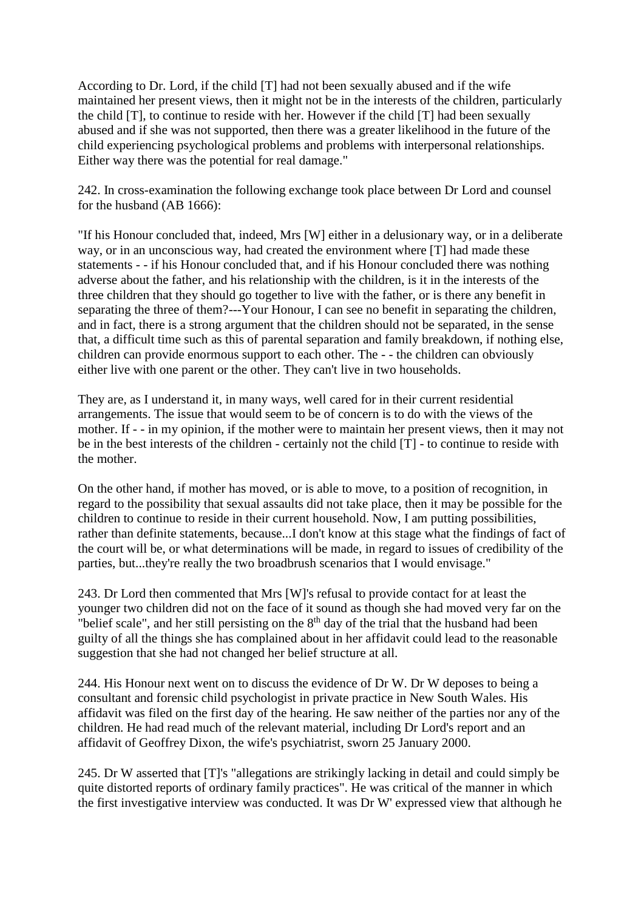According to Dr. Lord, if the child [T] had not been sexually abused and if the wife maintained her present views, then it might not be in the interests of the children, particularly the child [T], to continue to reside with her. However if the child [T] had been sexually abused and if she was not supported, then there was a greater likelihood in the future of the child experiencing psychological problems and problems with interpersonal relationships. Either way there was the potential for real damage."

242. In cross-examination the following exchange took place between Dr Lord and counsel for the husband (AB 1666):

"If his Honour concluded that, indeed, Mrs [W] either in a delusionary way, or in a deliberate way, or in an unconscious way, had created the environment where [T] had made these statements - - if his Honour concluded that, and if his Honour concluded there was nothing adverse about the father, and his relationship with the children, is it in the interests of the three children that they should go together to live with the father, or is there any benefit in separating the three of them?---Your Honour, I can see no benefit in separating the children, and in fact, there is a strong argument that the children should not be separated, in the sense that, a difficult time such as this of parental separation and family breakdown, if nothing else, children can provide enormous support to each other. The - - the children can obviously either live with one parent or the other. They can't live in two households.

They are, as I understand it, in many ways, well cared for in their current residential arrangements. The issue that would seem to be of concern is to do with the views of the mother. If - - in my opinion, if the mother were to maintain her present views, then it may not be in the best interests of the children - certainly not the child [T] - to continue to reside with the mother.

On the other hand, if mother has moved, or is able to move, to a position of recognition, in regard to the possibility that sexual assaults did not take place, then it may be possible for the children to continue to reside in their current household. Now, I am putting possibilities, rather than definite statements, because...I don't know at this stage what the findings of fact of the court will be, or what determinations will be made, in regard to issues of credibility of the parties, but...they're really the two broadbrush scenarios that I would envisage."

243. Dr Lord then commented that Mrs [W]'s refusal to provide contact for at least the younger two children did not on the face of it sound as though she had moved very far on the "belief scale", and her still persisting on the  $8<sup>th</sup>$  day of the trial that the husband had been guilty of all the things she has complained about in her affidavit could lead to the reasonable suggestion that she had not changed her belief structure at all.

244. His Honour next went on to discuss the evidence of Dr W. Dr W deposes to being a consultant and forensic child psychologist in private practice in New South Wales. His affidavit was filed on the first day of the hearing. He saw neither of the parties nor any of the children. He had read much of the relevant material, including Dr Lord's report and an affidavit of Geoffrey Dixon, the wife's psychiatrist, sworn 25 January 2000.

245. Dr W asserted that [T]'s "allegations are strikingly lacking in detail and could simply be quite distorted reports of ordinary family practices". He was critical of the manner in which the first investigative interview was conducted. It was Dr W' expressed view that although he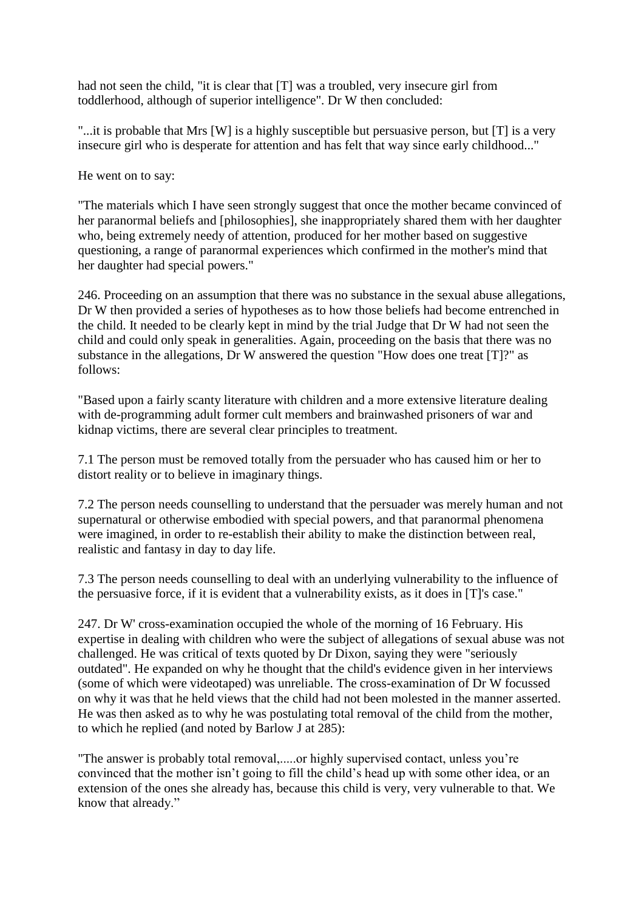had not seen the child, "it is clear that [T] was a troubled, very insecure girl from toddlerhood, although of superior intelligence". Dr W then concluded:

"...it is probable that Mrs [W] is a highly susceptible but persuasive person, but [T] is a very insecure girl who is desperate for attention and has felt that way since early childhood..."

He went on to say:

"The materials which I have seen strongly suggest that once the mother became convinced of her paranormal beliefs and [philosophies], she inappropriately shared them with her daughter who, being extremely needy of attention, produced for her mother based on suggestive questioning, a range of paranormal experiences which confirmed in the mother's mind that her daughter had special powers."

246. Proceeding on an assumption that there was no substance in the sexual abuse allegations, Dr W then provided a series of hypotheses as to how those beliefs had become entrenched in the child. It needed to be clearly kept in mind by the trial Judge that Dr W had not seen the child and could only speak in generalities. Again, proceeding on the basis that there was no substance in the allegations, Dr W answered the question "How does one treat [T]?" as follows:

"Based upon a fairly scanty literature with children and a more extensive literature dealing with de-programming adult former cult members and brainwashed prisoners of war and kidnap victims, there are several clear principles to treatment.

7.1 The person must be removed totally from the persuader who has caused him or her to distort reality or to believe in imaginary things.

7.2 The person needs counselling to understand that the persuader was merely human and not supernatural or otherwise embodied with special powers, and that paranormal phenomena were imagined, in order to re-establish their ability to make the distinction between real, realistic and fantasy in day to day life.

7.3 The person needs counselling to deal with an underlying vulnerability to the influence of the persuasive force, if it is evident that a vulnerability exists, as it does in [T]'s case."

247. Dr W' cross-examination occupied the whole of the morning of 16 February. His expertise in dealing with children who were the subject of allegations of sexual abuse was not challenged. He was critical of texts quoted by Dr Dixon, saying they were "seriously outdated". He expanded on why he thought that the child's evidence given in her interviews (some of which were videotaped) was unreliable. The cross-examination of Dr W focussed on why it was that he held views that the child had not been molested in the manner asserted. He was then asked as to why he was postulating total removal of the child from the mother, to which he replied (and noted by Barlow J at 285):

"The answer is probably total removal,.....or highly supervised contact, unless you're convinced that the mother isn't going to fill the child's head up with some other idea, or an extension of the ones she already has, because this child is very, very vulnerable to that. We know that already."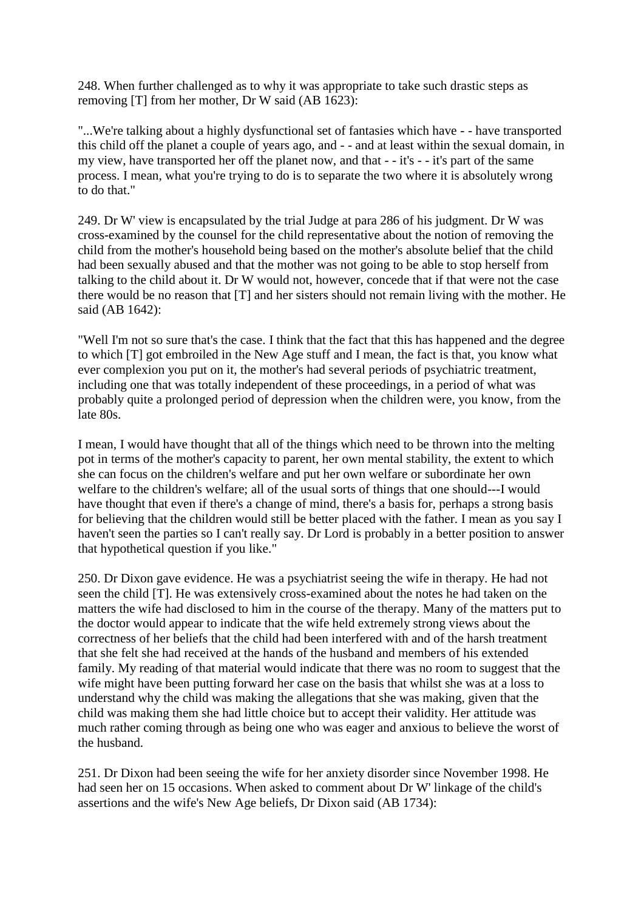248. When further challenged as to why it was appropriate to take such drastic steps as removing [T] from her mother, Dr W said (AB 1623):

"...We're talking about a highly dysfunctional set of fantasies which have - - have transported this child off the planet a couple of years ago, and - - and at least within the sexual domain, in my view, have transported her off the planet now, and that - - it's - - it's part of the same process. I mean, what you're trying to do is to separate the two where it is absolutely wrong to do that."

249. Dr W' view is encapsulated by the trial Judge at para 286 of his judgment. Dr W was cross-examined by the counsel for the child representative about the notion of removing the child from the mother's household being based on the mother's absolute belief that the child had been sexually abused and that the mother was not going to be able to stop herself from talking to the child about it. Dr W would not, however, concede that if that were not the case there would be no reason that [T] and her sisters should not remain living with the mother. He said (AB 1642):

"Well I'm not so sure that's the case. I think that the fact that this has happened and the degree to which [T] got embroiled in the New Age stuff and I mean, the fact is that, you know what ever complexion you put on it, the mother's had several periods of psychiatric treatment, including one that was totally independent of these proceedings, in a period of what was probably quite a prolonged period of depression when the children were, you know, from the late 80s.

I mean, I would have thought that all of the things which need to be thrown into the melting pot in terms of the mother's capacity to parent, her own mental stability, the extent to which she can focus on the children's welfare and put her own welfare or subordinate her own welfare to the children's welfare; all of the usual sorts of things that one should---I would have thought that even if there's a change of mind, there's a basis for, perhaps a strong basis for believing that the children would still be better placed with the father. I mean as you say I haven't seen the parties so I can't really say. Dr Lord is probably in a better position to answer that hypothetical question if you like."

250. Dr Dixon gave evidence. He was a psychiatrist seeing the wife in therapy. He had not seen the child [T]. He was extensively cross-examined about the notes he had taken on the matters the wife had disclosed to him in the course of the therapy. Many of the matters put to the doctor would appear to indicate that the wife held extremely strong views about the correctness of her beliefs that the child had been interfered with and of the harsh treatment that she felt she had received at the hands of the husband and members of his extended family. My reading of that material would indicate that there was no room to suggest that the wife might have been putting forward her case on the basis that whilst she was at a loss to understand why the child was making the allegations that she was making, given that the child was making them she had little choice but to accept their validity. Her attitude was much rather coming through as being one who was eager and anxious to believe the worst of the husband.

251. Dr Dixon had been seeing the wife for her anxiety disorder since November 1998. He had seen her on 15 occasions. When asked to comment about Dr W' linkage of the child's assertions and the wife's New Age beliefs, Dr Dixon said (AB 1734):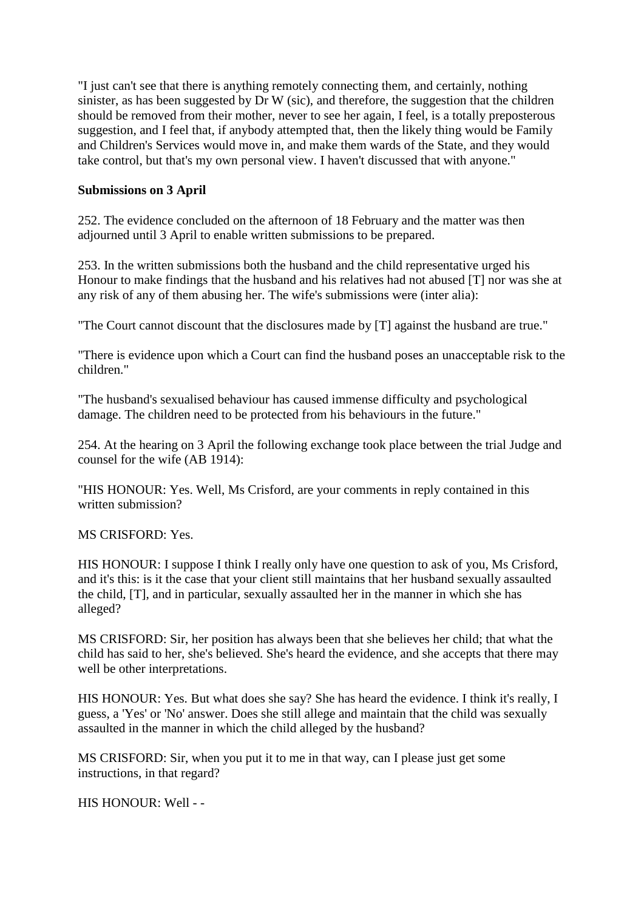"I just can't see that there is anything remotely connecting them, and certainly, nothing sinister, as has been suggested by Dr W (sic), and therefore, the suggestion that the children should be removed from their mother, never to see her again, I feel, is a totally preposterous suggestion, and I feel that, if anybody attempted that, then the likely thing would be Family and Children's Services would move in, and make them wards of the State, and they would take control, but that's my own personal view. I haven't discussed that with anyone."

### **Submissions on 3 April**

252. The evidence concluded on the afternoon of 18 February and the matter was then adjourned until 3 April to enable written submissions to be prepared.

253. In the written submissions both the husband and the child representative urged his Honour to make findings that the husband and his relatives had not abused [T] nor was she at any risk of any of them abusing her. The wife's submissions were (inter alia):

"The Court cannot discount that the disclosures made by [T] against the husband are true."

"There is evidence upon which a Court can find the husband poses an unacceptable risk to the children."

"The husband's sexualised behaviour has caused immense difficulty and psychological damage. The children need to be protected from his behaviours in the future."

254. At the hearing on 3 April the following exchange took place between the trial Judge and counsel for the wife (AB 1914):

"HIS HONOUR: Yes. Well, Ms Crisford, are your comments in reply contained in this written submission?

MS CRISFORD: Yes.

HIS HONOUR: I suppose I think I really only have one question to ask of you, Ms Crisford, and it's this: is it the case that your client still maintains that her husband sexually assaulted the child, [T], and in particular, sexually assaulted her in the manner in which she has alleged?

MS CRISFORD: Sir, her position has always been that she believes her child; that what the child has said to her, she's believed. She's heard the evidence, and she accepts that there may well be other interpretations.

HIS HONOUR: Yes. But what does she say? She has heard the evidence. I think it's really, I guess, a 'Yes' or 'No' answer. Does she still allege and maintain that the child was sexually assaulted in the manner in which the child alleged by the husband?

MS CRISFORD: Sir, when you put it to me in that way, can I please just get some instructions, in that regard?

HIS HONOUR: Well - -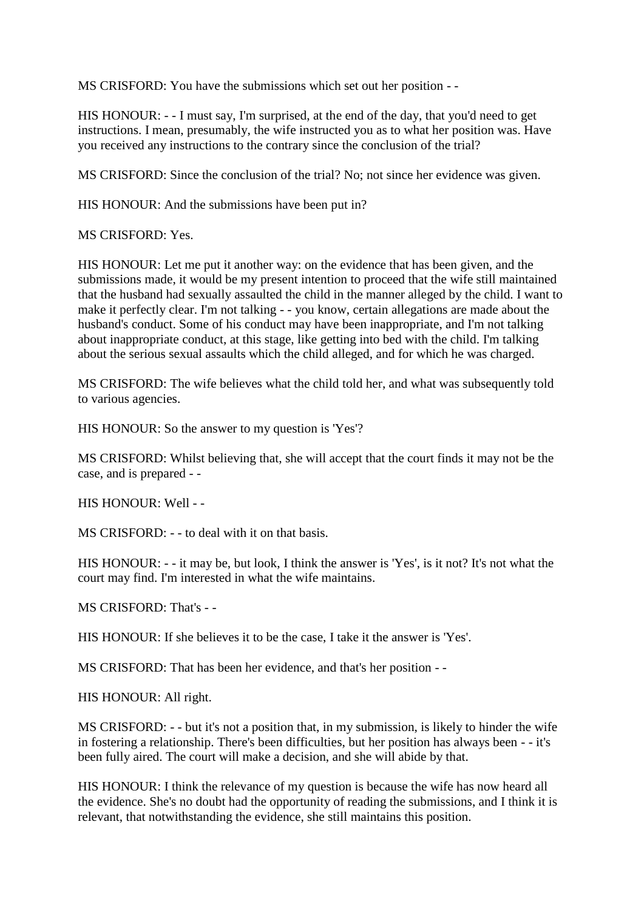MS CRISFORD: You have the submissions which set out her position - -

HIS HONOUR: - - I must say, I'm surprised, at the end of the day, that you'd need to get instructions. I mean, presumably, the wife instructed you as to what her position was. Have you received any instructions to the contrary since the conclusion of the trial?

MS CRISFORD: Since the conclusion of the trial? No; not since her evidence was given.

HIS HONOUR: And the submissions have been put in?

MS CRISFORD: Yes.

HIS HONOUR: Let me put it another way: on the evidence that has been given, and the submissions made, it would be my present intention to proceed that the wife still maintained that the husband had sexually assaulted the child in the manner alleged by the child. I want to make it perfectly clear. I'm not talking - - you know, certain allegations are made about the husband's conduct. Some of his conduct may have been inappropriate, and I'm not talking about inappropriate conduct, at this stage, like getting into bed with the child. I'm talking about the serious sexual assaults which the child alleged, and for which he was charged.

MS CRISFORD: The wife believes what the child told her, and what was subsequently told to various agencies.

HIS HONOUR: So the answer to my question is 'Yes'?

MS CRISFORD: Whilst believing that, she will accept that the court finds it may not be the case, and is prepared - -

HIS HONOUR: Well - -

MS CRISFORD: - - to deal with it on that basis.

HIS HONOUR: - - it may be, but look, I think the answer is 'Yes', is it not? It's not what the court may find. I'm interested in what the wife maintains.

MS CRISFORD: That's - -

HIS HONOUR: If she believes it to be the case, I take it the answer is 'Yes'.

MS CRISFORD: That has been her evidence, and that's her position - -

HIS HONOUR: All right.

MS CRISFORD: - - but it's not a position that, in my submission, is likely to hinder the wife in fostering a relationship. There's been difficulties, but her position has always been - - it's been fully aired. The court will make a decision, and she will abide by that.

HIS HONOUR: I think the relevance of my question is because the wife has now heard all the evidence. She's no doubt had the opportunity of reading the submissions, and I think it is relevant, that notwithstanding the evidence, she still maintains this position.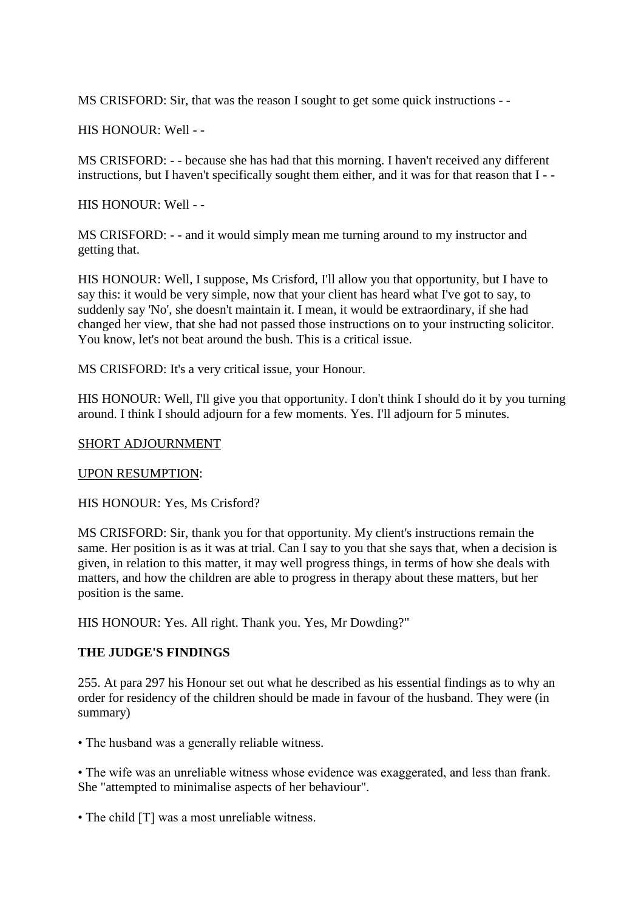MS CRISFORD: Sir, that was the reason I sought to get some quick instructions - -

HIS HONOUR: Well - -

MS CRISFORD: - - because she has had that this morning. I haven't received any different instructions, but I haven't specifically sought them either, and it was for that reason that I - -

HIS HONOUR: Well - -

MS CRISFORD: - - and it would simply mean me turning around to my instructor and getting that.

HIS HONOUR: Well, I suppose, Ms Crisford, I'll allow you that opportunity, but I have to say this: it would be very simple, now that your client has heard what I've got to say, to suddenly say 'No', she doesn't maintain it. I mean, it would be extraordinary, if she had changed her view, that she had not passed those instructions on to your instructing solicitor. You know, let's not beat around the bush. This is a critical issue.

MS CRISFORD: It's a very critical issue, your Honour.

HIS HONOUR: Well, I'll give you that opportunity. I don't think I should do it by you turning around. I think I should adjourn for a few moments. Yes. I'll adjourn for 5 minutes.

### SHORT ADJOURNMENT

#### UPON RESUMPTION:

HIS HONOUR: Yes, Ms Crisford?

MS CRISFORD: Sir, thank you for that opportunity. My client's instructions remain the same. Her position is as it was at trial. Can I say to you that she says that, when a decision is given, in relation to this matter, it may well progress things, in terms of how she deals with matters, and how the children are able to progress in therapy about these matters, but her position is the same.

HIS HONOUR: Yes. All right. Thank you. Yes, Mr Dowding?"

### **THE JUDGE'S FINDINGS**

255. At para 297 his Honour set out what he described as his essential findings as to why an order for residency of the children should be made in favour of the husband. They were (in summary)

• The husband was a generally reliable witness.

• The wife was an unreliable witness whose evidence was exaggerated, and less than frank. She "attempted to minimalise aspects of her behaviour".

• The child [T] was a most unreliable witness.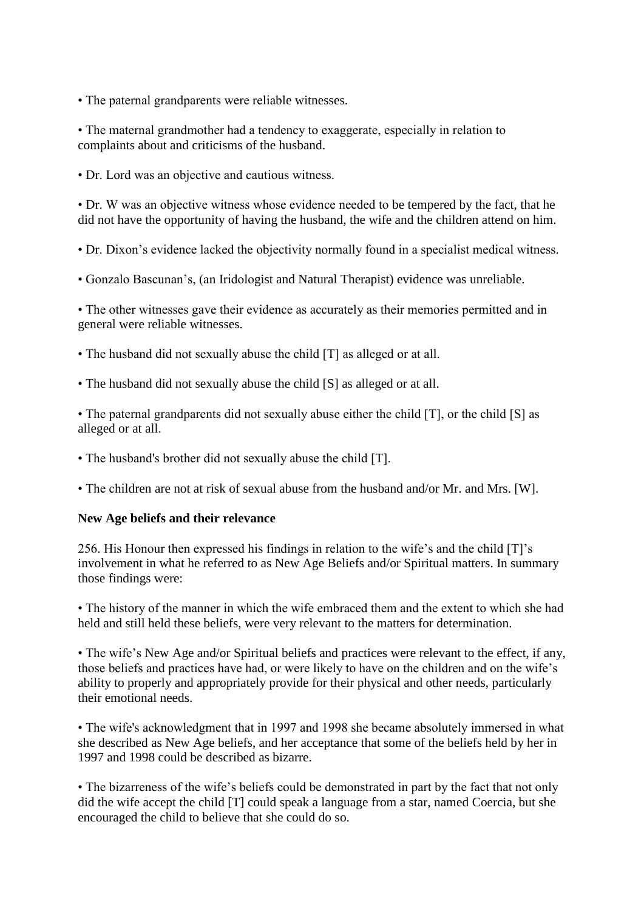• The paternal grandparents were reliable witnesses.

• The maternal grandmother had a tendency to exaggerate, especially in relation to complaints about and criticisms of the husband.

• Dr. Lord was an objective and cautious witness.

• Dr. W was an objective witness whose evidence needed to be tempered by the fact, that he did not have the opportunity of having the husband, the wife and the children attend on him.

• Dr. Dixon's evidence lacked the objectivity normally found in a specialist medical witness.

• Gonzalo Bascunan's, (an Iridologist and Natural Therapist) evidence was unreliable.

• The other witnesses gave their evidence as accurately as their memories permitted and in general were reliable witnesses.

• The husband did not sexually abuse the child [T] as alleged or at all.

• The husband did not sexually abuse the child [S] as alleged or at all.

• The paternal grandparents did not sexually abuse either the child [T], or the child [S] as alleged or at all.

• The husband's brother did not sexually abuse the child [T].

• The children are not at risk of sexual abuse from the husband and/or Mr. and Mrs. [W].

### **New Age beliefs and their relevance**

256. His Honour then expressed his findings in relation to the wife's and the child [T]'s involvement in what he referred to as New Age Beliefs and/or Spiritual matters. In summary those findings were:

• The history of the manner in which the wife embraced them and the extent to which she had held and still held these beliefs, were very relevant to the matters for determination.

• The wife's New Age and/or Spiritual beliefs and practices were relevant to the effect, if any, those beliefs and practices have had, or were likely to have on the children and on the wife's ability to properly and appropriately provide for their physical and other needs, particularly their emotional needs.

• The wife's acknowledgment that in 1997 and 1998 she became absolutely immersed in what she described as New Age beliefs, and her acceptance that some of the beliefs held by her in 1997 and 1998 could be described as bizarre.

• The bizarreness of the wife's beliefs could be demonstrated in part by the fact that not only did the wife accept the child [T] could speak a language from a star, named Coercia, but she encouraged the child to believe that she could do so.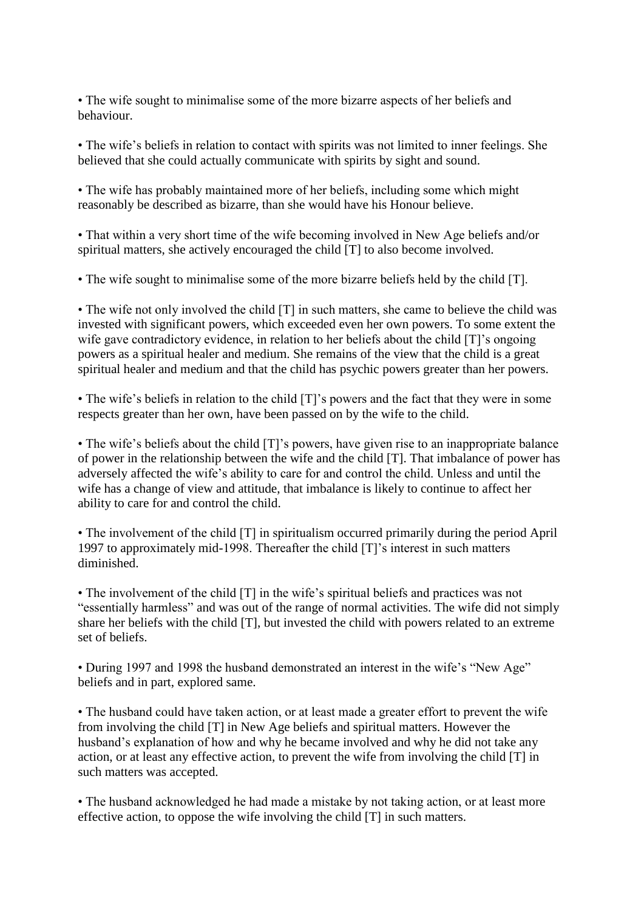• The wife sought to minimalise some of the more bizarre aspects of her beliefs and behaviour.

• The wife's beliefs in relation to contact with spirits was not limited to inner feelings. She believed that she could actually communicate with spirits by sight and sound.

• The wife has probably maintained more of her beliefs, including some which might reasonably be described as bizarre, than she would have his Honour believe.

• That within a very short time of the wife becoming involved in New Age beliefs and/or spiritual matters, she actively encouraged the child [T] to also become involved.

• The wife sought to minimalise some of the more bizarre beliefs held by the child [T].

• The wife not only involved the child [T] in such matters, she came to believe the child was invested with significant powers, which exceeded even her own powers. To some extent the wife gave contradictory evidence, in relation to her beliefs about the child [T]'s ongoing powers as a spiritual healer and medium. She remains of the view that the child is a great spiritual healer and medium and that the child has psychic powers greater than her powers.

• The wife's beliefs in relation to the child [T]'s powers and the fact that they were in some respects greater than her own, have been passed on by the wife to the child.

• The wife's beliefs about the child [T]'s powers, have given rise to an inappropriate balance of power in the relationship between the wife and the child [T]. That imbalance of power has adversely affected the wife's ability to care for and control the child. Unless and until the wife has a change of view and attitude, that imbalance is likely to continue to affect her ability to care for and control the child.

• The involvement of the child [T] in spiritualism occurred primarily during the period April 1997 to approximately mid-1998. Thereafter the child [T]'s interest in such matters diminished.

• The involvement of the child [T] in the wife's spiritual beliefs and practices was not "essentially harmless" and was out of the range of normal activities. The wife did not simply share her beliefs with the child [T], but invested the child with powers related to an extreme set of beliefs.

• During 1997 and 1998 the husband demonstrated an interest in the wife's "New Age" beliefs and in part, explored same.

• The husband could have taken action, or at least made a greater effort to prevent the wife from involving the child [T] in New Age beliefs and spiritual matters. However the husband's explanation of how and why he became involved and why he did not take any action, or at least any effective action, to prevent the wife from involving the child [T] in such matters was accepted.

• The husband acknowledged he had made a mistake by not taking action, or at least more effective action, to oppose the wife involving the child [T] in such matters.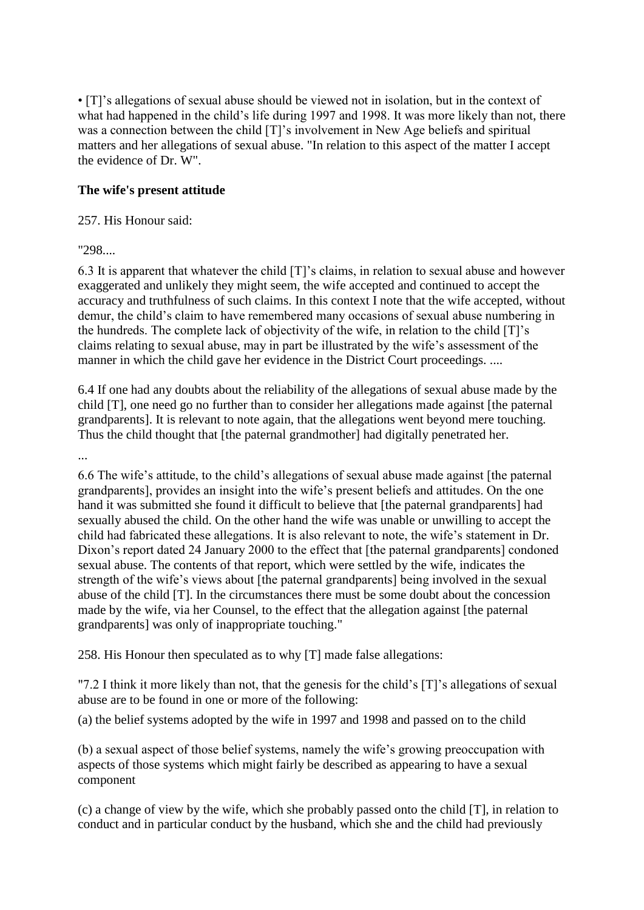• [T]'s allegations of sexual abuse should be viewed not in isolation, but in the context of what had happened in the child's life during 1997 and 1998. It was more likely than not, there was a connection between the child [T]'s involvement in New Age beliefs and spiritual matters and her allegations of sexual abuse. "In relation to this aspect of the matter I accept the evidence of Dr. W".

### **The wife's present attitude**

### 257. His Honour said:

"298....

6.3 It is apparent that whatever the child [T]'s claims, in relation to sexual abuse and however exaggerated and unlikely they might seem, the wife accepted and continued to accept the accuracy and truthfulness of such claims. In this context I note that the wife accepted, without demur, the child's claim to have remembered many occasions of sexual abuse numbering in the hundreds. The complete lack of objectivity of the wife, in relation to the child [T]'s claims relating to sexual abuse, may in part be illustrated by the wife's assessment of the manner in which the child gave her evidence in the District Court proceedings. ....

6.4 If one had any doubts about the reliability of the allegations of sexual abuse made by the child [T], one need go no further than to consider her allegations made against [the paternal grandparents]. It is relevant to note again, that the allegations went beyond mere touching. Thus the child thought that [the paternal grandmother] had digitally penetrated her.

...

6.6 The wife's attitude, to the child's allegations of sexual abuse made against [the paternal grandparents], provides an insight into the wife's present beliefs and attitudes. On the one hand it was submitted she found it difficult to believe that [the paternal grandparents] had sexually abused the child. On the other hand the wife was unable or unwilling to accept the child had fabricated these allegations. It is also relevant to note, the wife's statement in Dr. Dixon's report dated 24 January 2000 to the effect that [the paternal grandparents] condoned sexual abuse. The contents of that report, which were settled by the wife, indicates the strength of the wife's views about [the paternal grandparents] being involved in the sexual abuse of the child [T]. In the circumstances there must be some doubt about the concession made by the wife, via her Counsel, to the effect that the allegation against [the paternal grandparents] was only of inappropriate touching."

258. His Honour then speculated as to why [T] made false allegations:

"7.2 I think it more likely than not, that the genesis for the child's [T]'s allegations of sexual abuse are to be found in one or more of the following:

(a) the belief systems adopted by the wife in 1997 and 1998 and passed on to the child

(b) a sexual aspect of those belief systems, namely the wife's growing preoccupation with aspects of those systems which might fairly be described as appearing to have a sexual component

(c) a change of view by the wife, which she probably passed onto the child [T], in relation to conduct and in particular conduct by the husband, which she and the child had previously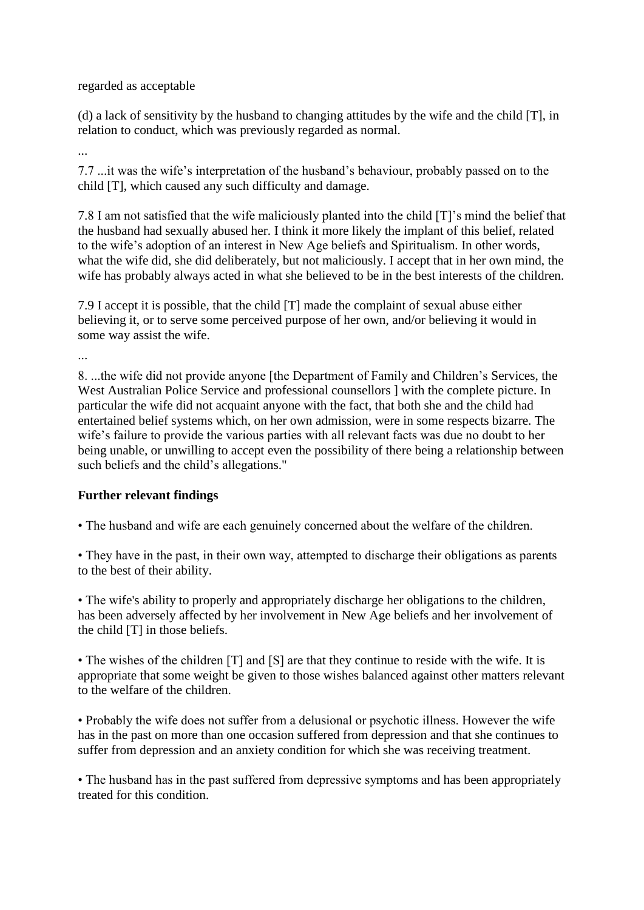regarded as acceptable

(d) a lack of sensitivity by the husband to changing attitudes by the wife and the child [T], in relation to conduct, which was previously regarded as normal.

...

...

7.7 ...it was the wife's interpretation of the husband's behaviour, probably passed on to the child [T], which caused any such difficulty and damage.

7.8 I am not satisfied that the wife maliciously planted into the child [T]'s mind the belief that the husband had sexually abused her. I think it more likely the implant of this belief, related to the wife's adoption of an interest in New Age beliefs and Spiritualism. In other words, what the wife did, she did deliberately, but not maliciously. I accept that in her own mind, the wife has probably always acted in what she believed to be in the best interests of the children.

7.9 I accept it is possible, that the child [T] made the complaint of sexual abuse either believing it, or to serve some perceived purpose of her own, and/or believing it would in some way assist the wife.

8. ...the wife did not provide anyone [the Department of Family and Children's Services, the West Australian Police Service and professional counsellors ] with the complete picture. In particular the wife did not acquaint anyone with the fact, that both she and the child had entertained belief systems which, on her own admission, were in some respects bizarre. The wife's failure to provide the various parties with all relevant facts was due no doubt to her being unable, or unwilling to accept even the possibility of there being a relationship between such beliefs and the child's allegations."

# **Further relevant findings**

• The husband and wife are each genuinely concerned about the welfare of the children.

• They have in the past, in their own way, attempted to discharge their obligations as parents to the best of their ability.

• The wife's ability to properly and appropriately discharge her obligations to the children, has been adversely affected by her involvement in New Age beliefs and her involvement of the child [T] in those beliefs.

• The wishes of the children [T] and [S] are that they continue to reside with the wife. It is appropriate that some weight be given to those wishes balanced against other matters relevant to the welfare of the children.

• Probably the wife does not suffer from a delusional or psychotic illness. However the wife has in the past on more than one occasion suffered from depression and that she continues to suffer from depression and an anxiety condition for which she was receiving treatment.

• The husband has in the past suffered from depressive symptoms and has been appropriately treated for this condition.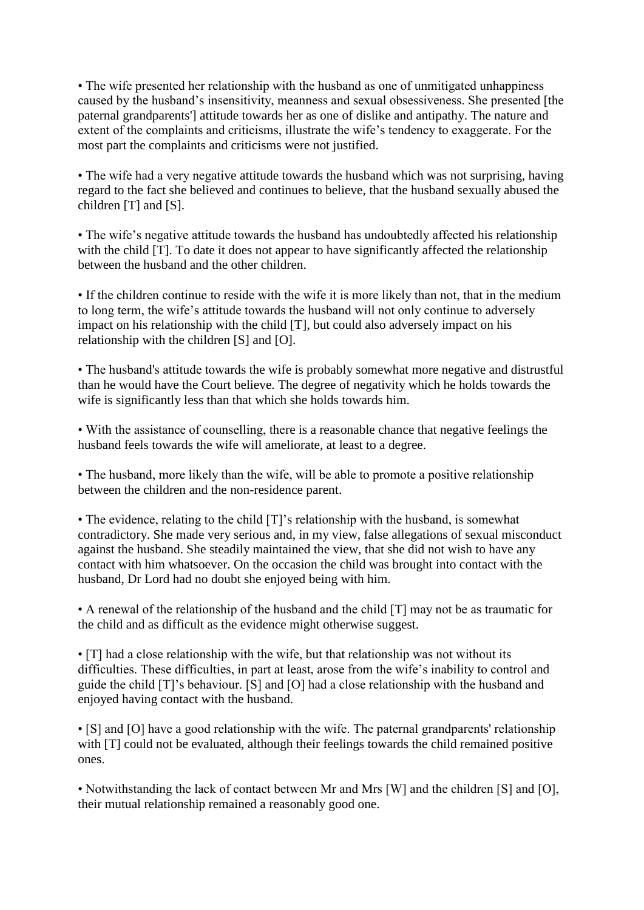• The wife presented her relationship with the husband as one of unmitigated unhappiness caused by the husband's insensitivity, meanness and sexual obsessiveness. She presented [the paternal grandparents'] attitude towards her as one of dislike and antipathy. The nature and extent of the complaints and criticisms, illustrate the wife's tendency to exaggerate. For the most part the complaints and criticisms were not justified.

• The wife had a very negative attitude towards the husband which was not surprising, having regard to the fact she believed and continues to believe, that the husband sexually abused the children [T] and [S].

• The wife's negative attitude towards the husband has undoubtedly affected his relationship with the child [T]. To date it does not appear to have significantly affected the relationship between the husband and the other children.

• If the children continue to reside with the wife it is more likely than not, that in the medium to long term, the wife's attitude towards the husband will not only continue to adversely impact on his relationship with the child [T], but could also adversely impact on his relationship with the children [S] and [O].

• The husband's attitude towards the wife is probably somewhat more negative and distrustful than he would have the Court believe. The degree of negativity which he holds towards the wife is significantly less than that which she holds towards him.

• With the assistance of counselling, there is a reasonable chance that negative feelings the husband feels towards the wife will ameliorate, at least to a degree.

• The husband, more likely than the wife, will be able to promote a positive relationship between the children and the non-residence parent.

• The evidence, relating to the child [T]'s relationship with the husband, is somewhat contradictory. She made very serious and, in my view, false allegations of sexual misconduct against the husband. She steadily maintained the view, that she did not wish to have any contact with him whatsoever. On the occasion the child was brought into contact with the husband, Dr Lord had no doubt she enjoyed being with him.

• A renewal of the relationship of the husband and the child [T] may not be as traumatic for the child and as difficult as the evidence might otherwise suggest.

• [T] had a close relationship with the wife, but that relationship was not without its difficulties. These difficulties, in part at least, arose from the wife's inability to control and guide the child [T]'s behaviour. [S] and [O] had a close relationship with the husband and enjoyed having contact with the husband.

• [S] and [O] have a good relationship with the wife. The paternal grandparents' relationship with [T] could not be evaluated, although their feelings towards the child remained positive ones.

• Notwithstanding the lack of contact between Mr and Mrs [W] and the children [S] and [O], their mutual relationship remained a reasonably good one.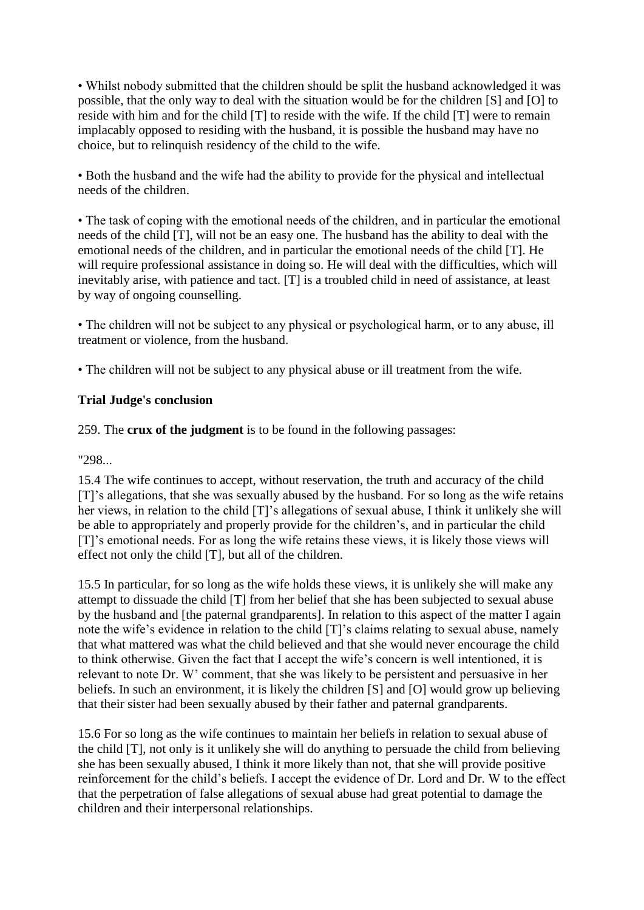• Whilst nobody submitted that the children should be split the husband acknowledged it was possible, that the only way to deal with the situation would be for the children [S] and [O] to reside with him and for the child [T] to reside with the wife. If the child [T] were to remain implacably opposed to residing with the husband, it is possible the husband may have no choice, but to relinquish residency of the child to the wife.

• Both the husband and the wife had the ability to provide for the physical and intellectual needs of the children.

• The task of coping with the emotional needs of the children, and in particular the emotional needs of the child [T], will not be an easy one. The husband has the ability to deal with the emotional needs of the children, and in particular the emotional needs of the child [T]. He will require professional assistance in doing so. He will deal with the difficulties, which will inevitably arise, with patience and tact. [T] is a troubled child in need of assistance, at least by way of ongoing counselling.

• The children will not be subject to any physical or psychological harm, or to any abuse, ill treatment or violence, from the husband.

• The children will not be subject to any physical abuse or ill treatment from the wife.

# **Trial Judge's conclusion**

259. The **crux of the judgment** is to be found in the following passages:

"298...

15.4 The wife continues to accept, without reservation, the truth and accuracy of the child [T]'s allegations, that she was sexually abused by the husband. For so long as the wife retains her views, in relation to the child [T]'s allegations of sexual abuse, I think it unlikely she will be able to appropriately and properly provide for the children's, and in particular the child [T]'s emotional needs. For as long the wife retains these views, it is likely those views will effect not only the child [T], but all of the children.

15.5 In particular, for so long as the wife holds these views, it is unlikely she will make any attempt to dissuade the child [T] from her belief that she has been subjected to sexual abuse by the husband and [the paternal grandparents]. In relation to this aspect of the matter I again note the wife's evidence in relation to the child [T]'s claims relating to sexual abuse, namely that what mattered was what the child believed and that she would never encourage the child to think otherwise. Given the fact that I accept the wife's concern is well intentioned, it is relevant to note Dr. W' comment, that she was likely to be persistent and persuasive in her beliefs. In such an environment, it is likely the children [S] and [O] would grow up believing that their sister had been sexually abused by their father and paternal grandparents.

15.6 For so long as the wife continues to maintain her beliefs in relation to sexual abuse of the child [T], not only is it unlikely she will do anything to persuade the child from believing she has been sexually abused, I think it more likely than not, that she will provide positive reinforcement for the child's beliefs. I accept the evidence of Dr. Lord and Dr. W to the effect that the perpetration of false allegations of sexual abuse had great potential to damage the children and their interpersonal relationships.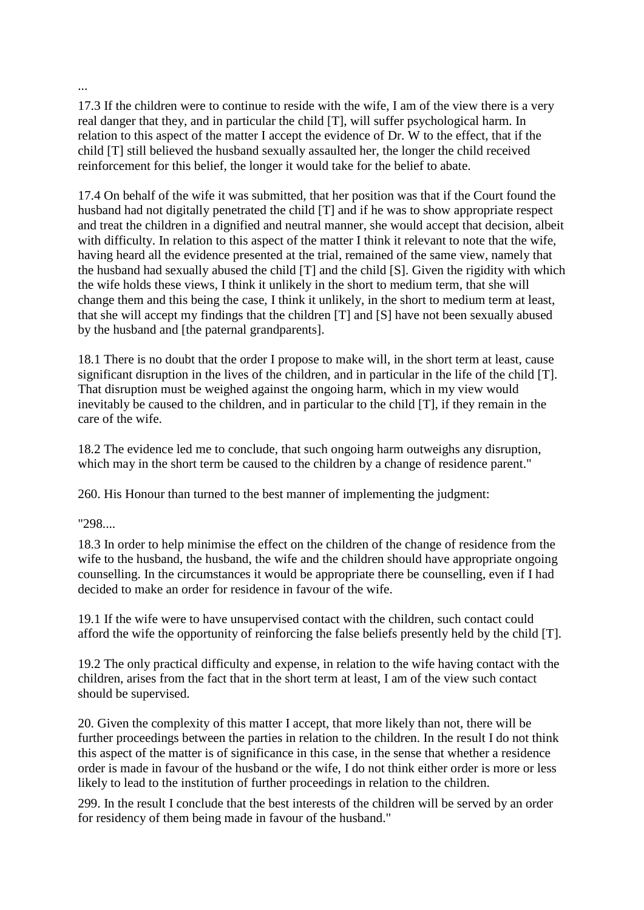...

17.3 If the children were to continue to reside with the wife, I am of the view there is a very real danger that they, and in particular the child [T], will suffer psychological harm. In relation to this aspect of the matter I accept the evidence of Dr. W to the effect, that if the child [T] still believed the husband sexually assaulted her, the longer the child received reinforcement for this belief, the longer it would take for the belief to abate.

17.4 On behalf of the wife it was submitted, that her position was that if the Court found the husband had not digitally penetrated the child [T] and if he was to show appropriate respect and treat the children in a dignified and neutral manner, she would accept that decision, albeit with difficulty. In relation to this aspect of the matter I think it relevant to note that the wife, having heard all the evidence presented at the trial, remained of the same view, namely that the husband had sexually abused the child [T] and the child [S]. Given the rigidity with which the wife holds these views, I think it unlikely in the short to medium term, that she will change them and this being the case, I think it unlikely, in the short to medium term at least, that she will accept my findings that the children [T] and [S] have not been sexually abused by the husband and [the paternal grandparents].

18.1 There is no doubt that the order I propose to make will, in the short term at least, cause significant disruption in the lives of the children, and in particular in the life of the child [T]. That disruption must be weighed against the ongoing harm, which in my view would inevitably be caused to the children, and in particular to the child [T], if they remain in the care of the wife.

18.2 The evidence led me to conclude, that such ongoing harm outweighs any disruption, which may in the short term be caused to the children by a change of residence parent."

260. His Honour than turned to the best manner of implementing the judgment:

"298....

18.3 In order to help minimise the effect on the children of the change of residence from the wife to the husband, the husband, the wife and the children should have appropriate ongoing counselling. In the circumstances it would be appropriate there be counselling, even if I had decided to make an order for residence in favour of the wife.

19.1 If the wife were to have unsupervised contact with the children, such contact could afford the wife the opportunity of reinforcing the false beliefs presently held by the child [T].

19.2 The only practical difficulty and expense, in relation to the wife having contact with the children, arises from the fact that in the short term at least, I am of the view such contact should be supervised.

20. Given the complexity of this matter I accept, that more likely than not, there will be further proceedings between the parties in relation to the children. In the result I do not think this aspect of the matter is of significance in this case, in the sense that whether a residence order is made in favour of the husband or the wife, I do not think either order is more or less likely to lead to the institution of further proceedings in relation to the children.

299. In the result I conclude that the best interests of the children will be served by an order for residency of them being made in favour of the husband."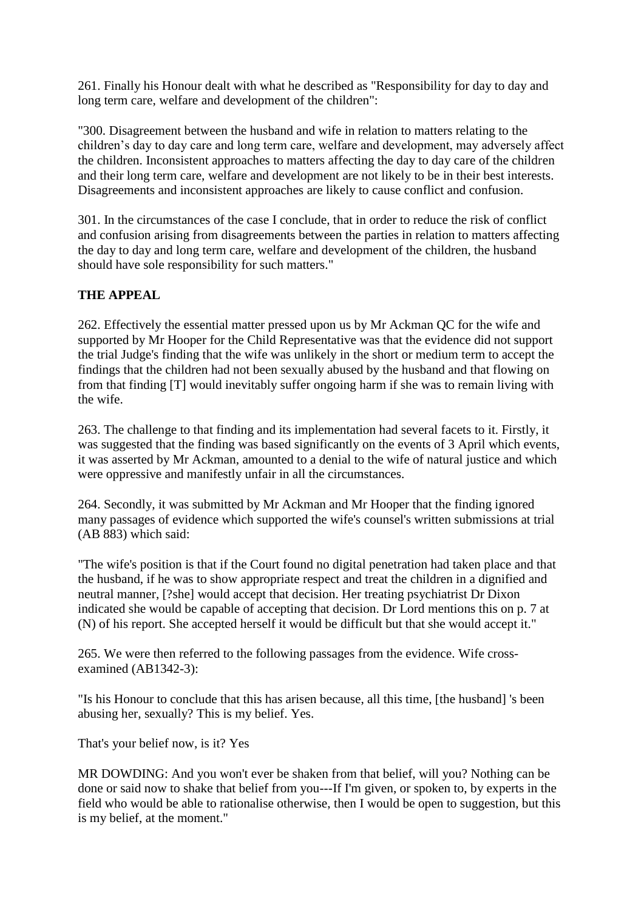261. Finally his Honour dealt with what he described as "Responsibility for day to day and long term care, welfare and development of the children":

"300. Disagreement between the husband and wife in relation to matters relating to the children's day to day care and long term care, welfare and development, may adversely affect the children. Inconsistent approaches to matters affecting the day to day care of the children and their long term care, welfare and development are not likely to be in their best interests. Disagreements and inconsistent approaches are likely to cause conflict and confusion.

301. In the circumstances of the case I conclude, that in order to reduce the risk of conflict and confusion arising from disagreements between the parties in relation to matters affecting the day to day and long term care, welfare and development of the children, the husband should have sole responsibility for such matters."

# **THE APPEAL**

262. Effectively the essential matter pressed upon us by Mr Ackman QC for the wife and supported by Mr Hooper for the Child Representative was that the evidence did not support the trial Judge's finding that the wife was unlikely in the short or medium term to accept the findings that the children had not been sexually abused by the husband and that flowing on from that finding [T] would inevitably suffer ongoing harm if she was to remain living with the wife.

263. The challenge to that finding and its implementation had several facets to it. Firstly, it was suggested that the finding was based significantly on the events of 3 April which events, it was asserted by Mr Ackman, amounted to a denial to the wife of natural justice and which were oppressive and manifestly unfair in all the circumstances.

264. Secondly, it was submitted by Mr Ackman and Mr Hooper that the finding ignored many passages of evidence which supported the wife's counsel's written submissions at trial (AB 883) which said:

"The wife's position is that if the Court found no digital penetration had taken place and that the husband, if he was to show appropriate respect and treat the children in a dignified and neutral manner, [?she] would accept that decision. Her treating psychiatrist Dr Dixon indicated she would be capable of accepting that decision. Dr Lord mentions this on p. 7 at (N) of his report. She accepted herself it would be difficult but that she would accept it."

265. We were then referred to the following passages from the evidence. Wife crossexamined (AB1342-3):

"Is his Honour to conclude that this has arisen because, all this time, [the husband] 's been abusing her, sexually? This is my belief. Yes.

That's your belief now, is it? Yes

MR DOWDING: And you won't ever be shaken from that belief, will you? Nothing can be done or said now to shake that belief from you---If I'm given, or spoken to, by experts in the field who would be able to rationalise otherwise, then I would be open to suggestion, but this is my belief, at the moment."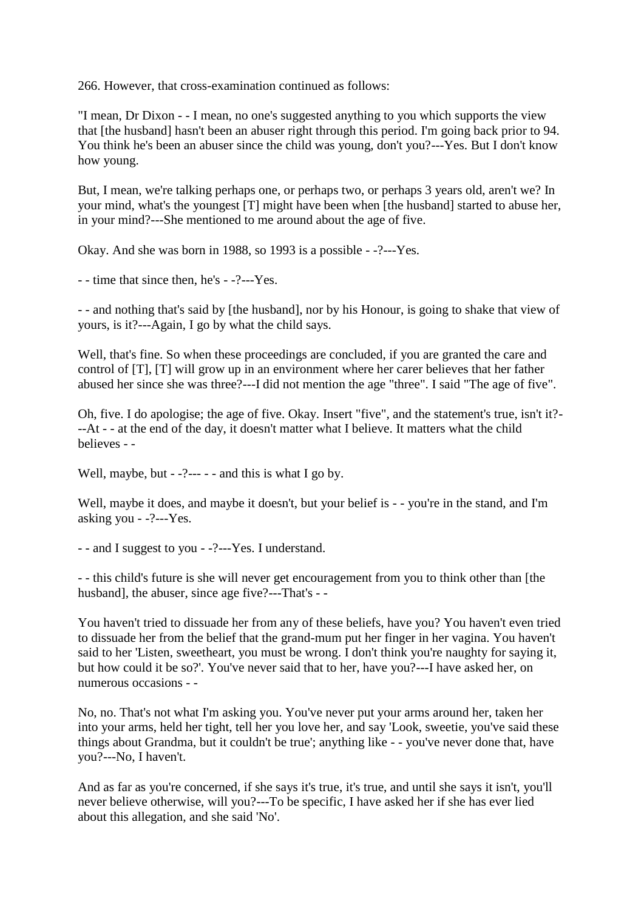266. However, that cross-examination continued as follows:

"I mean, Dr Dixon - - I mean, no one's suggested anything to you which supports the view that [the husband] hasn't been an abuser right through this period. I'm going back prior to 94. You think he's been an abuser since the child was young, don't you?---Yes. But I don't know how young.

But, I mean, we're talking perhaps one, or perhaps two, or perhaps 3 years old, aren't we? In your mind, what's the youngest [T] might have been when [the husband] started to abuse her, in your mind?---She mentioned to me around about the age of five.

Okay. And she was born in 1988, so 1993 is a possible - -?---Yes.

- - time that since then, he's - -?---Yes.

- - and nothing that's said by [the husband], nor by his Honour, is going to shake that view of yours, is it?---Again, I go by what the child says.

Well, that's fine. So when these proceedings are concluded, if you are granted the care and control of [T], [T] will grow up in an environment where her carer believes that her father abused her since she was three?---I did not mention the age "three". I said "The age of five".

Oh, five. I do apologise; the age of five. Okay. Insert "five", and the statement's true, isn't it?- --At - - at the end of the day, it doesn't matter what I believe. It matters what the child believes - -

Well, maybe, but  $-2$ --- $-$  - and this is what I go by.

Well, maybe it does, and maybe it doesn't, but your belief is - - you're in the stand, and I'm asking you - -?---Yes.

- - and I suggest to you - -?---Yes. I understand.

- - this child's future is she will never get encouragement from you to think other than [the husband], the abuser, since age five?---That's - -

You haven't tried to dissuade her from any of these beliefs, have you? You haven't even tried to dissuade her from the belief that the grand-mum put her finger in her vagina. You haven't said to her 'Listen, sweetheart, you must be wrong. I don't think you're naughty for saying it, but how could it be so?'. You've never said that to her, have you?---I have asked her, on numerous occasions - -

No, no. That's not what I'm asking you. You've never put your arms around her, taken her into your arms, held her tight, tell her you love her, and say 'Look, sweetie, you've said these things about Grandma, but it couldn't be true'; anything like - - you've never done that, have you?---No, I haven't.

And as far as you're concerned, if she says it's true, it's true, and until she says it isn't, you'll never believe otherwise, will you?---To be specific, I have asked her if she has ever lied about this allegation, and she said 'No'.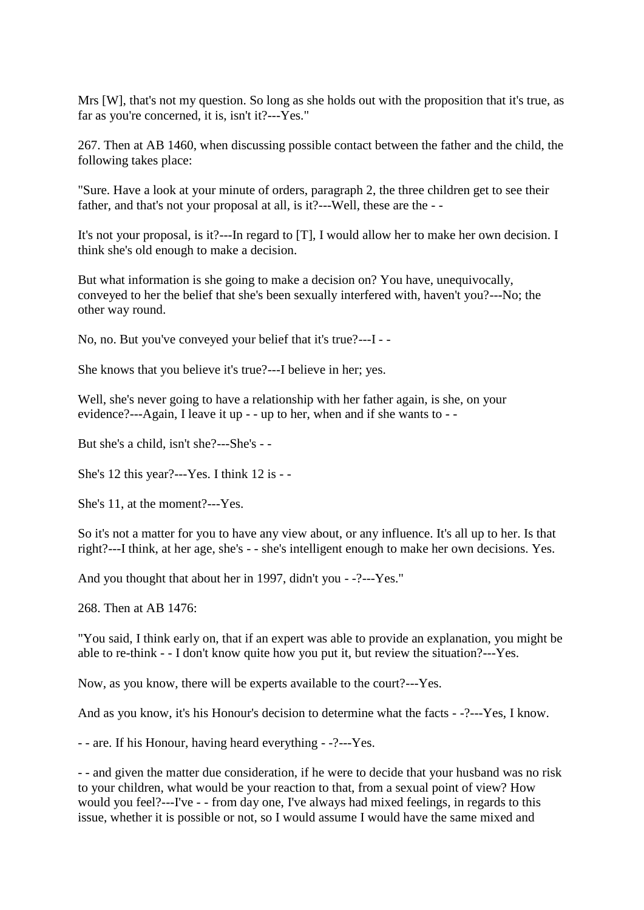Mrs [W], that's not my question. So long as she holds out with the proposition that it's true, as far as you're concerned, it is, isn't it?---Yes."

267. Then at AB 1460, when discussing possible contact between the father and the child, the following takes place:

"Sure. Have a look at your minute of orders, paragraph 2, the three children get to see their father, and that's not your proposal at all, is it?---Well, these are the - -

It's not your proposal, is it?---In regard to [T], I would allow her to make her own decision. I think she's old enough to make a decision.

But what information is she going to make a decision on? You have, unequivocally, conveyed to her the belief that she's been sexually interfered with, haven't you?---No; the other way round.

No, no. But you've conveyed your belief that it's true?---I - -

She knows that you believe it's true?---I believe in her; yes.

Well, she's never going to have a relationship with her father again, is she, on your evidence?---Again, I leave it up - - up to her, when and if she wants to - -

But she's a child, isn't she?---She's - -

She's 12 this year?---Yes. I think 12 is - -

She's 11, at the moment?---Yes.

So it's not a matter for you to have any view about, or any influence. It's all up to her. Is that right?---I think, at her age, she's - - she's intelligent enough to make her own decisions. Yes.

And you thought that about her in 1997, didn't you - -?---Yes."

268. Then at AB 1476:

"You said, I think early on, that if an expert was able to provide an explanation, you might be able to re-think - - I don't know quite how you put it, but review the situation?---Yes.

Now, as you know, there will be experts available to the court?---Yes.

And as you know, it's his Honour's decision to determine what the facts - -?---Yes, I know.

- - are. If his Honour, having heard everything - -?---Yes.

- - and given the matter due consideration, if he were to decide that your husband was no risk to your children, what would be your reaction to that, from a sexual point of view? How would you feel?---I've - - from day one, I've always had mixed feelings, in regards to this issue, whether it is possible or not, so I would assume I would have the same mixed and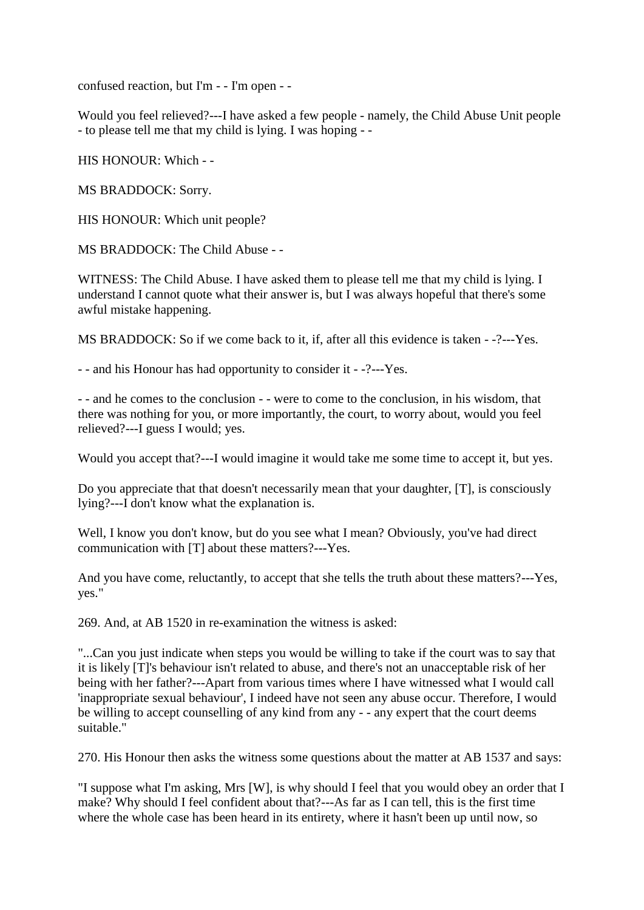confused reaction, but I'm - - I'm open - -

Would you feel relieved?---I have asked a few people - namely, the Child Abuse Unit people - to please tell me that my child is lying. I was hoping - -

HIS HONOUR: Which - -

MS BRADDOCK: Sorry.

HIS HONOUR: Which unit people?

MS BRADDOCK: The Child Abuse - -

WITNESS: The Child Abuse. I have asked them to please tell me that my child is lying. I understand I cannot quote what their answer is, but I was always hopeful that there's some awful mistake happening.

MS BRADDOCK: So if we come back to it, if, after all this evidence is taken - -?---Yes.

- - and his Honour has had opportunity to consider it - -?---Yes.

- - and he comes to the conclusion - - were to come to the conclusion, in his wisdom, that there was nothing for you, or more importantly, the court, to worry about, would you feel relieved?---I guess I would; yes.

Would you accept that?---I would imagine it would take me some time to accept it, but yes.

Do you appreciate that that doesn't necessarily mean that your daughter, [T], is consciously lying?---I don't know what the explanation is.

Well, I know you don't know, but do you see what I mean? Obviously, you've had direct communication with [T] about these matters?---Yes.

And you have come, reluctantly, to accept that she tells the truth about these matters?---Yes, yes."

269. And, at AB 1520 in re-examination the witness is asked:

"...Can you just indicate when steps you would be willing to take if the court was to say that it is likely [T]'s behaviour isn't related to abuse, and there's not an unacceptable risk of her being with her father?---Apart from various times where I have witnessed what I would call 'inappropriate sexual behaviour', I indeed have not seen any abuse occur. Therefore, I would be willing to accept counselling of any kind from any - - any expert that the court deems suitable."

270. His Honour then asks the witness some questions about the matter at AB 1537 and says:

"I suppose what I'm asking, Mrs [W], is why should I feel that you would obey an order that I make? Why should I feel confident about that?---As far as I can tell, this is the first time where the whole case has been heard in its entirety, where it hasn't been up until now, so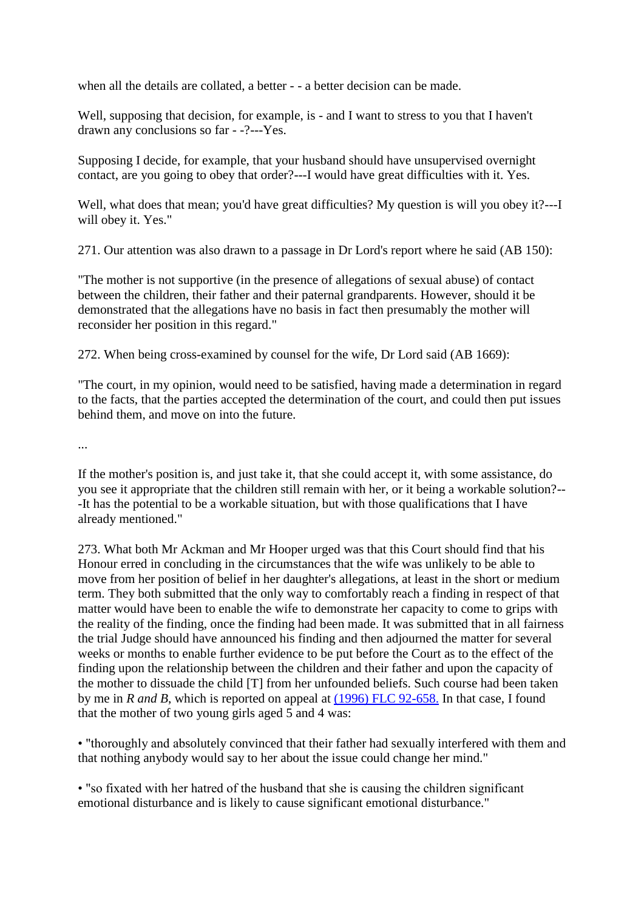when all the details are collated, a better - - a better decision can be made.

Well, supposing that decision, for example, is - and I want to stress to you that I haven't drawn any conclusions so far - -?---Yes.

Supposing I decide, for example, that your husband should have unsupervised overnight contact, are you going to obey that order?---I would have great difficulties with it. Yes.

Well, what does that mean; you'd have great difficulties? My question is will you obey it?---I will obey it. Yes."

271. Our attention was also drawn to a passage in Dr Lord's report where he said (AB 150):

"The mother is not supportive (in the presence of allegations of sexual abuse) of contact between the children, their father and their paternal grandparents. However, should it be demonstrated that the allegations have no basis in fact then presumably the mother will reconsider her position in this regard."

272. When being cross-examined by counsel for the wife, Dr Lord said (AB 1669):

"The court, in my opinion, would need to be satisfied, having made a determination in regard to the facts, that the parties accepted the determination of the court, and could then put issues behind them, and move on into the future.

...

If the mother's position is, and just take it, that she could accept it, with some assistance, do you see it appropriate that the children still remain with her, or it being a workable solution?-- -It has the potential to be a workable situation, but with those qualifications that I have already mentioned."

273. What both Mr Ackman and Mr Hooper urged was that this Court should find that his Honour erred in concluding in the circumstances that the wife was unlikely to be able to move from her position of belief in her daughter's allegations, at least in the short or medium term. They both submitted that the only way to comfortably reach a finding in respect of that matter would have been to enable the wife to demonstrate her capacity to come to grips with the reality of the finding, once the finding had been made. It was submitted that in all fairness the trial Judge should have announced his finding and then adjourned the matter for several weeks or months to enable further evidence to be put before the Court as to the effect of the finding upon the relationship between the children and their father and upon the capacity of the mother to dissuade the child [T] from her unfounded beliefs. Such course had been taken by me in *R and B*, which is reported on appeal at [\(1996\) FLC 92-658.](http://www6.austlii.edu.au/cgi-bin/LawCite?cit=%281996%29%20FLC%2092%2d658) In that case, I found that the mother of two young girls aged 5 and 4 was:

• "thoroughly and absolutely convinced that their father had sexually interfered with them and that nothing anybody would say to her about the issue could change her mind."

• "so fixated with her hatred of the husband that she is causing the children significant emotional disturbance and is likely to cause significant emotional disturbance."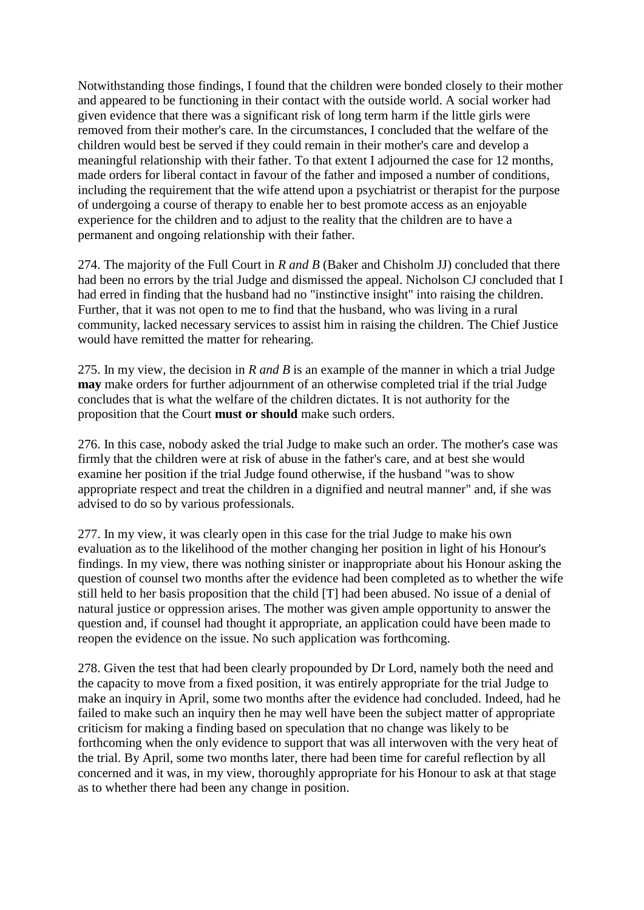Notwithstanding those findings, I found that the children were bonded closely to their mother and appeared to be functioning in their contact with the outside world. A social worker had given evidence that there was a significant risk of long term harm if the little girls were removed from their mother's care. In the circumstances, I concluded that the welfare of the children would best be served if they could remain in their mother's care and develop a meaningful relationship with their father. To that extent I adjourned the case for 12 months, made orders for liberal contact in favour of the father and imposed a number of conditions, including the requirement that the wife attend upon a psychiatrist or therapist for the purpose of undergoing a course of therapy to enable her to best promote access as an enjoyable experience for the children and to adjust to the reality that the children are to have a permanent and ongoing relationship with their father.

274. The majority of the Full Court in *R and B* (Baker and Chisholm JJ) concluded that there had been no errors by the trial Judge and dismissed the appeal. Nicholson CJ concluded that I had erred in finding that the husband had no "instinctive insight" into raising the children. Further, that it was not open to me to find that the husband, who was living in a rural community, lacked necessary services to assist him in raising the children. The Chief Justice would have remitted the matter for rehearing.

275. In my view, the decision in *R and B* is an example of the manner in which a trial Judge **may** make orders for further adjournment of an otherwise completed trial if the trial Judge concludes that is what the welfare of the children dictates. It is not authority for the proposition that the Court **must or should** make such orders.

276. In this case, nobody asked the trial Judge to make such an order. The mother's case was firmly that the children were at risk of abuse in the father's care, and at best she would examine her position if the trial Judge found otherwise, if the husband "was to show appropriate respect and treat the children in a dignified and neutral manner" and, if she was advised to do so by various professionals.

277. In my view, it was clearly open in this case for the trial Judge to make his own evaluation as to the likelihood of the mother changing her position in light of his Honour's findings. In my view, there was nothing sinister or inappropriate about his Honour asking the question of counsel two months after the evidence had been completed as to whether the wife still held to her basis proposition that the child [T] had been abused. No issue of a denial of natural justice or oppression arises. The mother was given ample opportunity to answer the question and, if counsel had thought it appropriate, an application could have been made to reopen the evidence on the issue. No such application was forthcoming.

278. Given the test that had been clearly propounded by Dr Lord, namely both the need and the capacity to move from a fixed position, it was entirely appropriate for the trial Judge to make an inquiry in April, some two months after the evidence had concluded. Indeed, had he failed to make such an inquiry then he may well have been the subject matter of appropriate criticism for making a finding based on speculation that no change was likely to be forthcoming when the only evidence to support that was all interwoven with the very heat of the trial. By April, some two months later, there had been time for careful reflection by all concerned and it was, in my view, thoroughly appropriate for his Honour to ask at that stage as to whether there had been any change in position.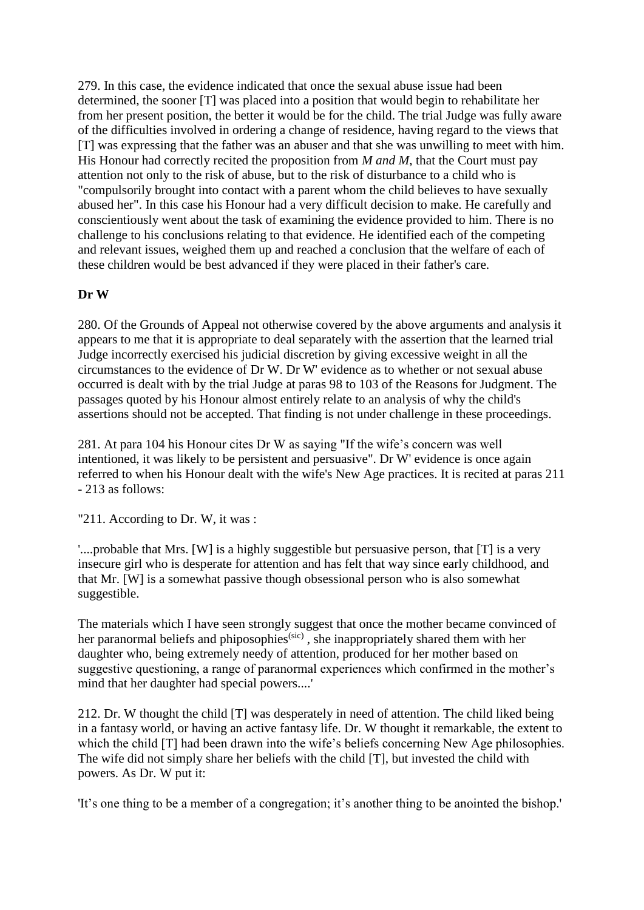279. In this case, the evidence indicated that once the sexual abuse issue had been determined, the sooner [T] was placed into a position that would begin to rehabilitate her from her present position, the better it would be for the child. The trial Judge was fully aware of the difficulties involved in ordering a change of residence, having regard to the views that [T] was expressing that the father was an abuser and that she was unwilling to meet with him. His Honour had correctly recited the proposition from *M and M*, that the Court must pay attention not only to the risk of abuse, but to the risk of disturbance to a child who is "compulsorily brought into contact with a parent whom the child believes to have sexually abused her". In this case his Honour had a very difficult decision to make. He carefully and conscientiously went about the task of examining the evidence provided to him. There is no challenge to his conclusions relating to that evidence. He identified each of the competing and relevant issues, weighed them up and reached a conclusion that the welfare of each of these children would be best advanced if they were placed in their father's care.

### **Dr W**

280. Of the Grounds of Appeal not otherwise covered by the above arguments and analysis it appears to me that it is appropriate to deal separately with the assertion that the learned trial Judge incorrectly exercised his judicial discretion by giving excessive weight in all the circumstances to the evidence of Dr W. Dr W' evidence as to whether or not sexual abuse occurred is dealt with by the trial Judge at paras 98 to 103 of the Reasons for Judgment. The passages quoted by his Honour almost entirely relate to an analysis of why the child's assertions should not be accepted. That finding is not under challenge in these proceedings.

281. At para 104 his Honour cites Dr W as saying "If the wife's concern was well intentioned, it was likely to be persistent and persuasive". Dr W' evidence is once again referred to when his Honour dealt with the wife's New Age practices. It is recited at paras 211 - 213 as follows:

"211. According to Dr. W, it was :

'....probable that Mrs. [W] is a highly suggestible but persuasive person, that [T] is a very insecure girl who is desperate for attention and has felt that way since early childhood, and that Mr. [W] is a somewhat passive though obsessional person who is also somewhat suggestible.

The materials which I have seen strongly suggest that once the mother became convinced of her paranormal beliefs and phiposophies<sup>(sic)</sup>, she inappropriately shared them with her daughter who, being extremely needy of attention, produced for her mother based on suggestive questioning, a range of paranormal experiences which confirmed in the mother's mind that her daughter had special powers....'

212. Dr. W thought the child [T] was desperately in need of attention. The child liked being in a fantasy world, or having an active fantasy life. Dr. W thought it remarkable, the extent to which the child [T] had been drawn into the wife's beliefs concerning New Age philosophies. The wife did not simply share her beliefs with the child [T], but invested the child with powers. As Dr. W put it:

'It's one thing to be a member of a congregation; it's another thing to be anointed the bishop.'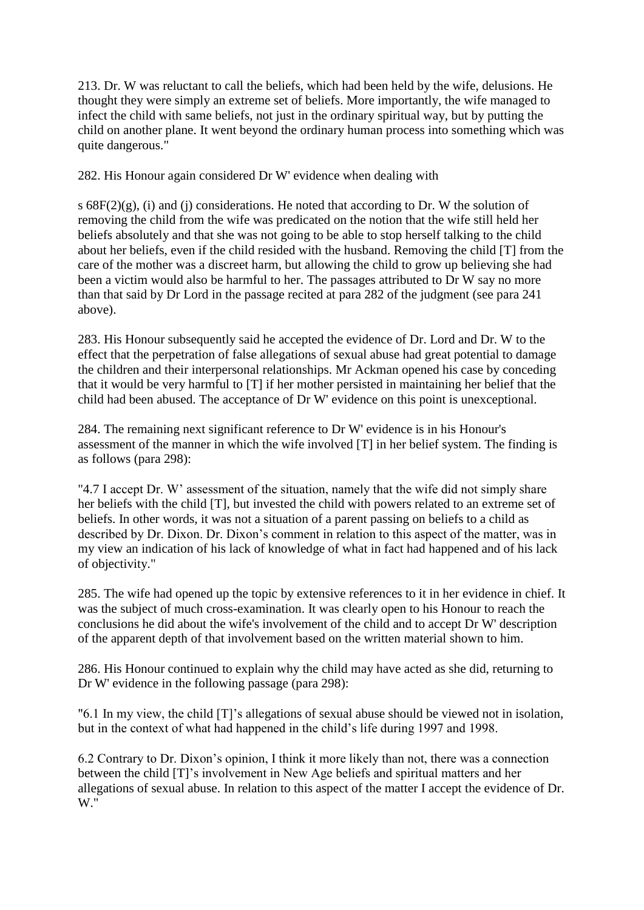213. Dr. W was reluctant to call the beliefs, which had been held by the wife, delusions. He thought they were simply an extreme set of beliefs. More importantly, the wife managed to infect the child with same beliefs, not just in the ordinary spiritual way, but by putting the child on another plane. It went beyond the ordinary human process into something which was quite dangerous."

282. His Honour again considered Dr W' evidence when dealing with

s  $68F(2)(g)$ , (i) and (j) considerations. He noted that according to Dr. W the solution of removing the child from the wife was predicated on the notion that the wife still held her beliefs absolutely and that she was not going to be able to stop herself talking to the child about her beliefs, even if the child resided with the husband. Removing the child [T] from the care of the mother was a discreet harm, but allowing the child to grow up believing she had been a victim would also be harmful to her. The passages attributed to Dr W say no more than that said by Dr Lord in the passage recited at para 282 of the judgment (see para 241 above).

283. His Honour subsequently said he accepted the evidence of Dr. Lord and Dr. W to the effect that the perpetration of false allegations of sexual abuse had great potential to damage the children and their interpersonal relationships. Mr Ackman opened his case by conceding that it would be very harmful to [T] if her mother persisted in maintaining her belief that the child had been abused. The acceptance of Dr W' evidence on this point is unexceptional.

284. The remaining next significant reference to Dr W' evidence is in his Honour's assessment of the manner in which the wife involved [T] in her belief system. The finding is as follows (para 298):

"4.7 I accept Dr. W' assessment of the situation, namely that the wife did not simply share her beliefs with the child [T], but invested the child with powers related to an extreme set of beliefs. In other words, it was not a situation of a parent passing on beliefs to a child as described by Dr. Dixon. Dr. Dixon's comment in relation to this aspect of the matter, was in my view an indication of his lack of knowledge of what in fact had happened and of his lack of objectivity."

285. The wife had opened up the topic by extensive references to it in her evidence in chief. It was the subject of much cross-examination. It was clearly open to his Honour to reach the conclusions he did about the wife's involvement of the child and to accept Dr W' description of the apparent depth of that involvement based on the written material shown to him.

286. His Honour continued to explain why the child may have acted as she did, returning to Dr W' evidence in the following passage (para 298):

"6.1 In my view, the child [T]'s allegations of sexual abuse should be viewed not in isolation, but in the context of what had happened in the child's life during 1997 and 1998.

6.2 Contrary to Dr. Dixon's opinion, I think it more likely than not, there was a connection between the child [T]'s involvement in New Age beliefs and spiritual matters and her allegations of sexual abuse. In relation to this aspect of the matter I accept the evidence of Dr. W."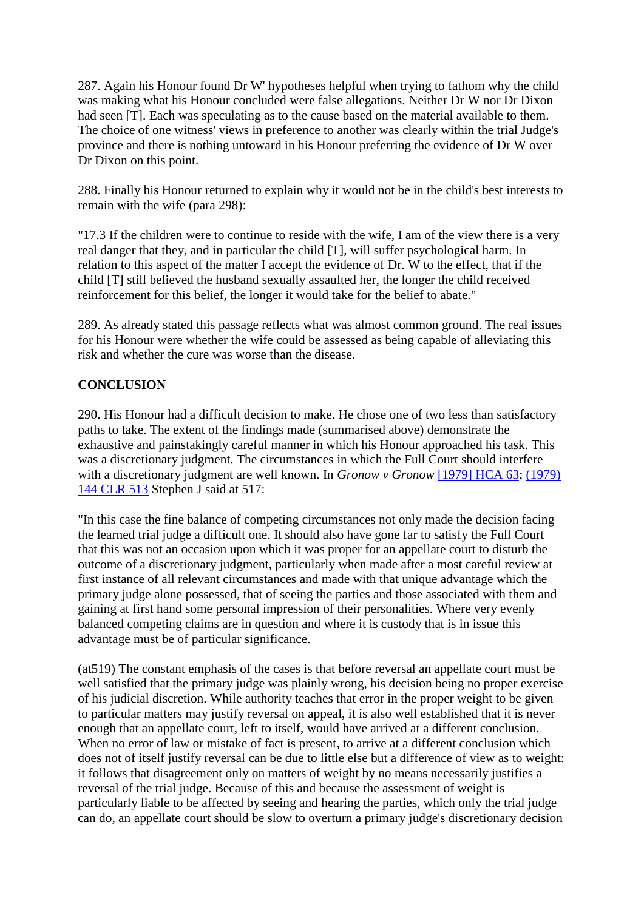287. Again his Honour found Dr W' hypotheses helpful when trying to fathom why the child was making what his Honour concluded were false allegations. Neither Dr W nor Dr Dixon had seen [T]. Each was speculating as to the cause based on the material available to them. The choice of one witness' views in preference to another was clearly within the trial Judge's province and there is nothing untoward in his Honour preferring the evidence of Dr W over Dr Dixon on this point.

288. Finally his Honour returned to explain why it would not be in the child's best interests to remain with the wife (para 298):

"17.3 If the children were to continue to reside with the wife, I am of the view there is a very real danger that they, and in particular the child [T], will suffer psychological harm. In relation to this aspect of the matter I accept the evidence of Dr. W to the effect, that if the child [T] still believed the husband sexually assaulted her, the longer the child received reinforcement for this belief, the longer it would take for the belief to abate."

289. As already stated this passage reflects what was almost common ground. The real issues for his Honour were whether the wife could be assessed as being capable of alleviating this risk and whether the cure was worse than the disease.

### **CONCLUSION**

290. His Honour had a difficult decision to make. He chose one of two less than satisfactory paths to take. The extent of the findings made (summarised above) demonstrate the exhaustive and painstakingly careful manner in which his Honour approached his task. This was a discretionary judgment. The circumstances in which the Full Court should interfere with a discretionary judgment are well known. In *Gronow v Gronow* [\[1979\] HCA 63;](http://www6.austlii.edu.au/cgi-bin/viewdoc/au/cases/cth/ArgusLawRp/1923/15.html) (1979) [144 CLR 513](http://www6.austlii.edu.au/cgi-bin/LawCite?cit=%281979%29%20144%20CLR%20513) Stephen J said at 517:

"In this case the fine balance of competing circumstances not only made the decision facing the learned trial judge a difficult one. It should also have gone far to satisfy the Full Court that this was not an occasion upon which it was proper for an appellate court to disturb the outcome of a discretionary judgment, particularly when made after a most careful review at first instance of all relevant circumstances and made with that unique advantage which the primary judge alone possessed, that of seeing the parties and those associated with them and gaining at first hand some personal impression of their personalities. Where very evenly balanced competing claims are in question and where it is custody that is in issue this advantage must be of particular significance.

(at519) The constant emphasis of the cases is that before reversal an appellate court must be well satisfied that the primary judge was plainly wrong, his decision being no proper exercise of his judicial discretion. While authority teaches that error in the proper weight to be given to particular matters may justify reversal on appeal, it is also well established that it is never enough that an appellate court, left to itself, would have arrived at a different conclusion. When no error of law or mistake of fact is present, to arrive at a different conclusion which does not of itself justify reversal can be due to little else but a difference of view as to weight: it follows that disagreement only on matters of weight by no means necessarily justifies a reversal of the trial judge. Because of this and because the assessment of weight is particularly liable to be affected by seeing and hearing the parties, which only the trial judge can do, an appellate court should be slow to overturn a primary judge's discretionary decision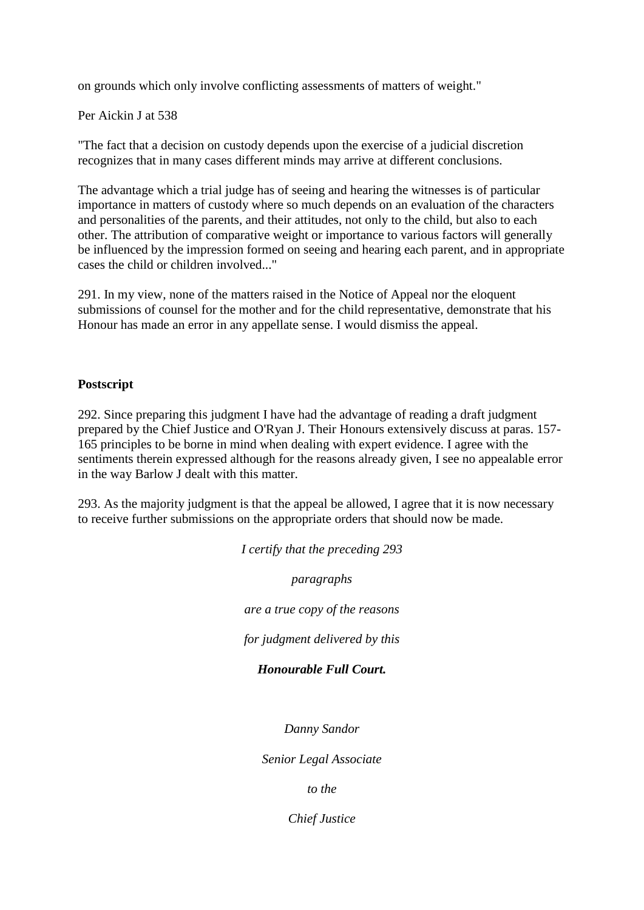on grounds which only involve conflicting assessments of matters of weight."

Per Aickin J at 538

"The fact that a decision on custody depends upon the exercise of a judicial discretion recognizes that in many cases different minds may arrive at different conclusions.

The advantage which a trial judge has of seeing and hearing the witnesses is of particular importance in matters of custody where so much depends on an evaluation of the characters and personalities of the parents, and their attitudes, not only to the child, but also to each other. The attribution of comparative weight or importance to various factors will generally be influenced by the impression formed on seeing and hearing each parent, and in appropriate cases the child or children involved..."

291. In my view, none of the matters raised in the Notice of Appeal nor the eloquent submissions of counsel for the mother and for the child representative, demonstrate that his Honour has made an error in any appellate sense. I would dismiss the appeal.

### **Postscript**

292. Since preparing this judgment I have had the advantage of reading a draft judgment prepared by the Chief Justice and O'Ryan J. Their Honours extensively discuss at paras. 157- 165 principles to be borne in mind when dealing with expert evidence. I agree with the sentiments therein expressed although for the reasons already given, I see no appealable error in the way Barlow J dealt with this matter.

293. As the majority judgment is that the appeal be allowed, I agree that it is now necessary to receive further submissions on the appropriate orders that should now be made.

> *I certify that the preceding 293 paragraphs are a true copy of the reasons for judgment delivered by this Honourable Full Court. Danny Sandor Senior Legal Associate*

> > *to the*

*Chief Justice*